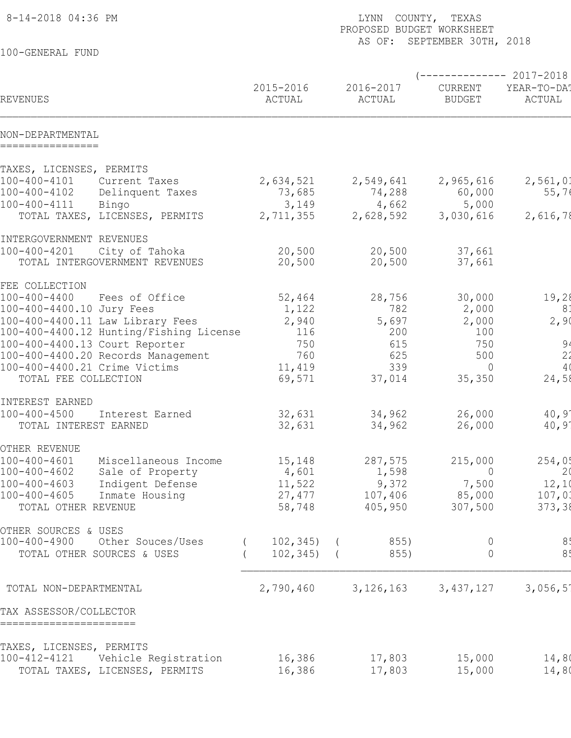| 8-14-2018 04:36 PM                                                               | LYNN COUNTY, TEXAS<br>PROPOSED BUDGET WORKSHEET |                     |                             |                         |
|----------------------------------------------------------------------------------|-------------------------------------------------|---------------------|-----------------------------|-------------------------|
| 100-GENERAL FUND                                                                 |                                                 |                     | AS OF: SEPTEMBER 30TH, 2018 |                         |
|                                                                                  |                                                 |                     |                             | ----------- 2017-2018   |
| <b>REVENUES</b>                                                                  | 2015-2016<br>ACTUAL                             | 2016-2017<br>ACTUAL | CURRENT<br><b>BUDGET</b>    | YEAR-TO-DA!<br>ACTUAL   |
| NON-DEPARTMENTAL<br>================                                             |                                                 |                     |                             |                         |
| TAXES, LICENSES, PERMITS                                                         |                                                 |                     |                             |                         |
| $100 - 400 - 4101$<br>Current Taxes<br>100-400-4102<br>Delinquent Taxes          | 2,634,521<br>73,685                             | 2,549,641<br>74,288 | 2,965,616<br>60,000         | 2,561,01<br>55,76       |
| $100 - 400 - 4111$<br>Bingo<br>TOTAL TAXES, LICENSES, PERMITS                    | 3,149<br>2,711,355                              | 4,662<br>2,628,592  | 5,000<br>3,030,616          | 2,616,78                |
| INTERGOVERNMENT REVENUES                                                         |                                                 |                     |                             |                         |
| $100 - 400 - 4201$<br>City of Tahoka<br>TOTAL INTERGOVERNMENT REVENUES           | 20,500<br>20,500                                | 20,500<br>20,500    | 37,661<br>37,661            |                         |
| FEE COLLECTION                                                                   |                                                 |                     |                             |                         |
| $100 - 400 - 4400$<br>Fees of Office<br>100-400-4400.10 Jury Fees                | 52,464<br>1,122                                 | 28,756<br>782       | 30,000<br>2,000             | 19,28<br>81             |
| 100-400-4400.11 Law Library Fees                                                 | 2,940                                           | 5,697               | 2,000                       | 2,90                    |
| 100-400-4400.12 Hunting/Fishing License                                          | 116                                             | 200                 | 100                         |                         |
| 100-400-4400.13 Court Reporter<br>100-400-4400.20 Records Management             | 750<br>760                                      | 615<br>625          | 750<br>500                  | 94<br>2 <sup>2</sup>    |
| 100-400-4400.21 Crime Victims                                                    | 11,419                                          | 339                 | $\Omega$                    | 4(                      |
| TOTAL FEE COLLECTION                                                             | 69,571                                          | 37,014              | 35,350                      | 24,58                   |
| INTEREST EARNED                                                                  |                                                 |                     |                             |                         |
| $100 - 400 - 4500$<br>Interest Earned                                            | 32,631                                          | 34,962              | 26,000                      | $40,9^{\circ}$          |
| TOTAL INTEREST EARNED                                                            | 32,631                                          | 34,962              | 26,000                      | $40,9^{\circ}$          |
| OTHER REVENUE                                                                    |                                                 |                     |                             |                         |
| $100 - 400 - 4601$<br>Miscellaneous Income                                       | 15,148                                          | 287,575             | 215,000                     | 254,05                  |
| $100 - 400 - 4602$<br>Sale of Property<br>Indigent Defense<br>$100 - 400 - 4603$ | 4,601<br>11,522                                 | 1,598<br>9,372      | $\overline{0}$<br>7,500     | 2 <sub>0</sub><br>12,10 |
| $100 - 400 - 4605$<br>Inmate Housing                                             | 27,477                                          | 107,406             | 85,000                      | 107,03                  |
| TOTAL OTHER REVENUE                                                              | 58,748                                          | 405,950             | 307,500                     | 373, 38                 |
| OTHER SOURCES & USES                                                             |                                                 |                     |                             |                         |
| $100 - 400 - 4900$<br>Other Souces/Uses                                          | $102, 345$ ) (                                  | 855)                | 0                           | 8!                      |
| TOTAL OTHER SOURCES & USES                                                       | $102, 345$ ) (                                  | 855)                | $\overline{0}$              | 8 <sub>1</sub>          |
| TOTAL NON-DEPARTMENTAL                                                           | 2,790,460                                       | 3, 126, 163         | 3, 437, 127                 | 3,056,5                 |
| TAX ASSESSOR/COLLECTOR<br>======================                                 |                                                 |                     |                             |                         |
| TAXES, LICENSES, PERMITS                                                         |                                                 |                     |                             |                         |
| 100-412-4121<br>Vehicle Registration                                             | 16,386                                          | 17,803              | 15,000                      | 14,80                   |
| TOTAL TAXES, LICENSES, PERMITS                                                   | 16,386                                          | 17,803              | 15,000                      | 14,80                   |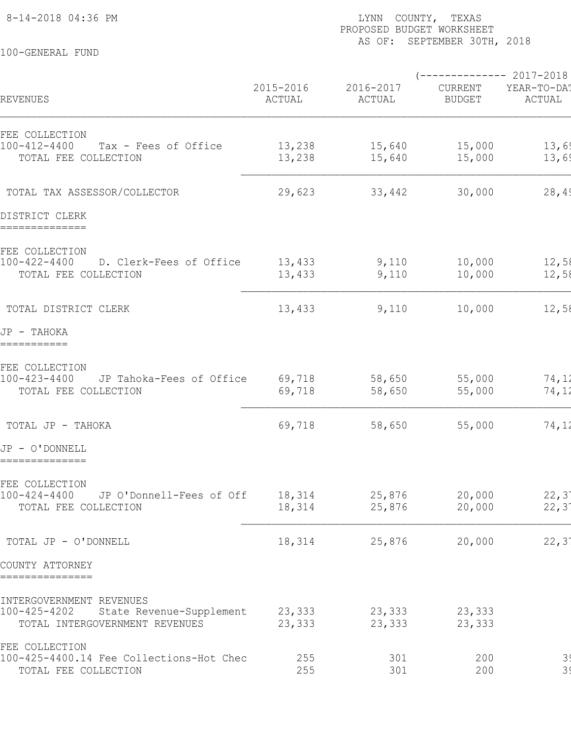100-GENERAL FUND

## 8-14-2018 04:36 PM LYNN COUNTY, TEXAS PAGE: 2 PROPOSED BUDGET WORKSHEET AS OF: SEPTEMBER 30TH, 2018

|                                                                            | 2015-2016        | 2016-2017        | $---------2017-2018$<br>CURRENT | YEAR-TO-DA!               |
|----------------------------------------------------------------------------|------------------|------------------|---------------------------------|---------------------------|
| REVENUES                                                                   | ACTUAL           | ACTUAL           | <b>BUDGET</b>                   | ACTUAL                    |
| FEE COLLECTION<br>100-412-4400<br>Tax - Fees of Office                     | 13,238           | 15,640           | 15,000                          | 13,69                     |
| TOTAL FEE COLLECTION                                                       | 13,238           | 15,640           | 15,000                          | 13,69                     |
| TOTAL TAX ASSESSOR/COLLECTOR                                               | 29,623           | 33,442           | 30,000                          | 28,49                     |
| DISTRICT CLERK<br>==============                                           |                  |                  |                                 |                           |
| FEE COLLECTION                                                             |                  |                  |                                 |                           |
| $100 - 422 - 4400$<br>D. Clerk-Fees of Office<br>TOTAL FEE COLLECTION      | 13,433<br>13,433 | 9,110<br>9,110   | 10,000<br>10,000                | 12,58<br>12,58            |
| TOTAL DISTRICT CLERK                                                       | 13,433           | 9,110            | 10,000                          | 12,58                     |
| JP - TAHOKA<br>===========                                                 |                  |                  |                                 |                           |
| FEE COLLECTION                                                             |                  |                  |                                 |                           |
| $100 - 423 - 4400$<br>JP Tahoka-Fees of Office<br>TOTAL FEE COLLECTION     | 69,718<br>69,718 | 58,650<br>58,650 | 55,000<br>55,000                | 74,12<br>74,12            |
| TOTAL JP - TAHOKA                                                          | 69,718           | 58,650           | 55,000                          | 74,12                     |
| JP - O'DONNELL<br>==============                                           |                  |                  |                                 |                           |
| FEE COLLECTION                                                             |                  |                  |                                 |                           |
| $100 - 424 - 4400$<br>JP O'Donnell-Fees of Off<br>TOTAL FEE COLLECTION     | 18,314<br>18,314 | 25,876<br>25,876 | 20,000<br>20,000                | 22, 3'<br>$22, 3^{\circ}$ |
|                                                                            |                  |                  |                                 |                           |
| TOTAL JP - O'DONNELL                                                       | 18,314           | 25,876           | 20,000                          | $22, 3^{\circ}$           |
| COUNTY ATTORNEY<br>===============                                         |                  |                  |                                 |                           |
| INTERGOVERNMENT REVENUES                                                   |                  |                  |                                 |                           |
| 100-425-4202<br>State Revenue-Supplement<br>TOTAL INTERGOVERNMENT REVENUES | 23,333<br>23,333 | 23,333<br>23,333 | 23,333<br>23,333                |                           |
| FEE COLLECTION<br>100-425-4400.14 Fee Collections-Hot Chec                 | 255              | 301              | 200                             |                           |
| TOTAL FEE COLLECTION                                                       | 255              | 301              | 200                             | 3 <sup>1</sup><br>39      |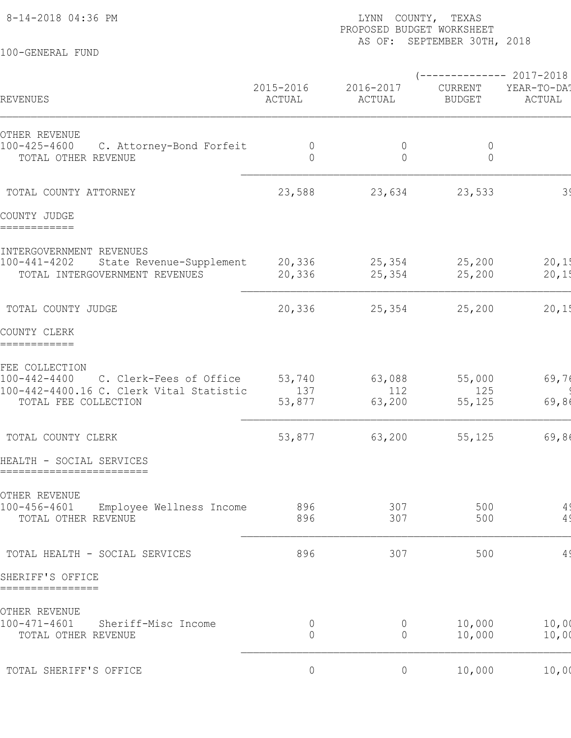100-GENERAL FUND

## 8-14-2018 04:36 PM **EXAS** PAGE: 36 PM **LYNN** COUNTY, TEXAS PROPOSED BUDGET WORKSHEET AS OF: SEPTEMBER 30TH, 2018

 $(---------2017-2018$ 2015-2016 2016-2017 CURRENT YEAR-TO-DATENT ACTUAL ACTUAL REVENUES ACTUAL ACTUAL BUDGET ACTUAL ACTUAL BUDGET BUDGET OTHER REVENUE 100-425-4600 C. Attorney-Bond Forfeit 0 0 0 0 0 0 \_\_\_\_\_\_\_\_\_\_\_\_ TOTAL OTHER REVENUE  $\begin{array}{ccccccc} 0 & 0 & 0 & 0 \end{array}$  TOTAL COUNTY ATTORNEY 23,588 23,634 23,533 390 0 23,533 COUNTY JUDGE ============ INTERGOVERNMENT REVENUES 100-441-4202 State Revenue-Supplement 20,336 25,354 25,200 20,1 TOTAL INTERGOVERNMENT REVENUES 20,336 25,354 25,200 20,1  $\mathcal{L}_\mathcal{L} = \mathcal{L}_\mathcal{L} = \mathcal{L}_\mathcal{L} = \mathcal{L}_\mathcal{L} = \mathcal{L}_\mathcal{L} = \mathcal{L}_\mathcal{L} = \mathcal{L}_\mathcal{L} = \mathcal{L}_\mathcal{L} = \mathcal{L}_\mathcal{L} = \mathcal{L}_\mathcal{L} = \mathcal{L}_\mathcal{L} = \mathcal{L}_\mathcal{L} = \mathcal{L}_\mathcal{L} = \mathcal{L}_\mathcal{L} = \mathcal{L}_\mathcal{L} = \mathcal{L}_\mathcal{L} = \mathcal{L}_\mathcal{L}$ TOTAL COUNTY JUDGE 20,336 25,354 25,200 20,1 COUNTY CLERK ============ FEE COLLECTION 100-442-4400 C. Clerk-Fees of Office 53,740 63,088 55,000 69,76 100-442-4400.16 C. Clerk Vital Statistic 137 112 125 96 0 125 \_\_\_\_\_\_\_\_\_\_\_\_ TOTAL FEE COLLECTION 63,877 63,200 55,125  $\mathcal{L}_\mathcal{L} = \mathcal{L}_\mathcal{L} = \mathcal{L}_\mathcal{L} = \mathcal{L}_\mathcal{L} = \mathcal{L}_\mathcal{L} = \mathcal{L}_\mathcal{L} = \mathcal{L}_\mathcal{L} = \mathcal{L}_\mathcal{L} = \mathcal{L}_\mathcal{L} = \mathcal{L}_\mathcal{L} = \mathcal{L}_\mathcal{L} = \mathcal{L}_\mathcal{L} = \mathcal{L}_\mathcal{L} = \mathcal{L}_\mathcal{L} = \mathcal{L}_\mathcal{L} = \mathcal{L}_\mathcal{L} = \mathcal{L}_\mathcal{L}$ TOTAL COUNTY CLERK 69,8125 69,8125 69,8125 69,865 69,865 69,865 69,865 69,865 69,865 125 69,865 125 125 125 125 HEALTH - SOCIAL SERVICES ========================= OTHER REVENUE 100-456-4601 Employee Wellness Income 896 307 500 500 4 TOTAL OTHER REVENUE 896 307 500 491 0 500 TOTAL HEALTH - SOCIAL SERVICES 696 896 307 500 500 4 SHERIFF'S OFFICE ================ OTHER REVENUE 100-471-4601 Sheriff-Misc Income 0 0 10,000 10,000 0 0 \_\_\_\_\_\_\_\_\_\_\_\_ 1.1 FOUL SHELLLI-MISC INCOME 0 0 0 10,000 10,00<br>TOTAL OTHER REVENUE 0 0 0 10,000 10,00 TOTAL SHERIFF'S OFFICE  $0$  0 0  $10,000$  10,000  $10,00$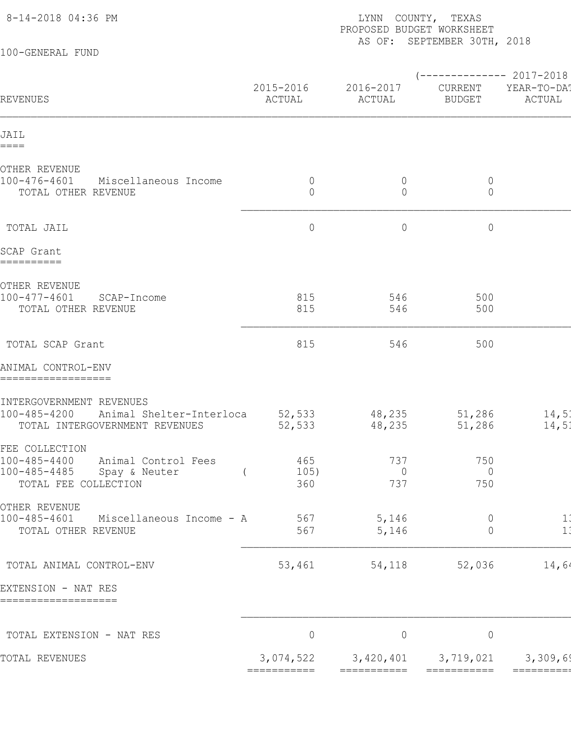| 8-14-2018 04:36 PM                                                                                             |                            | LYNN COUNTY, TEXAS<br>PROPOSED BUDGET WORKSHEET<br>AS OF: SEPTEMBER 30TH, 2018 |                                                   |                       |  |  |
|----------------------------------------------------------------------------------------------------------------|----------------------------|--------------------------------------------------------------------------------|---------------------------------------------------|-----------------------|--|--|
| 100-GENERAL FUND                                                                                               |                            |                                                                                |                                                   |                       |  |  |
| REVENUES                                                                                                       | 2015-2016<br>ACTUAL        | 2016-2017<br>ACTUAL                                                            | $--------- 2017-2018$<br>CURRENT<br><b>BUDGET</b> | YEAR-TO-DA!<br>ACTUAL |  |  |
| JAIL<br>====                                                                                                   |                            |                                                                                |                                                   |                       |  |  |
| OTHER REVENUE<br>100-476-4601<br>Miscellaneous Income<br>TOTAL OTHER REVENUE                                   | $\overline{0}$<br>$\Omega$ | $\overline{0}$<br>$\overline{0}$                                               | $\overline{0}$<br>$\circ$                         |                       |  |  |
| TOTAL JAIL                                                                                                     | $\circ$                    | $\circ$                                                                        | $\circ$                                           |                       |  |  |
| SCAP Grant<br>==========                                                                                       |                            |                                                                                |                                                   |                       |  |  |
| OTHER REVENUE<br>100-477-4601<br>SCAP-Income<br>TOTAL OTHER REVENUE                                            | 815<br>815                 | 546<br>546                                                                     | 500<br>500                                        |                       |  |  |
| TOTAL SCAP Grant                                                                                               | 815                        | 546                                                                            | 500                                               |                       |  |  |
| ANIMAL CONTROL-ENV<br>==================                                                                       |                            |                                                                                |                                                   |                       |  |  |
| INTERGOVERNMENT REVENUES<br>100-485-4200 Animal Shelter-Interloca<br>TOTAL INTERGOVERNMENT REVENUES            | 52,533<br>52,533           | 48,235<br>48,235                                                               | 51,286<br>51,286                                  | 14,51<br>14,51        |  |  |
| FEE COLLECTION<br>100-485-4400<br>Animal Control Fees<br>100-485-4485<br>Spay & Neuter<br>TOTAL FEE COLLECTION | 465<br>105)<br>360         | 737<br>$\overline{0}$<br>737                                                   | 750<br>$\overline{0}$<br>750                      |                       |  |  |
| OTHER REVENUE<br>100-485-4601<br>Miscellaneous Income - A<br>TOTAL OTHER REVENUE                               | 567<br>567                 | 5,146<br>5,146                                                                 | $\overline{0}$<br>$\overline{0}$                  | 1:<br>1:              |  |  |
| TOTAL ANIMAL CONTROL-ENV                                                                                       | 53,461                     | 54,118                                                                         | 52,036                                            | 14,64                 |  |  |
| EXTENSION - NAT RES<br>===================                                                                     |                            |                                                                                |                                                   |                       |  |  |
| TOTAL EXTENSION - NAT RES                                                                                      | $\overline{0}$             | $\overline{0}$                                                                 | $\circ$                                           |                       |  |  |
| TOTAL REVENUES                                                                                                 | ===========                | 3,074,522 3,420,401 3,719,021<br>===========                                   | ===========                                       | 3,309,69              |  |  |
|                                                                                                                |                            |                                                                                |                                                   |                       |  |  |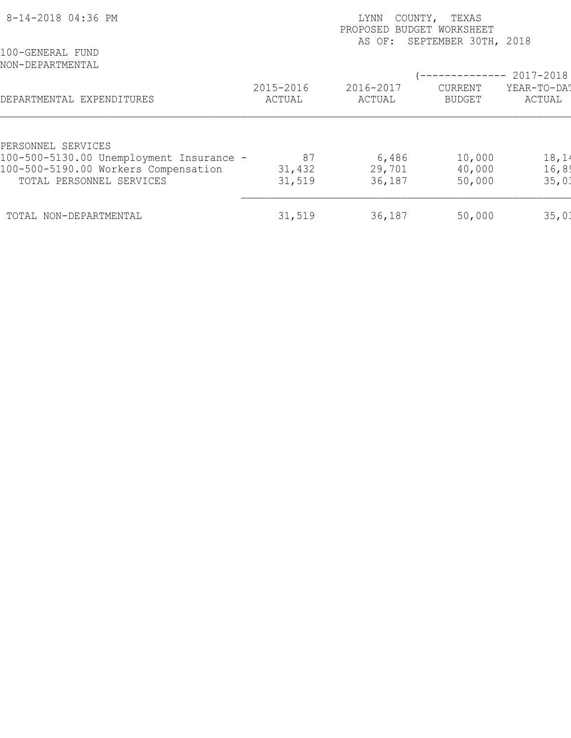| 8-14-2018 04:36 PM                       | TEXAS<br>COUNTY,<br>LYNN<br>PROPOSED BUDGET WORKSHEET<br>SEPTEMBER 30TH, 2018<br>AS OF: |                     |                          |                       |  |  |
|------------------------------------------|-----------------------------------------------------------------------------------------|---------------------|--------------------------|-----------------------|--|--|
| 100-GENERAL FUND<br>NON-DEPARTMENTAL     |                                                                                         |                     |                          | 2017-2018             |  |  |
| DEPARTMENTAL EXPENDITURES                | 2015-2016<br>ACTUAL                                                                     | 2016-2017<br>ACTUAL | CURRENT<br><b>BUDGET</b> | YEAR-TO-DAT<br>ACTUAL |  |  |
| PERSONNEL SERVICES                       |                                                                                         |                     |                          |                       |  |  |
| 100-500-5130.00 Unemployment Insurance - | 87                                                                                      | 6,486               | 10,000                   | 18,14                 |  |  |
| 100-500-5190.00 Workers Compensation     | 31,432                                                                                  | 29,701              | 40,000                   | 16, 89                |  |  |
| TOTAL PERSONNEL SERVICES                 | 31,519                                                                                  | 36,187              | 50,000                   | 35,01                 |  |  |
| TOTAL NON-DEPARTMENTAL                   | 31,519                                                                                  | 36,187              | 50,000                   | 35,01                 |  |  |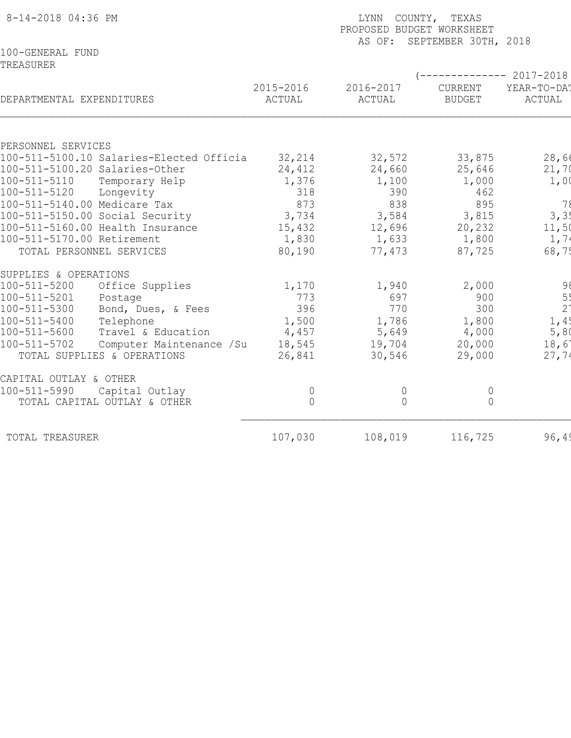| 8-14-2018 04:36 PM                             |                     | COUNTY, TEXAS<br>LYNN<br>PROPOSED BUDGET WORKSHEET<br>AS OF: SEPTEMBER 30TH, 2018 |                          |                        |  |  |  |  |
|------------------------------------------------|---------------------|-----------------------------------------------------------------------------------|--------------------------|------------------------|--|--|--|--|
| 100-GENERAL FUND                               |                     |                                                                                   |                          |                        |  |  |  |  |
| TREASURER                                      |                     |                                                                                   |                          |                        |  |  |  |  |
|                                                |                     |                                                                                   |                          | ------------ 2017-2018 |  |  |  |  |
| DEPARTMENTAL EXPENDITURES                      | 2015-2016<br>ACTUAL | 2016-2017<br>ACTUAL                                                               | CURRENT<br><b>BUDGET</b> | YEAR-TO-DA!<br>ACTUAL  |  |  |  |  |
|                                                |                     |                                                                                   |                          |                        |  |  |  |  |
|                                                |                     |                                                                                   |                          |                        |  |  |  |  |
| PERSONNEL SERVICES                             |                     |                                                                                   |                          |                        |  |  |  |  |
| 100-511-5100.10 Salaries-Elected Officia       | 32,214              | 32,572                                                                            | 33,875                   | 28,66                  |  |  |  |  |
| 100-511-5100.20 Salaries-Other                 | 24,412              | 24,660                                                                            | 25,646                   | 21,70                  |  |  |  |  |
| 100-511-5110<br>Temporary Help                 | 1,376               | 1,100                                                                             | 1,000                    | 1,00                   |  |  |  |  |
| 100-511-5120<br>Longevity                      | 318                 | 390                                                                               | 462                      |                        |  |  |  |  |
| 100-511-5140.00 Medicare Tax                   | 873                 | 838                                                                               | 895                      | 78                     |  |  |  |  |
| 100-511-5150.00 Social Security                | 3,734               | 3,584                                                                             | 3,815                    | 3, 3!                  |  |  |  |  |
| 100-511-5160.00 Health Insurance               | 15,432              | 12,696                                                                            | 20,232                   | 11,50                  |  |  |  |  |
| 100-511-5170.00 Retirement                     | 1,830               | 1,633                                                                             | 1,800                    | 1,74                   |  |  |  |  |
| TOTAL PERSONNEL SERVICES                       | 80,190              | 77,473                                                                            | 87,725                   | 68,75                  |  |  |  |  |
| SUPPLIES & OPERATIONS                          |                     |                                                                                   |                          |                        |  |  |  |  |
| 100-511-5200<br>Office Supplies                | 1,170               | 1,940                                                                             | 2,000                    | 98                     |  |  |  |  |
| 100-511-5201<br>Postage                        | 773                 | 697                                                                               | 900                      | 5 <sup>1</sup>         |  |  |  |  |
| 100-511-5300<br>Bond, Dues, & Fees             | 396                 | 770                                                                               | 300                      | 2 <sup>1</sup>         |  |  |  |  |
| $100 - 511 - 5400$<br>Telephone                | 1,500               | 1,786                                                                             | 1,800                    | 1,4!                   |  |  |  |  |
| 100-511-5600<br>Travel & Education             | 4,457               | 5,649                                                                             | 4,000                    | 5,80                   |  |  |  |  |
| $100 - 511 - 5702$<br>Computer Maintenance /Su | 18,545              | 19,704                                                                            | 20,000                   | 18,6                   |  |  |  |  |
| TOTAL SUPPLIES & OPERATIONS                    | 26,841              | 30,546                                                                            | 29,000                   | 27,74                  |  |  |  |  |
| CAPITAL OUTLAY & OTHER                         |                     |                                                                                   |                          |                        |  |  |  |  |
| 100-511-5990<br>Capital Outlay                 | $\overline{0}$      | 0                                                                                 | $\overline{0}$           |                        |  |  |  |  |
| TOTAL CAPITAL OUTLAY & OTHER                   | $\overline{0}$      | $\Omega$                                                                          | $\overline{0}$           |                        |  |  |  |  |
| TOTAL TREASURER                                | 107,030             | 108,019                                                                           | 116,725                  | 96, 49                 |  |  |  |  |
|                                                |                     |                                                                                   |                          |                        |  |  |  |  |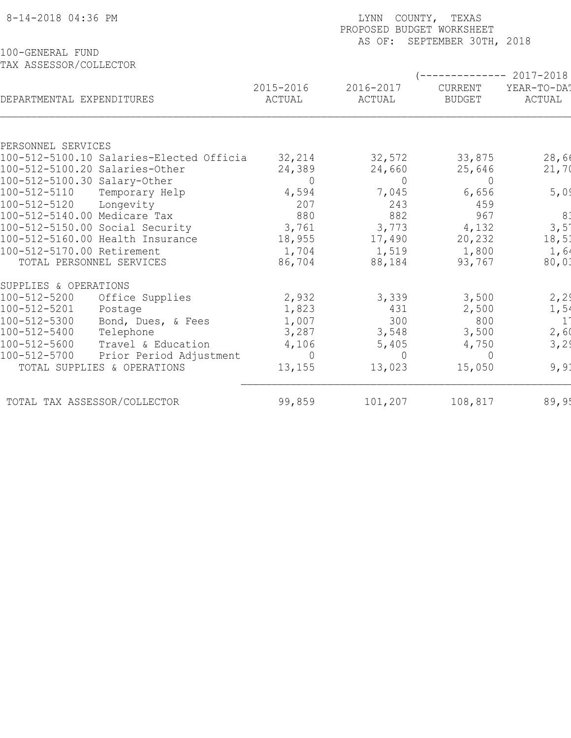| 8-14-2018 04:36 PM                                                  | COUNTY, TEXAS<br>LYNN<br>PROPOSED BUDGET WORKSHEET<br>AS OF: SEPTEMBER 30TH, 2018 |                     |                                                       |                       |  |  |  |
|---------------------------------------------------------------------|-----------------------------------------------------------------------------------|---------------------|-------------------------------------------------------|-----------------------|--|--|--|
| 100-GENERAL FUND                                                    |                                                                                   |                     |                                                       |                       |  |  |  |
| TAX ASSESSOR/COLLECTOR                                              |                                                                                   |                     |                                                       |                       |  |  |  |
| DEPARTMENTAL EXPENDITURES                                           | 2015-2016<br>ACTUAL                                                               | 2016-2017<br>ACTUAL | (-------------- 2017-2018<br>CURRENT<br><b>BUDGET</b> | YEAR-TO-DAT<br>ACTUAL |  |  |  |
|                                                                     |                                                                                   |                     |                                                       |                       |  |  |  |
| PERSONNEL SERVICES                                                  |                                                                                   |                     |                                                       |                       |  |  |  |
| 100-512-5100.10 Salaries-Elected Officia                            | 32,214                                                                            | 32,572              | 33,875                                                | 28,66                 |  |  |  |
| 100-512-5100.20 Salaries-Other                                      | 24,389                                                                            | 24,660              | 25,646                                                | 21,70                 |  |  |  |
| 100-512-5100.30 Salary-Other                                        | $\Omega$                                                                          | $\circ$             | $\Omega$                                              |                       |  |  |  |
| 100-512-5110<br>Temporary Help                                      | 4,594                                                                             | 7,045               | 6,656                                                 | 5,0                   |  |  |  |
| 100-512-5120<br>Longevity                                           | 207                                                                               | 243                 | 459                                                   |                       |  |  |  |
| 100-512-5140.00 Medicare Tax                                        | 880                                                                               | 882                 | 967                                                   | 8.                    |  |  |  |
| 100-512-5150.00 Social Security<br>100-512-5160.00 Health Insurance | 3,761<br>18,955                                                                   | 3,773<br>17,490     | 4,132<br>20,232                                       | 3,5<br>18,51          |  |  |  |
| 100-512-5170.00 Retirement                                          | 1,704                                                                             | 1,519               | 1,800                                                 | 1,64                  |  |  |  |
| TOTAL PERSONNEL SERVICES                                            | 86,704                                                                            | 88,184              | 93,767                                                | 80,03                 |  |  |  |
|                                                                     |                                                                                   |                     |                                                       |                       |  |  |  |
| SUPPLIES & OPERATIONS                                               |                                                                                   |                     |                                                       |                       |  |  |  |
| $100 - 512 - 5200$<br>Office Supplies                               | 2,932                                                                             | 3,339               | 3,500                                                 | 2, 29                 |  |  |  |
| 100-512-5201<br>Postage                                             | 1,823                                                                             | 431                 | 2,500                                                 | 1,54                  |  |  |  |
| 100-512-5300<br>Bond, Dues, & Fees                                  | 1,007                                                                             | 300                 | 800                                                   | 11                    |  |  |  |
| 100-512-5400<br>Telephone                                           | 3,287                                                                             | 3,548               | 3,500                                                 | 2,60                  |  |  |  |
| 100-512-5600<br>Travel & Education                                  | 4,106                                                                             | 5,405               | 4,750                                                 | 3,29                  |  |  |  |
| 100-512-5700<br>Prior Period Adjustment                             | $\bigcap$                                                                         | $\Omega$            | $\Omega$                                              |                       |  |  |  |
| TOTAL SUPPLIES & OPERATIONS                                         | 13, 155                                                                           | 13,023              | 15,050                                                | 9,91                  |  |  |  |
|                                                                     |                                                                                   |                     |                                                       |                       |  |  |  |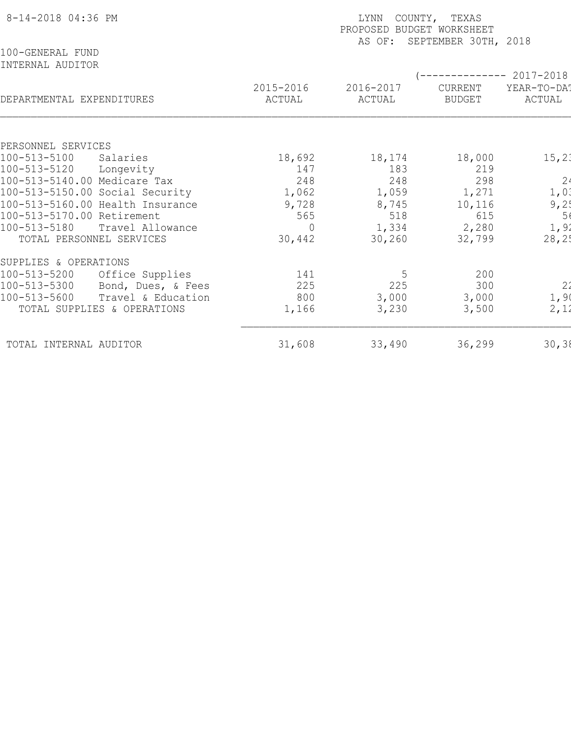| 8-14-2018 04:36 PM                             | COUNTY, TEXAS<br><b>LYNN</b><br>PROPOSED BUDGET WORKSHEET<br>AS OF: SEPTEMBER 30TH, 2018 |                     |                          |                                    |  |  |  |
|------------------------------------------------|------------------------------------------------------------------------------------------|---------------------|--------------------------|------------------------------------|--|--|--|
| 100-GENERAL FUND<br>INTERNAL AUDITOR           |                                                                                          |                     |                          |                                    |  |  |  |
| DEPARTMENTAL EXPENDITURES                      | 2015-2016<br>ACTUAL                                                                      | 2016-2017<br>ACTUAL | CURRENT<br><b>BUDGET</b> | 2017-2018<br>YEAR-TO-DAT<br>ACTUAL |  |  |  |
|                                                |                                                                                          |                     |                          |                                    |  |  |  |
| PERSONNEL SERVICES<br>100-513-5100<br>Salaries | 18,692                                                                                   | 18,174              | 18,000                   | 15, 21                             |  |  |  |
| 100-513-5120<br>Longevity                      | 147                                                                                      | 183                 | 219                      |                                    |  |  |  |
| 100-513-5140.00 Medicare Tax                   | 248                                                                                      | 248                 | 298                      | 2 <sup>1</sup>                     |  |  |  |
| 100-513-5150.00 Social Security                | 1,062                                                                                    | 1,059               | 1,271                    | 1,01                               |  |  |  |
| 100-513-5160.00 Health Insurance               | 9,728                                                                                    | 8,745               | 10,116                   | 9,2!                               |  |  |  |
| 100-513-5170.00 Retirement                     | 565                                                                                      | 518                 | 615                      | 5(                                 |  |  |  |
| 100-513-5180<br>Travel Allowance               | $\Omega$                                                                                 | 1,334               | 2,280                    | 1,92                               |  |  |  |
| TOTAL PERSONNEL SERVICES                       | 30,442                                                                                   | 30,260              | 32,799                   | 28, 25                             |  |  |  |
| SUPPLIES & OPERATIONS                          |                                                                                          |                     |                          |                                    |  |  |  |
| Office Supplies<br>100-513-5200                | 141                                                                                      | 5                   | 200                      |                                    |  |  |  |
| 100-513-5300<br>Bond, Dues, & Fees             | 225                                                                                      | 225                 | 300                      | 2 <sub>2</sub>                     |  |  |  |
| 100-513-5600<br>Travel & Education             | 800                                                                                      | 3,000               | 3,000                    | 1,90                               |  |  |  |
| TOTAL SUPPLIES & OPERATIONS                    | 1,166                                                                                    | 3,230               | 3,500                    | 2,12                               |  |  |  |
| TOTAL INTERNAL AUDITOR                         | 31,608                                                                                   | 33,490              | 36,299                   | 30, 38                             |  |  |  |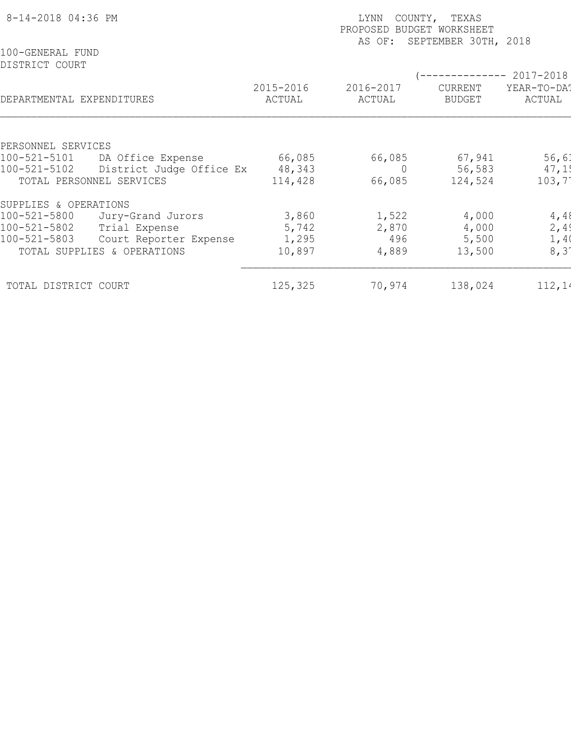| 8-14-2018 04:36 PM<br>100-GENERAL FUND                  |                          | LYNN<br>COUNTY, TEXAS<br>PROPOSED<br>BUDGET WORKSHEET<br>SEPTEMBER 30TH, 2018<br>AS OF: |                     |                          |                       |  |  |  |
|---------------------------------------------------------|--------------------------|-----------------------------------------------------------------------------------------|---------------------|--------------------------|-----------------------|--|--|--|
| DISTRICT COURT                                          |                          |                                                                                         |                     |                          | -------- 2017-2018    |  |  |  |
| DEPARTMENTAL EXPENDITURES                               | 2015-2016                | ACTUAL                                                                                  | 2016-2017<br>ACTUAL | CURRENT<br><b>BUDGET</b> | YEAR-TO-DA!<br>ACTUAL |  |  |  |
|                                                         |                          |                                                                                         |                     |                          |                       |  |  |  |
| PERSONNEL SERVICES<br>DA Office Expense<br>100-521-5101 |                          | 66,085                                                                                  | 66,085              | 67,941                   | 56,61                 |  |  |  |
| 100-521-5102                                            | District Judge Office Ex | 48,343                                                                                  |                     | 56,583                   | 47,15                 |  |  |  |
| TOTAL PERSONNEL SERVICES                                |                          | 114,428                                                                                 | 66,085              | 124,524                  | 103,7                 |  |  |  |
| SUPPLIES & OPERATIONS                                   |                          |                                                                                         |                     |                          |                       |  |  |  |
| 100-521-5800<br>Jury-Grand Jurors                       |                          | 3,860                                                                                   | 1,522               | 4,000                    | 4,48                  |  |  |  |
| 100-521-5802<br>Trial Expense                           |                          | 5,742                                                                                   | 2,870               | 4,000                    | 2,49                  |  |  |  |
| 100-521-5803                                            | Court Reporter Expense   | 1,295                                                                                   | 496                 | 5,500                    | 1,40                  |  |  |  |
| TOTAL SUPPLIES & OPERATIONS                             |                          | 10,897                                                                                  | 4,889               | 13,500                   | 8, 31                 |  |  |  |
| TOTAL DISTRICT COURT                                    |                          | 125,325                                                                                 | 70,974              | 138,024                  | 112,14                |  |  |  |
|                                                         |                          |                                                                                         |                     |                          |                       |  |  |  |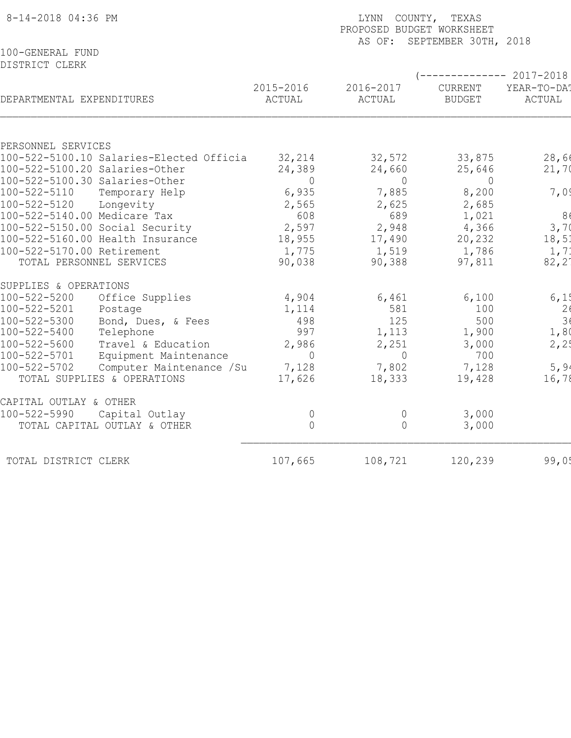| 100-GENERAL FUND<br>DISTRICT CLERK |                                          |                     |                     | COUNTY, TEXAS<br>LYNN<br>PROPOSED BUDGET WORKSHEET<br>AS OF: SEPTEMBER 30TH, 2018 |                       |  |  |  |
|------------------------------------|------------------------------------------|---------------------|---------------------|-----------------------------------------------------------------------------------|-----------------------|--|--|--|
|                                    |                                          |                     |                     |                                                                                   |                       |  |  |  |
|                                    |                                          |                     |                     | $--------- 2017-2018$                                                             |                       |  |  |  |
| DEPARTMENTAL EXPENDITURES          |                                          | 2015-2016<br>ACTUAL | 2016-2017<br>ACTUAL | CURRENT<br><b>BUDGET</b>                                                          | YEAR-TO-DA!<br>ACTUAL |  |  |  |
|                                    |                                          |                     |                     |                                                                                   |                       |  |  |  |
| PERSONNEL SERVICES                 | 100-522-5100.10 Salaries-Elected Officia | 32,214              | 32,572              | 33,875                                                                            | 28,66                 |  |  |  |
|                                    | 100-522-5100.20 Salaries-Other           | 24,389              | 24,660              | 25,646                                                                            | 21,70                 |  |  |  |
|                                    | 100-522-5100.30 Salaries-Other           | $\Omega$            | $\Omega$            | $\Omega$                                                                          |                       |  |  |  |
| 100-522-5110                       | Temporary Help                           | 6,935               | 7,885               | 8,200                                                                             | 7,09                  |  |  |  |
| 100-522-5120                       | Longevity                                | 2,565               | 2,625               | 2,685                                                                             |                       |  |  |  |
| 100-522-5140.00 Medicare Tax       |                                          | 608                 | 689                 | 1,021                                                                             | 8(                    |  |  |  |
|                                    | 100-522-5150.00 Social Security          | 2,597               | 2,948               | 4,366                                                                             | 3,70                  |  |  |  |
|                                    | 100-522-5160.00 Health Insurance         | 18,955              | 17,490              | 20,232                                                                            | 18,51                 |  |  |  |
| 100-522-5170.00 Retirement         |                                          | 1,775               | 1,519               | 1,786                                                                             | 1, 71                 |  |  |  |
|                                    | TOTAL PERSONNEL SERVICES                 | 90,038              | 90,388              | 97,811                                                                            | $82, 2^{\circ}$       |  |  |  |
| SUPPLIES & OPERATIONS              |                                          |                     |                     |                                                                                   |                       |  |  |  |
| 100-522-5200                       | Office Supplies                          | 4,904               | 6,461               | 6,100                                                                             | 6, 1!                 |  |  |  |
| 100-522-5201                       | Postage                                  | 1,114               | 581                 | 100                                                                               | $\frac{2}{3}$         |  |  |  |
| 100-522-5300                       | Bond, Dues, & Fees                       | 498                 | 125                 | 500                                                                               |                       |  |  |  |
| 100-522-5400                       | Telephone                                | 997                 | 1,113               | 1,900                                                                             | 1,80                  |  |  |  |
| $100 - 522 - 5600$                 | Travel & Education                       | 2,986               | 2,251               | 3,000                                                                             | 2, 2!                 |  |  |  |
| $100 - 522 - 5701$                 | Equipment Maintenance                    | $\Omega$            | $\Omega$            | 700                                                                               |                       |  |  |  |
| 100-522-5702                       | Computer Maintenance / Su                | 7,128               | 7,802               | 7,128                                                                             | 5, 94                 |  |  |  |
|                                    | TOTAL SUPPLIES & OPERATIONS              | 17,626              | 18,333              | 19,428                                                                            | 16,78                 |  |  |  |
| CAPITAL OUTLAY & OTHER             |                                          |                     |                     |                                                                                   |                       |  |  |  |
| 100-522-5990                       | Capital Outlay                           | $\overline{0}$      | $\overline{0}$      | 3,000                                                                             |                       |  |  |  |
|                                    | TOTAL CAPITAL OUTLAY & OTHER             | $\Omega$            | $\Omega$            | 3,000                                                                             |                       |  |  |  |
| TOTAL DISTRICT CLERK               |                                          | 107,665             | 108,721             | 120,239                                                                           | 99,05                 |  |  |  |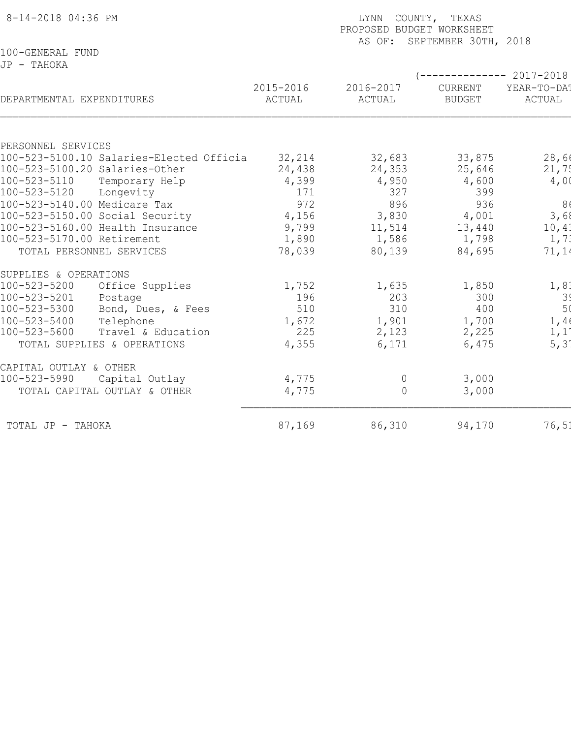| 8-14-2018 04:36 PM                       | LYNN COUNTY, TEXAS<br>PROPOSED BUDGET WORKSHEET<br>AS OF: SEPTEMBER 30TH, 2018 |                     |                          |                        |  |  |  |
|------------------------------------------|--------------------------------------------------------------------------------|---------------------|--------------------------|------------------------|--|--|--|
| 100-GENERAL FUND                         |                                                                                |                     |                          |                        |  |  |  |
| JP - TAHOKA                              |                                                                                |                     |                          |                        |  |  |  |
|                                          |                                                                                |                     |                          | ------------ 2017-2018 |  |  |  |
| DEPARTMENTAL EXPENDITURES                | 2015-2016<br>ACTUAL                                                            | 2016-2017<br>ACTUAL | CURRENT<br><b>BUDGET</b> | YEAR-TO-DA!<br>ACTUAL  |  |  |  |
|                                          |                                                                                |                     |                          |                        |  |  |  |
|                                          |                                                                                |                     |                          |                        |  |  |  |
| PERSONNEL SERVICES                       |                                                                                |                     |                          |                        |  |  |  |
| 100-523-5100.10 Salaries-Elected Officia | 32,214                                                                         | 32,683              | 33,875                   | 28,66                  |  |  |  |
| 100-523-5100.20 Salaries-Other           | 24,438                                                                         | 24,353              | 25,646                   | 21,75                  |  |  |  |
| 100-523-5110<br>Temporary Help           | 4,399                                                                          | 4,950               | 4,600                    | 4,00                   |  |  |  |
| 100-523-5120<br>Longevity                | 171                                                                            | 327                 | 399                      |                        |  |  |  |
| 100-523-5140.00 Medicare Tax             | 972                                                                            | 896                 | 936                      | 86                     |  |  |  |
| 100-523-5150.00 Social Security          | 4,156                                                                          | 3,830               | 4,001                    | 3,68                   |  |  |  |
| 100-523-5160.00 Health Insurance         | 9,799                                                                          | 11,514              | 13,440                   | 10,41                  |  |  |  |
| 100-523-5170.00 Retirement               | 1,890                                                                          | 1,586               | 1,798                    | 1, 71                  |  |  |  |
| TOTAL PERSONNEL SERVICES                 | 78,039                                                                         | 80,139              | 84,695                   | 71,14                  |  |  |  |
| SUPPLIES & OPERATIONS                    |                                                                                |                     |                          |                        |  |  |  |
| Office Supplies<br>100-523-5200          | 1,752                                                                          | 1,635               | 1,850                    | 1, 8.                  |  |  |  |
| 100-523-5201<br>Postage                  | 196                                                                            | 203                 | 300                      |                        |  |  |  |
| 100-523-5300<br>Bond, Dues, & Fees       | 510                                                                            | 310                 | 400                      | $\frac{3}{5}$          |  |  |  |
| 100-523-5400<br>Telephone                | 1,672                                                                          | 1,901               | 1,700                    | 1,40                   |  |  |  |
| 100-523-5600<br>Travel & Education       | 225                                                                            | 2,123               | 2,225                    | 1,1                    |  |  |  |
| TOTAL SUPPLIES & OPERATIONS              | 4,355                                                                          | 6,171               | 6,475                    | $5, 3^{\circ}$         |  |  |  |
| CAPITAL OUTLAY & OTHER                   |                                                                                |                     |                          |                        |  |  |  |
| 100-523-5990<br>Capital Outlay           | 4,775                                                                          | $\overline{0}$      | 3,000                    |                        |  |  |  |
| TOTAL CAPITAL OUTLAY & OTHER             | 4,775                                                                          | $\bigcap$           | 3,000                    |                        |  |  |  |
| TOTAL JP - TAHOKA                        | 87,169                                                                         | 86,310              | 94,170                   | 76, 51                 |  |  |  |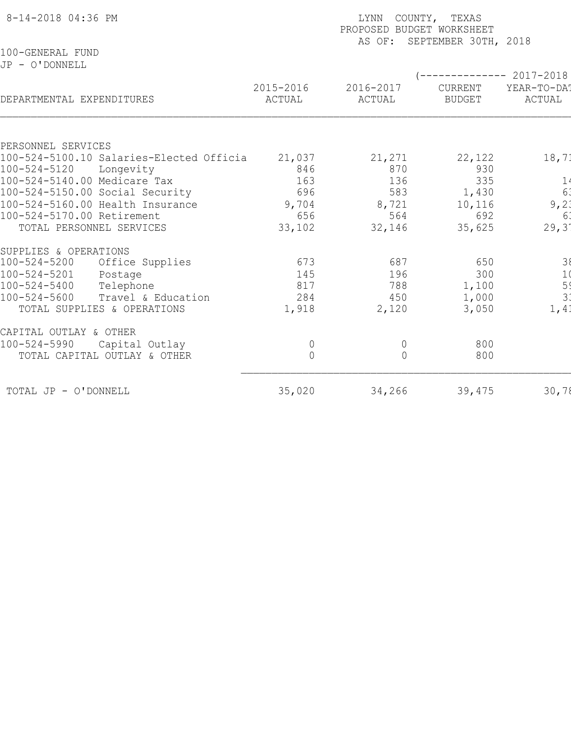| 8-14-2018 04:36 PM                       | LYNN COUNTY, TEXAS<br>PROPOSED BUDGET WORKSHEET<br>AS OF: SEPTEMBER 30TH, 2018 |                     |                          |                                               |  |  |
|------------------------------------------|--------------------------------------------------------------------------------|---------------------|--------------------------|-----------------------------------------------|--|--|
| 100-GENERAL FUND<br>JP - O'DONNELL       |                                                                                |                     |                          |                                               |  |  |
| DEPARTMENTAL EXPENDITURES                | 2015-2016<br>ACTUAL                                                            | 2016-2017<br>ACTUAL | CURRENT<br><b>BUDGET</b> | $---------2017-2018$<br>YEAR-TO-DAT<br>ACTUAL |  |  |
| PERSONNEL SERVICES                       |                                                                                |                     |                          |                                               |  |  |
| 100-524-5100.10 Salaries-Elected Officia | 21,037                                                                         | 21,271              | 22,122                   | 18, 71                                        |  |  |
| 100-524-5120<br>Longevity                | 846                                                                            | 870                 | 930                      |                                               |  |  |
| 100-524-5140.00 Medicare Tax             | 163                                                                            | 136                 | 335                      | $\frac{1}{6}$                                 |  |  |
| 100-524-5150.00 Social Security          | 696                                                                            | 583                 | 1,430                    |                                               |  |  |
| 100-524-5160.00 Health Insurance         | 9,704                                                                          | 8,721               | 10,116                   | 9,21                                          |  |  |
| 100-524-5170.00 Retirement               | 656                                                                            | 564                 | 692                      | 6 <sup>1</sup>                                |  |  |
| TOTAL PERSONNEL SERVICES                 | 33,102                                                                         | 32,146              | 35,625                   | 29,3'                                         |  |  |
| SUPPLIES & OPERATIONS                    |                                                                                |                     |                          |                                               |  |  |
| 100-524-5200<br>Office Supplies          | 673                                                                            | 687                 | 650                      | $\begin{array}{c} 38 \\ 10 \end{array}$       |  |  |
| 100-524-5201<br>Postage                  | 145                                                                            | 196                 | 300                      |                                               |  |  |
| $100 - 524 - 5400$<br>Telephone          | 817                                                                            | 788                 | 1,100                    | ا بن دب                                       |  |  |
| $100 - 524 - 5600$<br>Travel & Education | 284                                                                            | 450                 | 1,000                    |                                               |  |  |
| TOTAL SUPPLIES & OPERATIONS              | 1,918                                                                          | 2,120               | 3,050                    | 1,41                                          |  |  |
| CAPITAL OUTLAY & OTHER                   |                                                                                |                     |                          |                                               |  |  |
| 100-524-5990<br>Capital Outlay           | $\overline{0}$                                                                 | $\overline{0}$      | 800                      |                                               |  |  |
| TOTAL CAPITAL OUTLAY & OTHER             | $\Omega$                                                                       | $\bigcap$           | 800                      |                                               |  |  |
| TOTAL JP - O'DONNELL                     | 35,020                                                                         | 34,266              | 39,475                   | 30,78                                         |  |  |
|                                          |                                                                                |                     |                          |                                               |  |  |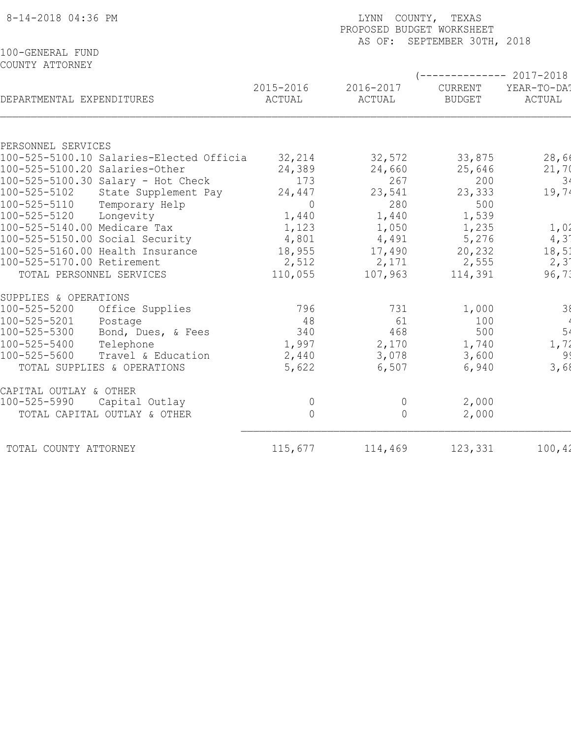| 8-14-2018 04:36 PM                                             | LYNN COUNTY, TEXAS<br>PROPOSED BUDGET WORKSHEET<br>AS OF: SEPTEMBER 30TH, 2018 |                     |                            |                       |  |  |  |
|----------------------------------------------------------------|--------------------------------------------------------------------------------|---------------------|----------------------------|-----------------------|--|--|--|
| 100-GENERAL FUND<br>COUNTY ATTORNEY                            |                                                                                |                     | (-------------- 2017-2018) |                       |  |  |  |
| DEPARTMENTAL EXPENDITURES                                      | 2015-2016<br>ACTUAL                                                            | 2016-2017<br>ACTUAL | CURRENT<br><b>BUDGET</b>   | YEAR-TO-DAT<br>ACTUAL |  |  |  |
|                                                                |                                                                                |                     |                            |                       |  |  |  |
| PERSONNEL SERVICES<br>100-525-5100.10 Salaries-Elected Officia |                                                                                |                     |                            |                       |  |  |  |
| 100-525-5100.20 Salaries-Other                                 | 32,214<br>24,389                                                               | 32,572<br>24,660    | 33,875<br>25,646           | 28,66<br>21,70        |  |  |  |
| 100-525-5100.30 Salary - Hot Check                             | 173                                                                            | 267                 | 200                        | 3 <sup>4</sup>        |  |  |  |
| 100-525-5102<br>State Supplement Pay                           | 24,447                                                                         | 23,541              | 23,333                     | 19,74                 |  |  |  |
| 100-525-5110<br>Temporary Help                                 | $\overline{0}$                                                                 | 280                 | 500                        |                       |  |  |  |
| 100-525-5120<br>Longevity                                      | 1,440                                                                          | 1,440               | 1,539                      |                       |  |  |  |
| 100-525-5140.00 Medicare Tax                                   | 1,123                                                                          | 1,050               | 1,235                      | 1,02                  |  |  |  |
| 100-525-5150.00 Social Security                                | 4,801                                                                          | 4,491               | 5,276                      | 4,31                  |  |  |  |
| 100-525-5160.00 Health Insurance                               | 18,955                                                                         | 17,490              | 20,232                     | 18,51                 |  |  |  |
| 100-525-5170.00 Retirement                                     | 2,512                                                                          | 2,171               | 2,555                      | 2, 31                 |  |  |  |
| TOTAL PERSONNEL SERVICES                                       | 110,055                                                                        | 107,963             | 114,391                    | 96, 73                |  |  |  |
| SUPPLIES & OPERATIONS                                          |                                                                                |                     |                            |                       |  |  |  |
| 100-525-5200<br>Office Supplies                                | 796                                                                            | 731                 | 1,000                      | 38                    |  |  |  |
| 100-525-5201<br>Postage                                        | 48                                                                             | 61                  | 100                        |                       |  |  |  |
| 100-525-5300<br>Bond, Dues, & Fees                             | 340                                                                            | 468                 | 500                        | 5 <sup>1</sup>        |  |  |  |
| 100-525-5400<br>Telephone                                      | 1,997                                                                          | 2,170               | 1,740                      | 1, 72                 |  |  |  |
| 100-525-5600<br>Travel & Education                             | 2,440                                                                          | 3,078               | 3,600                      | 99                    |  |  |  |
| TOTAL SUPPLIES & OPERATIONS                                    | 5,622                                                                          | 6,507               | 6,940                      | 3,68                  |  |  |  |
| CAPITAL OUTLAY & OTHER                                         |                                                                                |                     |                            |                       |  |  |  |
| 100-525-5990<br>Capital Outlay                                 | $\Omega$                                                                       | $\Omega$            | 2,000                      |                       |  |  |  |
| TOTAL CAPITAL OUTLAY & OTHER                                   | $\Omega$                                                                       | $\Omega$            | 2,000                      |                       |  |  |  |
| TOTAL COUNTY ATTORNEY                                          | 115,677                                                                        | 114,469             | 123,331                    | 100, 42               |  |  |  |
|                                                                |                                                                                |                     |                            |                       |  |  |  |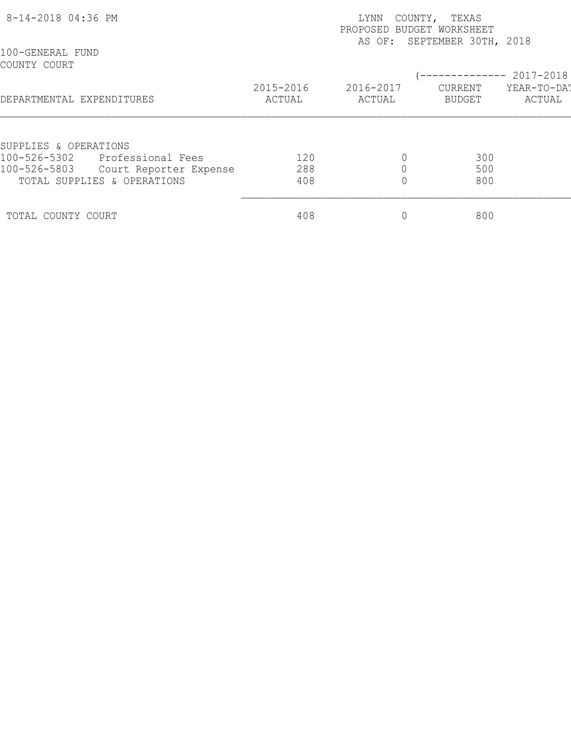| 8-14-2018 04:36 PM               |                             | COUNTY, TEXAS<br>LYNN<br>PROPOSED BUDGET WORKSHEET<br>AS OF: SEPTEMBER 30TH, 2018 |                     |                   |                       |  |
|----------------------------------|-----------------------------|-----------------------------------------------------------------------------------|---------------------|-------------------|-----------------------|--|
| 100-GENERAL FUND<br>COUNTY COURT |                             |                                                                                   |                     |                   | $-- 2017 - 2018$      |  |
| DEPARTMENTAL EXPENDITURES        |                             | 2015-2016<br>ACTUAL                                                               | 2016-2017<br>ACTUAL | CURRENT<br>BUDGET | YEAR-TO-DA!<br>ACTUAL |  |
| SUPPLIES & OPERATIONS            |                             |                                                                                   |                     |                   |                       |  |
| 100-526-5302                     | Professional Fees           | 120                                                                               |                     | 300               |                       |  |
| 100-526-5803                     | Court Reporter Expense      | 288                                                                               |                     | 500               |                       |  |
|                                  | TOTAL SUPPLIES & OPERATIONS | 408                                                                               |                     | 800               |                       |  |
| TOTAL COUNTY COURT               |                             | 408                                                                               |                     | 800               |                       |  |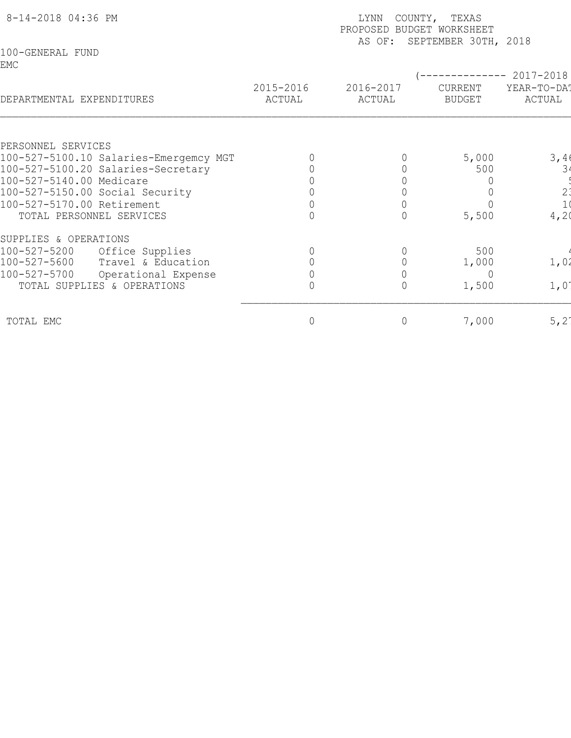| 8-14-2018 04:36 PM                                             |                     | LYNN<br>PROPOSED BUDGET WORKSHEET<br>AS OF: | COUNTY, TEXAS<br>SEPTEMBER 30TH, 2018 |                                       |
|----------------------------------------------------------------|---------------------|---------------------------------------------|---------------------------------------|---------------------------------------|
| 100-GENERAL FUND<br>EMC                                        |                     |                                             |                                       | 2017-2018                             |
| DEPARTMENTAL EXPENDITURES                                      | 2015-2016<br>ACTUAL | 2016-2017<br>ACTUAL                         | CURRENT<br><b>BUDGET</b>              | YEAR-TO-DAT<br>ACTUAL                 |
|                                                                |                     |                                             |                                       |                                       |
| PERSONNEL SERVICES                                             |                     |                                             |                                       |                                       |
| 100-527-5100.10 Salaries-Emergemcy MGT                         |                     |                                             | 5,000<br>500                          | 3,40<br>34                            |
| 100-527-5100.20 Salaries-Secretary<br>100-527-5140.00 Medicare |                     |                                             |                                       |                                       |
| 100-527-5150.00 Social Security                                |                     |                                             |                                       |                                       |
| 100-527-5170.00 Retirement                                     |                     |                                             |                                       | $\begin{array}{c} 2 \\ 1 \end{array}$ |
| TOTAL PERSONNEL SERVICES                                       |                     |                                             | 5,500                                 | 4,2(                                  |
| SUPPLIES & OPERATIONS                                          |                     |                                             |                                       |                                       |
| 100-527-5200<br>Office Supplies                                |                     |                                             | 500                                   |                                       |
| 100-527-5600<br>Travel & Education                             |                     |                                             | 1,000                                 | 1,02                                  |
| 100-527-5700<br>Operational Expense                            |                     |                                             | $\overline{0}$                        |                                       |
| TOTAL SUPPLIES & OPERATIONS                                    |                     | $\Omega$                                    | 1,500                                 | 1,01                                  |
| TOTAL EMC                                                      | 0                   | $\circ$                                     | 7,000                                 | 5, 21                                 |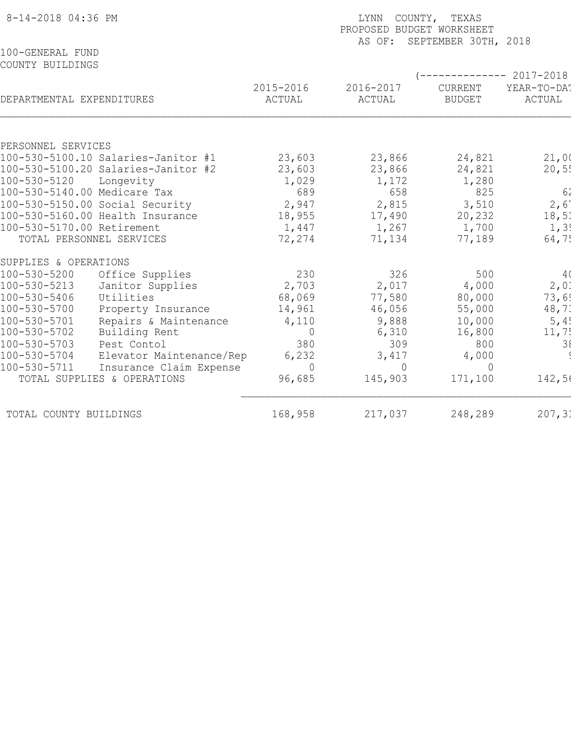| 8-14-2018 04:36 PM                   |                                     |                     | COUNTY, TEXAS<br>LYNN<br>PROPOSED BUDGET WORKSHEET<br>SEPTEMBER 30TH, 2018<br>AS OF: |                          |                                                |  |  |  |
|--------------------------------------|-------------------------------------|---------------------|--------------------------------------------------------------------------------------|--------------------------|------------------------------------------------|--|--|--|
| 100-GENERAL FUND<br>COUNTY BUILDINGS |                                     |                     |                                                                                      |                          |                                                |  |  |  |
| DEPARTMENTAL EXPENDITURES            |                                     | 2015-2016<br>ACTUAL | 2016-2017<br>ACTUAL                                                                  | CURRENT<br><b>BUDGET</b> | $--------- 2017-2018$<br>YEAR-TO-DAT<br>ACTUAL |  |  |  |
|                                      |                                     |                     |                                                                                      |                          |                                                |  |  |  |
| PERSONNEL SERVICES                   | 100-530-5100.10 Salaries-Janitor #1 | 23,603              | 23,866                                                                               | 24,821                   | 21,00                                          |  |  |  |
|                                      | 100-530-5100.20 Salaries-Janitor #2 | 23,603              | 23,866                                                                               | 24,821                   | 20,55                                          |  |  |  |
| 100-530-5120                         | Longevity                           | 1,029               | 1,172                                                                                | 1,280                    |                                                |  |  |  |
|                                      | 100-530-5140.00 Medicare Tax        | 689                 | 658                                                                                  | 825                      | 62                                             |  |  |  |
|                                      | 100-530-5150.00 Social Security     | 2,947               | 2,815                                                                                | 3,510                    | 2,6                                            |  |  |  |
|                                      | 100-530-5160.00 Health Insurance    | 18,955              | 17,490                                                                               | 20,232                   | 18,51                                          |  |  |  |
| 100-530-5170.00 Retirement           |                                     | 1,447               | 1,267                                                                                | 1,700                    | 1, 3!                                          |  |  |  |
|                                      | TOTAL PERSONNEL SERVICES            | 72,274              | 71,134                                                                               | 77,189                   | 64,75                                          |  |  |  |
| SUPPLIES & OPERATIONS                |                                     |                     |                                                                                      |                          |                                                |  |  |  |
| 100-530-5200                         | Office Supplies                     | 230                 | 326                                                                                  | 500                      | 4(                                             |  |  |  |
| 100-530-5213                         | Janitor Supplies                    | 2,703               | 2,017                                                                                | 4,000                    | 2,01                                           |  |  |  |
| 100-530-5406                         | Utilities                           | 68,069              | 77,580                                                                               | 80,000                   | 73,69                                          |  |  |  |
| 100-530-5700                         | Property Insurance                  | 14,961              | 46,056                                                                               | 55,000                   | 48,73                                          |  |  |  |
| 100-530-5701                         | Repairs & Maintenance               | 4,110               | 9,888                                                                                | 10,000                   | 5,45                                           |  |  |  |
| 100-530-5702                         | Building Rent                       | $\Omega$            | 6,310                                                                                | 16,800                   | 11,7!                                          |  |  |  |
| 100-530-5703                         | Pest Contol                         | 380                 | 309                                                                                  | 800                      | 38                                             |  |  |  |
| 100-530-5704                         | Elevator Maintenance/Rep            | 6,232               | 3,417                                                                                | 4,000                    |                                                |  |  |  |
| 100-530-5711                         | Insurance Claim Expense             | $\Omega$            | $\bigcap$                                                                            | $\bigcap$                |                                                |  |  |  |
|                                      | TOTAL SUPPLIES & OPERATIONS         | 96,685              | 145,903                                                                              | 171,100                  | 142,56                                         |  |  |  |
| TOTAL COUNTY BUILDINGS               |                                     | 168,958             | 217,037                                                                              | 248,289                  | 207,31                                         |  |  |  |
|                                      |                                     |                     |                                                                                      |                          |                                                |  |  |  |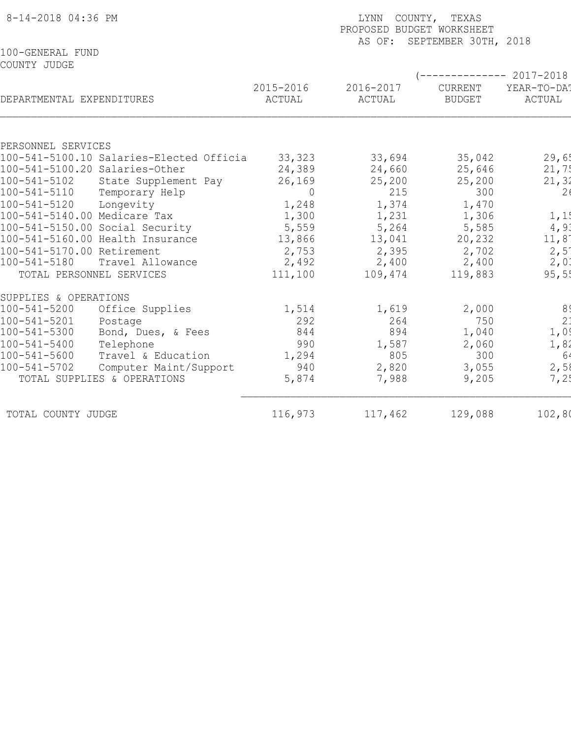| 8-14-2018 04:36 PM                                              |                | LYNN COUNTY, TEXAS<br>PROPOSED BUDGET WORKSHEET |                             |                     |  |  |  |  |
|-----------------------------------------------------------------|----------------|-------------------------------------------------|-----------------------------|---------------------|--|--|--|--|
| 100-GENERAL FUND                                                |                |                                                 | AS OF: SEPTEMBER 30TH, 2018 |                     |  |  |  |  |
| COUNTY JUDGE                                                    |                |                                                 |                             |                     |  |  |  |  |
|                                                                 |                |                                                 |                             | $--------2017-2018$ |  |  |  |  |
|                                                                 | 2015-2016      | 2016-2017                                       | CURRENT                     | YEAR-TO-DA!         |  |  |  |  |
| DEPARTMENTAL EXPENDITURES                                       | ACTUAL         | ACTUAL                                          | <b>BUDGET</b>               | ACTUAL              |  |  |  |  |
|                                                                 |                |                                                 |                             |                     |  |  |  |  |
| PERSONNEL SERVICES                                              |                |                                                 |                             |                     |  |  |  |  |
| 100-541-5100.10 Salaries-Elected Officia                        | 33,323         | 33,694                                          | 35,042                      | 29,65               |  |  |  |  |
| 100-541-5100.20 Salaries-Other                                  | 24,389         | 24,660                                          | 25,646                      | 21,75               |  |  |  |  |
| 100-541-5102<br>State Supplement Pay                            | 26, 169        | 25,200                                          | 25,200                      | 21,32               |  |  |  |  |
| 100-541-5110<br>Temporary Help                                  | 0              | 215                                             | 300                         | 26                  |  |  |  |  |
| 100-541-5120<br>Longevity                                       | 1,248          | 1,374                                           | 1,470                       |                     |  |  |  |  |
| 100-541-5140.00 Medicare Tax<br>100-541-5150.00 Social Security | 1,300<br>5,559 | 1,231<br>5,264                                  | 1,306<br>5,585              | 1, 1!<br>4,9.       |  |  |  |  |
| 100-541-5160.00 Health Insurance                                | 13,866         | 13,041                                          | 20,232                      | 11,8                |  |  |  |  |
| 100-541-5170.00 Retirement                                      | 2,753          | 2,395                                           | 2,702                       | 2,5                 |  |  |  |  |
| 100-541-5180<br>Travel Allowance                                | 2,492          | 2,400                                           | 2,400                       | 2,01                |  |  |  |  |
| TOTAL PERSONNEL SERVICES                                        | 111,100        | 109,474                                         | 119,883                     | 95,55               |  |  |  |  |
|                                                                 |                |                                                 |                             |                     |  |  |  |  |
| SUPPLIES & OPERATIONS                                           |                |                                                 |                             |                     |  |  |  |  |
| $100 - 541 - 5200$<br>Office Supplies                           | 1,514          | 1,619                                           | 2,000                       | 8 <sup>°</sup>      |  |  |  |  |
| 100-541-5201<br>Postage                                         | 292            | 264                                             | 750                         | 2 <sup>1</sup>      |  |  |  |  |
| 100-541-5300<br>Bond, Dues, & Fees                              | 844            | 894                                             | 1,040                       | 1,0                 |  |  |  |  |
| $100 - 541 - 5400$<br>Telephone                                 | 990            | 1,587                                           | 2,060                       | 1,82                |  |  |  |  |
| 100-541-5600<br>Travel & Education                              | 1,294          | 805                                             | 300                         | 64                  |  |  |  |  |
| $100 - 541 - 5702$<br>Computer Maint/Support                    | 940            | 2,820                                           | 3,055                       | 2,58                |  |  |  |  |
| TOTAL SUPPLIES & OPERATIONS                                     | 5,874          | 7,988                                           | 9,205                       | 7,25                |  |  |  |  |
| TOTAL COUNTY JUDGE                                              | 116,973        | 117,462                                         | 129,088                     | 102,80              |  |  |  |  |
|                                                                 |                |                                                 |                             |                     |  |  |  |  |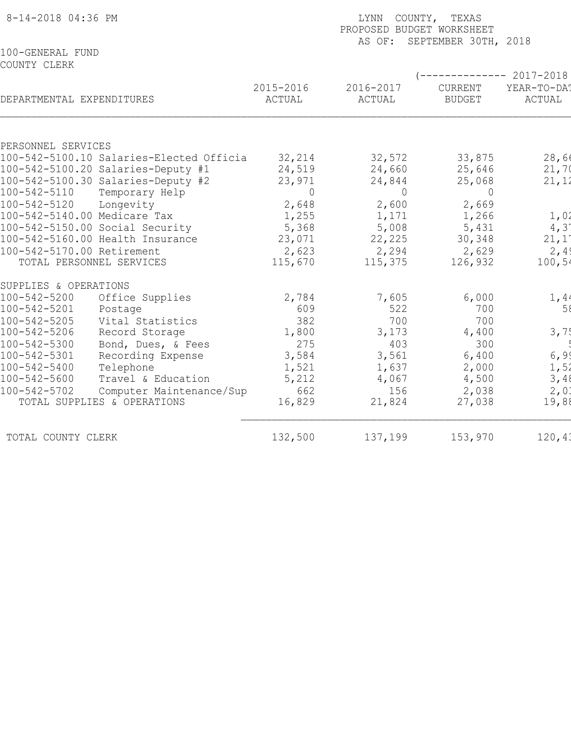| AS OF: SEPTEMBER 30TH, 2018<br>100-GENERAL FUND<br>COUNTY CLERK<br>------------ 2017-2018<br>2015-2016<br>2016-2017<br>YEAR-TO-DA!<br>CURRENT<br>DEPARTMENTAL EXPENDITURES<br>ACTUAL<br>ACTUAL<br><b>BUDGET</b><br>ACTUAL<br>PERSONNEL SERVICES<br>28,60<br>32,214<br>33,875<br>100-542-5100.10 Salaries-Elected Officia<br>32,572<br>24,519<br>21,70<br>100-542-5100.20 Salaries-Deputy #1<br>24,660<br>25,646<br>100-542-5100.30 Salaries-Deputy #2<br>23,971<br>24,844<br>25,068<br>21, 12<br>100-542-5110<br>Temporary Help<br>$\Omega$<br>$\circ$<br>$\Omega$<br>2,648<br>100-542-5120<br>Longevity<br>2,600<br>2,669<br>1,01<br>100-542-5140.00 Medicare Tax<br>1,255<br>1,171<br>1,266<br>100-542-5150.00 Social Security<br>5,368<br>5,008<br>4,31<br>5,431<br>21,11<br>100-542-5160.00 Health Insurance<br>23,071<br>22,225<br>30,348<br>2,49<br>100-542-5170.00 Retirement<br>2,623<br>2,294<br>2,629<br>TOTAL PERSONNEL SERVICES<br>115,670<br>115,375<br>126,932<br>100,54 |
|----------------------------------------------------------------------------------------------------------------------------------------------------------------------------------------------------------------------------------------------------------------------------------------------------------------------------------------------------------------------------------------------------------------------------------------------------------------------------------------------------------------------------------------------------------------------------------------------------------------------------------------------------------------------------------------------------------------------------------------------------------------------------------------------------------------------------------------------------------------------------------------------------------------------------------------------------------------------------------------|
|                                                                                                                                                                                                                                                                                                                                                                                                                                                                                                                                                                                                                                                                                                                                                                                                                                                                                                                                                                                        |
|                                                                                                                                                                                                                                                                                                                                                                                                                                                                                                                                                                                                                                                                                                                                                                                                                                                                                                                                                                                        |
|                                                                                                                                                                                                                                                                                                                                                                                                                                                                                                                                                                                                                                                                                                                                                                                                                                                                                                                                                                                        |
|                                                                                                                                                                                                                                                                                                                                                                                                                                                                                                                                                                                                                                                                                                                                                                                                                                                                                                                                                                                        |
|                                                                                                                                                                                                                                                                                                                                                                                                                                                                                                                                                                                                                                                                                                                                                                                                                                                                                                                                                                                        |
|                                                                                                                                                                                                                                                                                                                                                                                                                                                                                                                                                                                                                                                                                                                                                                                                                                                                                                                                                                                        |
|                                                                                                                                                                                                                                                                                                                                                                                                                                                                                                                                                                                                                                                                                                                                                                                                                                                                                                                                                                                        |
|                                                                                                                                                                                                                                                                                                                                                                                                                                                                                                                                                                                                                                                                                                                                                                                                                                                                                                                                                                                        |
|                                                                                                                                                                                                                                                                                                                                                                                                                                                                                                                                                                                                                                                                                                                                                                                                                                                                                                                                                                                        |
|                                                                                                                                                                                                                                                                                                                                                                                                                                                                                                                                                                                                                                                                                                                                                                                                                                                                                                                                                                                        |
|                                                                                                                                                                                                                                                                                                                                                                                                                                                                                                                                                                                                                                                                                                                                                                                                                                                                                                                                                                                        |
|                                                                                                                                                                                                                                                                                                                                                                                                                                                                                                                                                                                                                                                                                                                                                                                                                                                                                                                                                                                        |
|                                                                                                                                                                                                                                                                                                                                                                                                                                                                                                                                                                                                                                                                                                                                                                                                                                                                                                                                                                                        |
| SUPPLIES & OPERATIONS                                                                                                                                                                                                                                                                                                                                                                                                                                                                                                                                                                                                                                                                                                                                                                                                                                                                                                                                                                  |
| 1,44<br>$100 - 542 - 5200$<br>Office Supplies<br>2,784<br>7,605<br>6,000                                                                                                                                                                                                                                                                                                                                                                                                                                                                                                                                                                                                                                                                                                                                                                                                                                                                                                               |
| 100-542-5201<br>58<br>609<br>522<br>700<br>Postage                                                                                                                                                                                                                                                                                                                                                                                                                                                                                                                                                                                                                                                                                                                                                                                                                                                                                                                                     |
| 700<br>100-542-5205<br>Vital Statistics<br>382<br>700                                                                                                                                                                                                                                                                                                                                                                                                                                                                                                                                                                                                                                                                                                                                                                                                                                                                                                                                  |
| 3,75<br>100-542-5206<br>Record Storage<br>1,800<br>3,173<br>4,400                                                                                                                                                                                                                                                                                                                                                                                                                                                                                                                                                                                                                                                                                                                                                                                                                                                                                                                      |
| 275<br>403<br>100-542-5300<br>Bond, Dues, & Fees<br>300                                                                                                                                                                                                                                                                                                                                                                                                                                                                                                                                                                                                                                                                                                                                                                                                                                                                                                                                |
| 6, 99<br>100-542-5301<br>3,584<br>3,561<br>6,400<br>Recording Expense                                                                                                                                                                                                                                                                                                                                                                                                                                                                                                                                                                                                                                                                                                                                                                                                                                                                                                                  |
| 1,52<br>100-542-5400<br>Telephone<br>1,521<br>1,637<br>2,000                                                                                                                                                                                                                                                                                                                                                                                                                                                                                                                                                                                                                                                                                                                                                                                                                                                                                                                           |
| 100-542-5600<br>Travel & Education<br>3,48<br>5,212<br>4,067<br>4,500                                                                                                                                                                                                                                                                                                                                                                                                                                                                                                                                                                                                                                                                                                                                                                                                                                                                                                                  |
| 100-542-5702<br>Computer Maintenance/Sup<br>662<br>156<br>2,038<br>2,01                                                                                                                                                                                                                                                                                                                                                                                                                                                                                                                                                                                                                                                                                                                                                                                                                                                                                                                |
| TOTAL SUPPLIES & OPERATIONS<br>16,829<br>21,824<br>19,88<br>27,038                                                                                                                                                                                                                                                                                                                                                                                                                                                                                                                                                                                                                                                                                                                                                                                                                                                                                                                     |
| 132,500<br>120, 41<br>137,199<br>153,970<br>TOTAL COUNTY CLERK                                                                                                                                                                                                                                                                                                                                                                                                                                                                                                                                                                                                                                                                                                                                                                                                                                                                                                                         |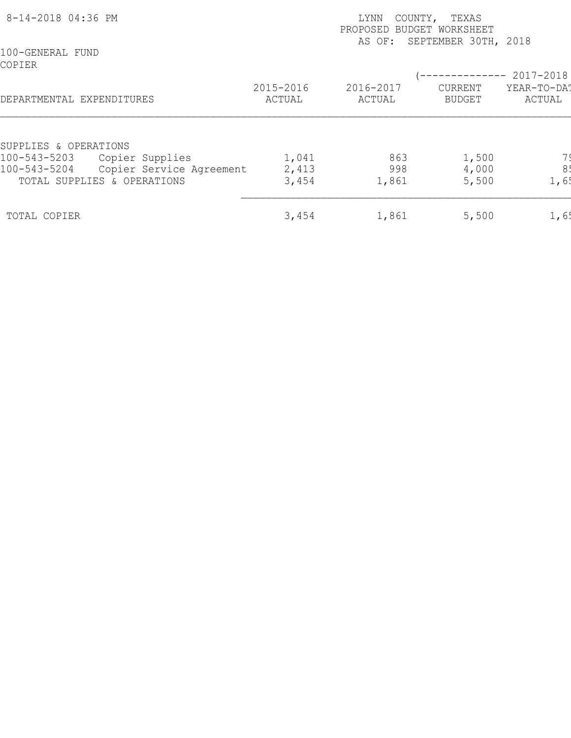| 8-14-2018 04:36 PM         |                             | COUNTY,<br>TEXAS<br>LYNN<br>PROPOSED BUDGET WORKSHEET<br>SEPTEMBER 30TH, 2018<br>AS OF: |                     |                          |                                    |  |
|----------------------------|-----------------------------|-----------------------------------------------------------------------------------------|---------------------|--------------------------|------------------------------------|--|
| 100-GENERAL FUND<br>COPIER |                             |                                                                                         |                     | ------------             |                                    |  |
| DEPARTMENTAL EXPENDITURES  |                             | 2015-2016<br>ACTUAL                                                                     | 2016-2017<br>ACTUAL | CURRENT<br><b>BUDGET</b> | 2017-2018<br>YEAR-TO-DAT<br>ACTUAL |  |
| SUPPLIES & OPERATIONS      |                             |                                                                                         |                     |                          |                                    |  |
| 100-543-5203               | Copier Supplies             | 1,041                                                                                   | 863                 | 1,500                    |                                    |  |
| 100-543-5204               | Copier Service Agreement    | 2,413                                                                                   | 998                 | 4,000                    | 8!                                 |  |
|                            | TOTAL SUPPLIES & OPERATIONS | 3,454                                                                                   | 1,861               | 5,500                    | 1,65                               |  |
| TOTAL COPIER               |                             | 3,454                                                                                   | 1,861               | 5,500                    | 1,6!                               |  |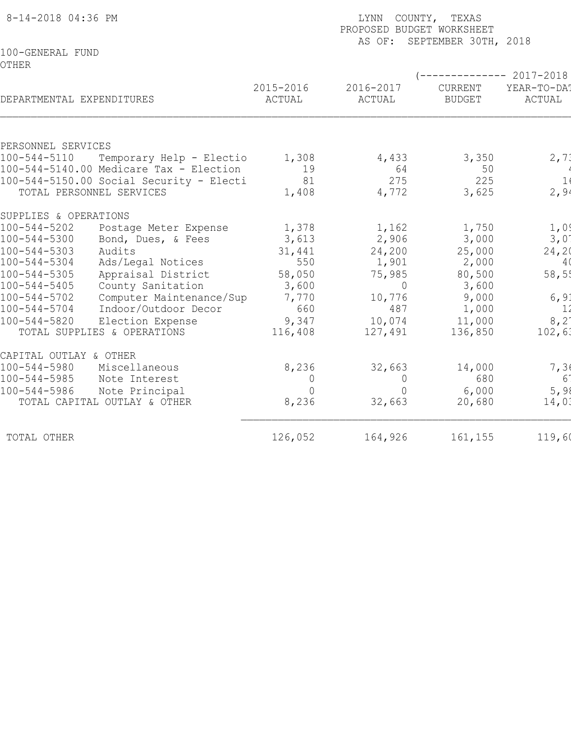| 8-14-2018 04:36 PM                                                                           | LYNN COUNTY, TEXAS<br>PROPOSED BUDGET WORKSHEET<br>AS OF: SEPTEMBER 30TH, 2018 |                     |                          |                                                 |  |
|----------------------------------------------------------------------------------------------|--------------------------------------------------------------------------------|---------------------|--------------------------|-------------------------------------------------|--|
| 100-GENERAL FUND<br><b>OTHER</b>                                                             |                                                                                |                     |                          |                                                 |  |
| DEPARTMENTAL EXPENDITURES                                                                    | 2015-2016<br>ACTUAL                                                            | 2016-2017<br>ACTUAL | CURRENT<br><b>BUDGET</b> | ------------ 2017-2018<br>YEAR-TO-DAT<br>ACTUAL |  |
| PERSONNEL SERVICES                                                                           |                                                                                |                     |                          |                                                 |  |
| $100 - 544 - 5110$<br>Temporary Help - Electio                                               | 1,308                                                                          | 4,433               | 3,350                    | 2, 71                                           |  |
| 100-544-5140.00 Medicare Tax - Election                                                      | 19                                                                             | 64                  | 50                       |                                                 |  |
| $100-544-5150.00$ Social Security - Electi<br>TOTAL PERSONNEL SERVICES                       | 81<br>1,408                                                                    | 275<br>4,772        | 225<br>3,625             | 1(<br>2,94                                      |  |
| SUPPLIES & OPERATIONS                                                                        |                                                                                |                     |                          |                                                 |  |
| $100 - 544 - 5202$<br>Postage Meter Expense                                                  | 1,378                                                                          | 1,162               | 1,750                    | 1,0                                             |  |
| $100 - 544 - 5300$<br>Bond, Dues, & Fees                                                     | 3,613                                                                          | 2,906               | 3,000                    | 3,01                                            |  |
| $100 - 544 - 5303$<br>Audits                                                                 | 31,441                                                                         | 24,200              | 25,000                   | 24, 20                                          |  |
| $100 - 544 - 5304$<br>Ads/Legal Notices                                                      | 550                                                                            | 1,901               | 2,000                    | 40                                              |  |
| $100 - 544 - 5305$<br>Appraisal District                                                     | 58,050                                                                         | 75,985              | 80,500                   | 58,55                                           |  |
| $100 - 544 - 5405$<br>County Sanitation                                                      | 3,600                                                                          | $\Omega$            | 3,600                    |                                                 |  |
| $100 - 544 - 5702$<br>Computer Maintenance/Sup<br>$100 - 544 - 5704$<br>Indoor/Outdoor Decor | 7,770<br>660                                                                   | 10,776<br>487       | 9,000<br>1,000           | 6, 9.<br>11                                     |  |
| $100 - 544 - 5820$<br>Election Expense                                                       | 9,347                                                                          | 10,074              | 11,000                   | 8, 21                                           |  |
| TOTAL SUPPLIES & OPERATIONS                                                                  | 116,408                                                                        | 127,491             | 136,850                  | 102,61                                          |  |
| CAPITAL OUTLAY & OTHER                                                                       |                                                                                |                     |                          |                                                 |  |
| $100 - 544 - 5980$<br>Miscellaneous                                                          | 8,236                                                                          | 32,663              | 14,000                   | 7,36                                            |  |
| $100 - 544 - 5985$<br>Note Interest                                                          | $\overline{0}$                                                                 | $\overline{0}$      | 680                      | 61                                              |  |
| $100 - 544 - 5986$<br>Note Principal                                                         | $\overline{0}$                                                                 | $\Omega$            | 6,000                    | 5,98                                            |  |
| TOTAL CAPITAL OUTLAY & OTHER                                                                 | 8,236                                                                          | 32,663              | 20,680                   | 14,03                                           |  |
| TOTAL OTHER                                                                                  | 126,052                                                                        | 164,926             | 161,155                  | 119,60                                          |  |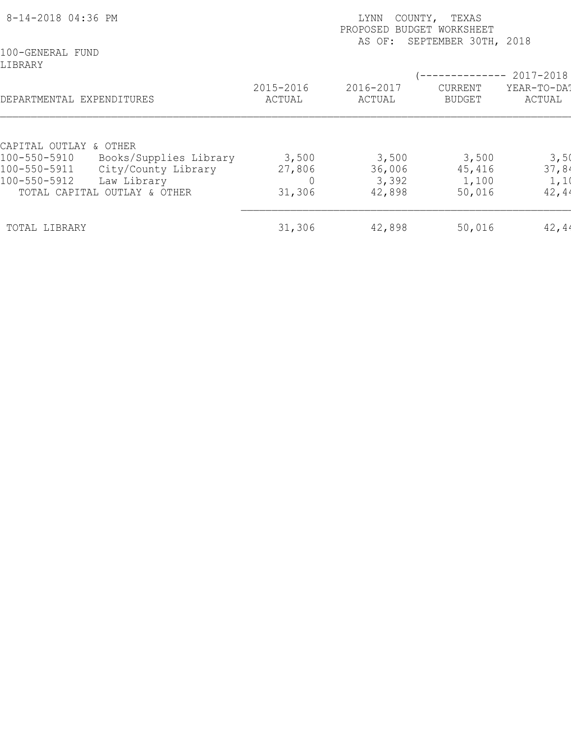| 8-14-2018 04:36 PM                                                 |                    | LYNN<br>COUNTY,<br>PROPOSED<br>AS OF: | TEXAS<br>BUDGET WORKSHEET<br>SEPTEMBER 30TH, 2018 |                          |
|--------------------------------------------------------------------|--------------------|---------------------------------------|---------------------------------------------------|--------------------------|
| 100-GENERAL FUND<br>LIBRARY                                        | 2015-2016          | 2016-2017                             | <b>CURRENT</b>                                    | 2017-2018<br>YEAR-TO-DAT |
| DEPARTMENTAL EXPENDITURES                                          | ACTUAL             | ACTUAL                                | <b>BUDGET</b>                                     | ACTUAL                   |
| CAPITAL OUTLAY & OTHER<br>Books/Supplies Library<br>100-550-5910   | 3,500              | 3,500                                 | 3,500                                             | 3,50                     |
| City/County Library<br>100-550-5911<br>Law Library<br>100-550-5912 | 27,806<br>$\Omega$ | 36,006<br>3,392                       | 45,416<br>1,100                                   | 37,84<br>1,1             |
| TOTAL CAPITAL OUTLAY & OTHER                                       | 31,306             | 42,898                                | 50,016                                            | 42, 44                   |
| TOTAL LIBRARY                                                      | 31,306             | 42,898                                | 50,016                                            | 42,44                    |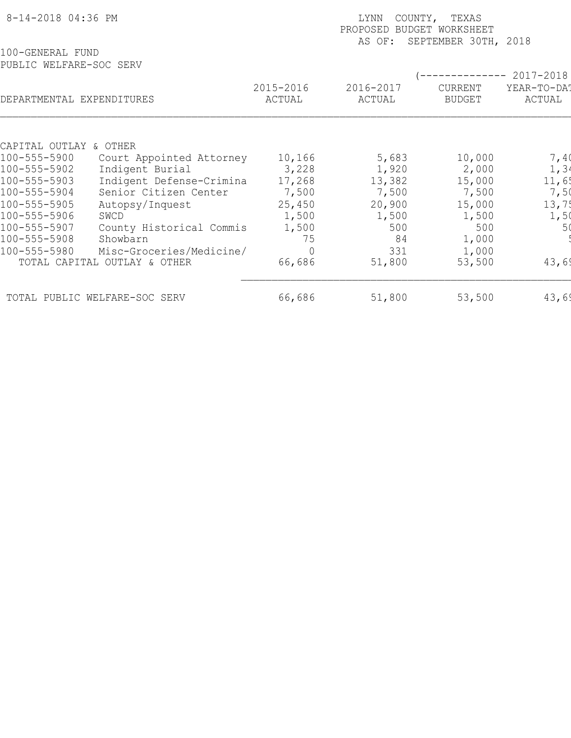| 8-14-2018 04:36 PM                          |                               |                     | COUNTY, TEXAS<br><b>LYNN</b><br>PROPOSED<br><b>BUDGET WORKSHEET</b><br>SEPTEMBER 30TH, 2018<br>AS OF: |                                 |                       |  |  |
|---------------------------------------------|-------------------------------|---------------------|-------------------------------------------------------------------------------------------------------|---------------------------------|-----------------------|--|--|
| 100-GENERAL FUND<br>PUBLIC WELFARE-SOC SERV |                               |                     |                                                                                                       |                                 | 2017-2018             |  |  |
| DEPARTMENTAL EXPENDITURES                   |                               | 2015-2016<br>ACTUAL | 2016-2017<br>ACTUAL                                                                                   | <b>CURRENT</b><br><b>BUDGET</b> | YEAR-TO-DAT<br>ACTUAL |  |  |
| CAPITAL OUTLAY & OTHER                      |                               |                     |                                                                                                       |                                 |                       |  |  |
| 100-555-5900                                | Court Appointed Attorney      | 10,166              | 5,683                                                                                                 | 10,000                          | 7,40                  |  |  |
| 100-555-5902                                | Indigent Burial               | 3,228               | 1,920                                                                                                 | 2,000                           | 1, 34                 |  |  |
| 100-555-5903                                | Indigent Defense-Crimina      | 17,268              | 13,382                                                                                                | 15,000                          | 11,6!                 |  |  |
| 100-555-5904                                | Senior Citizen Center         | 7,500               | 7,500                                                                                                 | 7,500                           | 7,50                  |  |  |
| 100-555-5905                                | Autopsy/Inquest               | 25,450              | 20,900                                                                                                | 15,000                          | 13,75                 |  |  |
| 100-555-5906                                | SWCD                          | 1,500               | 1,500                                                                                                 | 1,500                           | 1,50                  |  |  |
| 100-555-5907                                | County Historical Commis      | 1,500               | 500                                                                                                   | 500                             | 50                    |  |  |
| 100-555-5908                                | Showbarn                      | 75                  | 84                                                                                                    | 1,000                           |                       |  |  |
| 100-555-5980                                | Misc-Groceries/Medicine/      |                     | 331                                                                                                   | 1,000                           |                       |  |  |
|                                             | TOTAL CAPITAL OUTLAY & OTHER  | 66,686              | 51,800                                                                                                | 53,500                          | 43,69                 |  |  |
|                                             | TOTAL PUBLIC WELFARE-SOC SERV | 66,686              | 51,800                                                                                                | 53,500                          | 43,69                 |  |  |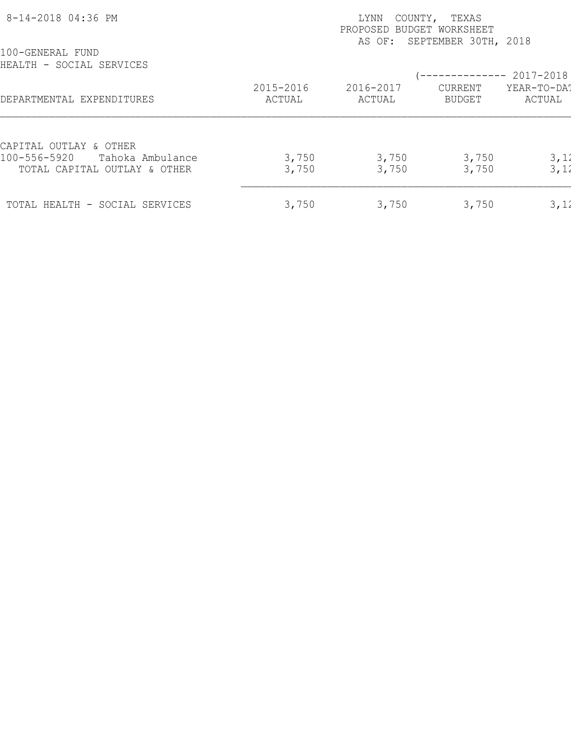| 8-14-2018 04:36 PM                               |                     | COUNTY,<br>LYNN<br>PROPOSED BUDGET WORKSHEET | TEXAS<br>AS OF: SEPTEMBER 30TH, 2018 |                       |
|--------------------------------------------------|---------------------|----------------------------------------------|--------------------------------------|-----------------------|
| 100-GENERAL FUND<br>HEALTH - SOCIAL SERVICES     |                     |                                              |                                      | $--------- 2017-2018$ |
| DEPARTMENTAL EXPENDITURES                        | 2015-2016<br>ACTUAL | 2016-2017<br>ACTUAL                          | CURRENT<br>BUDGET                    | YEAR-TO-DAT<br>ACTUAL |
| CAPITAL OUTLAY & OTHER<br>100-556-5920           |                     |                                              |                                      |                       |
| Tahoka Ambulance<br>TOTAL CAPITAL OUTLAY & OTHER | 3,750<br>3,750      | 3,750<br>3,750                               | 3,750<br>3,750                       | 3,12<br>3,12          |
| TOTAL HEALTH - SOCIAL SERVICES                   | 3,750               | 3,750                                        | 3,750                                | 3,12                  |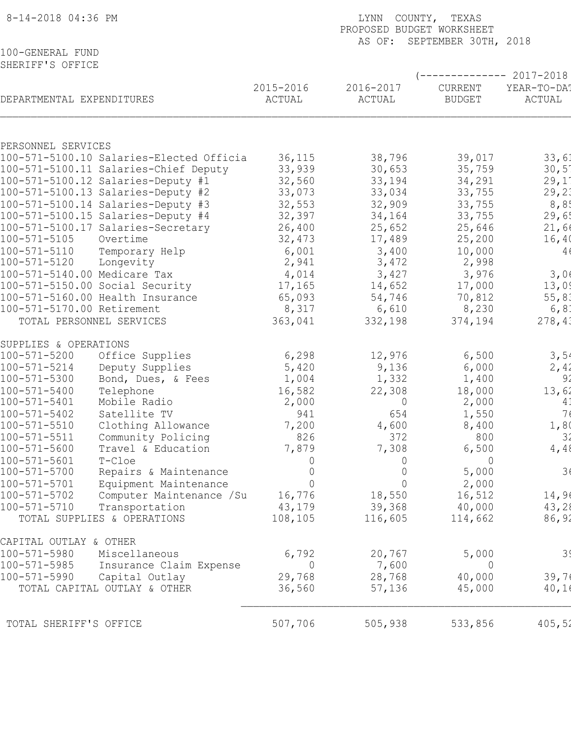| 8-14-2018 04:36 PM                       |                                                             | LYNN COUNTY, TEXAS<br>PROPOSED BUDGET WORKSHEET<br>AS OF: SEPTEMBER 30TH, 2018 |                                  |                       |  |  |
|------------------------------------------|-------------------------------------------------------------|--------------------------------------------------------------------------------|----------------------------------|-----------------------|--|--|
| 100-GENERAL FUND<br>SHERIFF'S OFFICE     |                                                             |                                                                                |                                  |                       |  |  |
|                                          |                                                             |                                                                                |                                  | $-------- 2017-2018$  |  |  |
| DEPARTMENTAL EXPENDITURES                | 2015-2016<br>ACTUAL                                         | 2016-2017<br>ACTUAL                                                            | CURRENT<br><b>BUDGET</b>         | YEAR-TO-DA!<br>ACTUAL |  |  |
|                                          |                                                             |                                                                                |                                  |                       |  |  |
| PERSONNEL SERVICES                       |                                                             |                                                                                |                                  |                       |  |  |
| 100-571-5100.10 Salaries-Elected Officia | 36,115                                                      | 38,796                                                                         | 39,017                           | 33,61                 |  |  |
| 100-571-5100.11 Salaries-Chief Deputy    | 33,939                                                      | 30,653                                                                         | 35,759                           | $30,5^{\circ}$        |  |  |
| 100-571-5100.12 Salaries-Deputy #1       | 32,560                                                      | 33,194                                                                         | 34,291                           | 29,1                  |  |  |
| 100-571-5100.13 Salaries-Deputy #2       | 33,073                                                      | 33,034                                                                         | 33,755                           | 29, 21                |  |  |
| 100-571-5100.14 Salaries-Deputy #3       | 32,553                                                      | 32,909                                                                         | 33,755                           | 8,85                  |  |  |
| 100-571-5100.15 Salaries-Deputy #4       | 32,397                                                      | 34,164                                                                         | 33,755                           | 29,6!                 |  |  |
| 100-571-5100.17 Salaries-Secretary       | 26,400                                                      | 25,652                                                                         | 25,646                           | 21,60                 |  |  |
| 100-571-5105<br>Overtime                 | 32,473                                                      | 17,489                                                                         | 25,200                           | 16,40                 |  |  |
| 100-571-5110<br>Temporary Help           | 6,001                                                       | 3,400                                                                          | 10,000                           | 4                     |  |  |
| 100-571-5120<br>Longevity                | 2,941                                                       | 3,472                                                                          | 2,998                            |                       |  |  |
| 100-571-5140.00 Medicare Tax             | 4,014                                                       | 3,427                                                                          | 3,976                            | 3,06                  |  |  |
| 100-571-5150.00 Social Security          | 17,165                                                      | 14,652                                                                         | 17,000                           | 13,09                 |  |  |
| 100-571-5160.00 Health Insurance         | 65,093                                                      | 54,746                                                                         | 70,812                           | 55, 81                |  |  |
| 100-571-5170.00 Retirement               | 8,317                                                       | 6,610                                                                          | 8,230                            | 6, 81                 |  |  |
| TOTAL PERSONNEL SERVICES                 | 363,041                                                     | 332,198                                                                        | 374,194                          | 278, 41               |  |  |
| SUPPLIES & OPERATIONS                    |                                                             |                                                                                |                                  |                       |  |  |
| 100-571-5200<br>Office Supplies          | 6,298                                                       | 12,976                                                                         | 6,500                            | 3,54                  |  |  |
| $100 - 571 - 5214$<br>Deputy Supplies    | 5,420                                                       | 9,136                                                                          | 6,000                            | 2,42                  |  |  |
| $100 - 571 - 5300$<br>Bond, Dues, & Fees | 1,004                                                       | 1,332                                                                          | 1,400                            | 92                    |  |  |
| 100-571-5400<br>Telephone                | 16,582                                                      | 22,308                                                                         | 18,000                           | 13,62                 |  |  |
| $100 - 571 - 5401$<br>Mobile Radio       | 2,000                                                       |                                                                                | $\overline{0}$<br>2,000          | 41                    |  |  |
| $100 - 571 - 5402$<br>Satellite TV       |                                                             | 941<br>654                                                                     | 1,550                            | 7(                    |  |  |
| $100 - 571 - 5510$<br>Clothing Allowance | 7,200                                                       | 4,600                                                                          | 8,400                            | 1,80                  |  |  |
| $100 - 571 - 5511$<br>Community Policing |                                                             | 826<br>372                                                                     | 800                              | 3 <sup>′</sup>        |  |  |
| $100 - 571 - 5600$<br>Travel & Education | 7,879                                                       | 7,308                                                                          | 6,500                            | 4,48                  |  |  |
| $100 - 571 - 5601$<br>T-Cloe             |                                                             | 0<br>0                                                                         | $\overline{0}$<br>$\overline{0}$ | 3 <sub>6</sub>        |  |  |
| $100 - 571 - 5700$                       | Repairs & Maintenance                                       |                                                                                | $\overline{0}$<br>5,000          |                       |  |  |
| 100-571-5701<br>100-571-5702             | Equipment Maintenance<br>Computer Maintenance /Su<br>16,776 | $\overline{0}$<br>18,550                                                       | 2,000<br>$\mathbf 0$<br>16,512   | 14,96                 |  |  |
| $100 - 571 - 5710$<br>Transportation     | 43,179                                                      | 39,368                                                                         | 40,000                           | 43,28                 |  |  |
| TOTAL SUPPLIES & OPERATIONS              | 108,105                                                     | 116,605                                                                        | 114,662                          | 86,92                 |  |  |
| CAPITAL OUTLAY & OTHER                   |                                                             |                                                                                |                                  |                       |  |  |
| 100-571-5980<br>Miscellaneous            | 6,792                                                       | 20,767                                                                         | 5,000                            | 39                    |  |  |
| 100-571-5985                             | Insurance Claim Expense                                     | 7,600<br>$\Omega$                                                              | $\overline{0}$                   |                       |  |  |
| 100-571-5990<br>Capital Outlay           | 29,768                                                      | 28,768                                                                         | 40,000                           | 39,76                 |  |  |
| TOTAL CAPITAL OUTLAY & OTHER             | 36,560                                                      | 57,136                                                                         | 45,000                           | 40,10                 |  |  |
| TOTAL SHERIFF'S OFFICE                   | 507,706                                                     | 505,938                                                                        | 533,856                          | 405, 52               |  |  |
|                                          |                                                             |                                                                                |                                  |                       |  |  |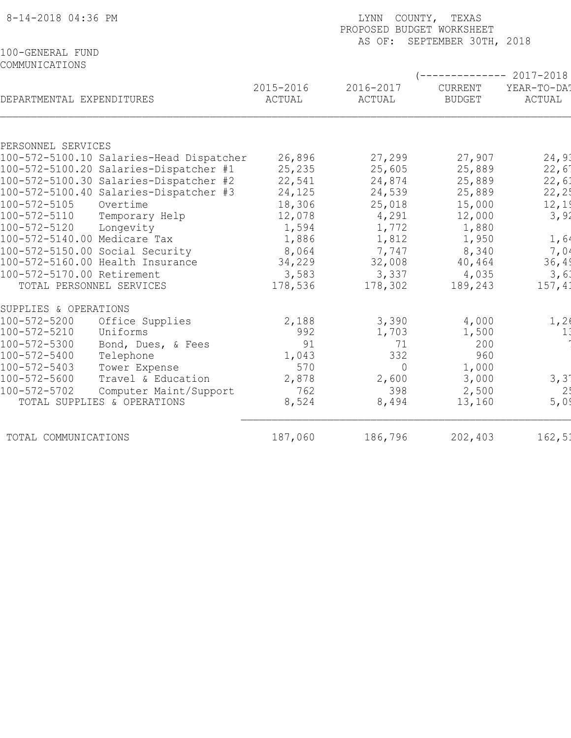| 8-14-2018 04:36 PM                       |                     | LYNN COUNTY, TEXAS<br>PROPOSED BUDGET WORKSHEET |                                 |                       |
|------------------------------------------|---------------------|-------------------------------------------------|---------------------------------|-----------------------|
| 100-GENERAL FUND                         |                     |                                                 | AS OF: SEPTEMBER 30TH, 2018     |                       |
| COMMUNICATIONS                           |                     |                                                 |                                 |                       |
|                                          |                     |                                                 |                                 | $-------- 2017-2018$  |
| DEPARTMENTAL EXPENDITURES                | 2015-2016<br>ACTUAL | 2016-2017<br>ACTUAL                             | <b>CURRENT</b><br><b>BUDGET</b> | YEAR-TO-DA!<br>ACTUAL |
|                                          |                     |                                                 |                                 |                       |
| PERSONNEL SERVICES                       |                     |                                                 |                                 |                       |
| 100-572-5100.10 Salaries-Head Dispatcher | 26,896              | 27,299                                          | 27,907                          | 24,93                 |
| 100-572-5100.20 Salaries-Dispatcher #1   | 25,235              | 25,605                                          | 25,889                          | 22,6                  |
| 100-572-5100.30 Salaries-Dispatcher #2   | 22,541              | 24,874                                          | 25,889                          | 22,61                 |
| 100-572-5100.40 Salaries-Dispatcher #3   | 24,125              | 24,539                                          | 25,889                          | 22, 25                |
| 100-572-5105<br>Overtime                 | 18,306              | 25,018                                          | 15,000                          | 12,19                 |
| 100-572-5110<br>Temporary Help           | 12,078              | 4,291                                           | 12,000                          | 3,92                  |
| 100-572-5120<br>Longevity                | 1,594               | 1,772                                           | 1,880                           |                       |
| 100-572-5140.00 Medicare Tax             | 1,886               | 1,812                                           | 1,950                           | 1,64                  |
| 100-572-5150.00 Social Security          | 8,064               | 7,747                                           | 8,340                           | 7,04                  |
| 100-572-5160.00 Health Insurance         | 34,229              | 32,008                                          | 40,464                          | 36, 49                |
| 100-572-5170.00 Retirement               | 3,583               | 3,337                                           | 4,035                           | 3, 6:                 |
| TOTAL PERSONNEL SERVICES                 | 178,536             | 178,302                                         | 189,243                         | 157,41                |
| SUPPLIES & OPERATIONS                    |                     |                                                 |                                 |                       |
| 100-572-5200<br>Office Supplies          | 2,188               | 3,390                                           | 4,000                           | 1, 2(                 |
| 100-572-5210<br>Uniforms                 | 992                 | 1,703                                           | 1,500                           | 1                     |
| 100-572-5300<br>Bond, Dues, & Fees       | 91                  | 71                                              | 200                             |                       |
| 100-572-5400<br>Telephone                | 1,043               | 332                                             | 960                             |                       |
| $100 - 572 - 5403$<br>Tower Expense      | 570                 | $\Omega$                                        | 1,000                           |                       |
| 100-572-5600<br>Travel & Education       | 2,878               | 2,600                                           | 3,000                           | 3, 31                 |
| 100-572-5702<br>Computer Maint/Support   | 762                 | 398                                             | 2,500                           | 2!                    |
| TOTAL SUPPLIES & OPERATIONS              | 8,524               | 8,494                                           | 13,160                          | 5,0                   |
| TOTAL COMMUNICATIONS                     | 187,060             | 186,796                                         | 202,403                         | 162, 51               |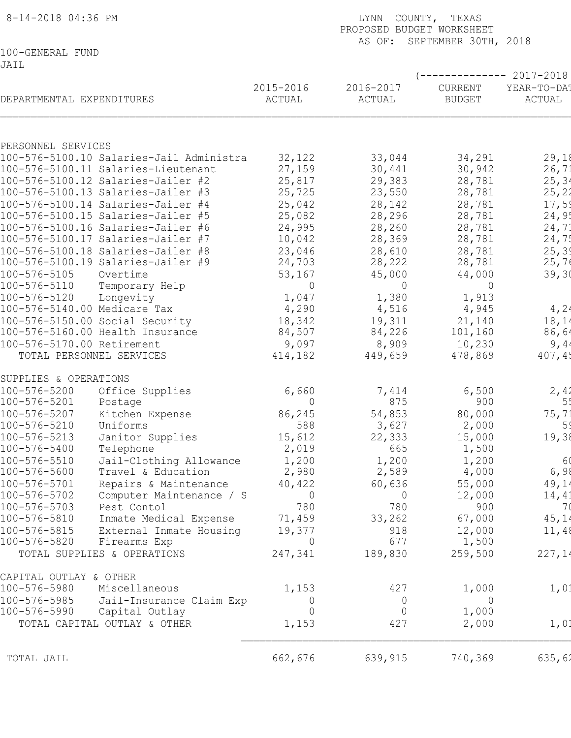| 8-14-2018 04:36 PM                                                       |                     | COUNTY, TEXAS<br>LYNN<br>PROPOSED BUDGET WORKSHEET<br>AS OF:<br>SEPTEMBER 30TH, 2018 |                          |                                             |  |  |
|--------------------------------------------------------------------------|---------------------|--------------------------------------------------------------------------------------|--------------------------|---------------------------------------------|--|--|
| 100-GENERAL FUND<br>JAIL                                                 |                     |                                                                                      |                          |                                             |  |  |
| DEPARTMENTAL EXPENDITURES                                                | 2015-2016<br>ACTUAL | 2016-2017<br>ACTUAL                                                                  | CURRENT<br><b>BUDGET</b> | $------ 2017-2018$<br>YEAR-TO-DA!<br>ACTUAL |  |  |
|                                                                          |                     |                                                                                      |                          |                                             |  |  |
| PERSONNEL SERVICES                                                       |                     |                                                                                      |                          |                                             |  |  |
| 100-576-5100.10 Salaries-Jail Administra                                 | 32,122              | 33,044                                                                               | 34,291                   | 29,18                                       |  |  |
| 100-576-5100.11 Salaries-Lieutenant                                      | 27,159              | 30,441                                                                               | 30,942                   | 26, 71                                      |  |  |
| 100-576-5100.12 Salaries-Jailer #2<br>100-576-5100.13 Salaries-Jailer #3 | 25,817<br>25,725    | 29,383<br>23,550                                                                     | 28,781<br>28,781         | 25, 34<br>25, 22                            |  |  |
| 100-576-5100.14 Salaries-Jailer #4                                       | 25,042              | 28,142                                                                               | 28,781                   | 17,59                                       |  |  |
| 100-576-5100.15 Salaries-Jailer #5                                       | 25,082              | 28,296                                                                               | 28,781                   | 24,9!                                       |  |  |
| 100-576-5100.16 Salaries-Jailer #6                                       | 24,995              | 28,260                                                                               | 28,781                   | 24,73                                       |  |  |
| 100-576-5100.17 Salaries-Jailer #7                                       | 10,042              | 28,369                                                                               | 28,781                   | 24,75                                       |  |  |
| 100-576-5100.18 Salaries-Jailer #8                                       | 23,046              | 28,610                                                                               | 28,781                   | 25, 39                                      |  |  |
| 100-576-5100.19 Salaries-Jailer #9                                       | 24,703              | 28,222                                                                               | 28,781                   | 25,76                                       |  |  |
| 100-576-5105<br>Overtime                                                 | 53,167              | 45,000                                                                               | 44,000                   | 39, 30                                      |  |  |
| 100-576-5110<br>Temporary Help                                           | $\mathbf 0$         | $\overline{0}$                                                                       | 0                        |                                             |  |  |
| 100-576-5120<br>Longevity                                                | 1,047               | 1,380                                                                                | 1,913                    |                                             |  |  |
| 100-576-5140.00 Medicare Tax                                             | 4,290               | 4,516                                                                                | 4,945                    | 4,24                                        |  |  |
| 100-576-5150.00 Social Security                                          | 18,342              | 19,311                                                                               | 21,140                   | 18,14                                       |  |  |
| 100-576-5160.00 Health Insurance                                         | 84,507              | 84,226                                                                               | 101,160                  | 86,64                                       |  |  |
| 100-576-5170.00 Retirement                                               | 9,097               | 8,909                                                                                | 10,230                   | 9,4                                         |  |  |
| TOTAL PERSONNEL SERVICES                                                 | 414,182             | 449,659                                                                              | 478,869                  | 407,45                                      |  |  |
| SUPPLIES & OPERATIONS                                                    |                     |                                                                                      |                          |                                             |  |  |
| 100-576-5200<br>Office Supplies                                          | 6,660               | 7,414                                                                                | 6,500                    | 2,42                                        |  |  |
| 100-576-5201<br>Postage                                                  | $\overline{0}$      | 875                                                                                  | 900                      | 5 <sup>t</sup>                              |  |  |
| $100 - 576 - 5207$<br>Kitchen Expense                                    | 86,245              | 54,853                                                                               | 80,000                   | 75,71                                       |  |  |
| 100-576-5210<br>Uniforms                                                 | 588                 | 3,627                                                                                | 2,000                    | 5 <sup>′</sup>                              |  |  |
| 100-576-5213<br>Janitor Supplies                                         | 15,612              | 22,333                                                                               | 15,000                   | 19,38                                       |  |  |
| 100-576-5400<br>Telephone                                                | 2,019               | 665                                                                                  | 1,500                    |                                             |  |  |
| 100-576-5510<br>Jail-Clothing Allowance                                  | 1,200               | 1,200                                                                                | 1,200                    | 6                                           |  |  |
| 100-576-5600<br>Travel & Education                                       | 2,980               | 2,589                                                                                | 4,000                    | 6,98                                        |  |  |
| 100-576-5701<br>Repairs & Maintenance<br>100-576-5702                    | 40,422<br>$\Omega$  | 60,636<br>$\overline{0}$                                                             | 55,000                   | 49,14                                       |  |  |
| Computer Maintenance / S<br>100-576-5703<br>Pest Contol                  | 780                 | 780                                                                                  | 12,000<br>900            | 14, 41<br>70                                |  |  |
| 100-576-5810<br>Inmate Medical Expense                                   | 71,459              | 33,262                                                                               | 67,000                   | 45,14                                       |  |  |
| 100-576-5815<br>External Inmate Housing                                  | 19,377              | 918                                                                                  | 12,000                   | 11,48                                       |  |  |
| 100-576-5820<br>Firearms Exp                                             | $\overline{0}$      | 677                                                                                  | 1,500                    |                                             |  |  |
| TOTAL SUPPLIES & OPERATIONS                                              | 247,341             | 189,830                                                                              | 259,500                  | 227,14                                      |  |  |
| CAPITAL OUTLAY & OTHER                                                   |                     |                                                                                      |                          |                                             |  |  |
| 100-576-5980<br>Miscellaneous                                            | 1,153               | 427                                                                                  | 1,000                    | 1,0:                                        |  |  |
| 100-576-5985<br>Jail-Insurance Claim Exp                                 | $\overline{0}$      | $\overline{0}$                                                                       | $\overline{0}$           |                                             |  |  |
| 100-576-5990<br>Capital Outlay                                           | 0                   | $\overline{0}$                                                                       | 1,000                    |                                             |  |  |
| TOTAL CAPITAL OUTLAY & OTHER                                             | 1,153               | 427                                                                                  | 2,000                    | 1,01                                        |  |  |
| TOTAL JAIL                                                               | 662,676             | 639,915                                                                              | 740,369                  | 635,62                                      |  |  |
|                                                                          |                     |                                                                                      |                          |                                             |  |  |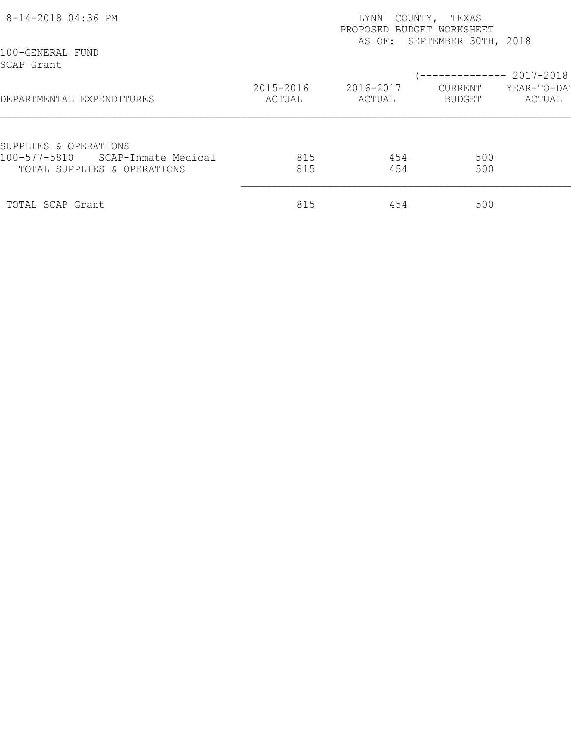| 8-14-2018 04:36 PM                                                 |                     | LYNN<br>PROPOSED BUDGET WORKSHEET | COUNTY, TEXAS<br>AS OF: SEPTEMBER 30TH, 2018 |                       |
|--------------------------------------------------------------------|---------------------|-----------------------------------|----------------------------------------------|-----------------------|
| 100-GENERAL FUND<br>SCAP Grant                                     |                     |                                   | (-------------- 2017-2018                    |                       |
| DEPARTMENTAL EXPENDITURES                                          | 2015-2016<br>ACTUAL | 2016-2017<br>ACTUAL               | CURRENT<br>BUDGET                            | YEAR-TO-DA!<br>ACTUAL |
| SUPPLIES & OPERATIONS                                              |                     |                                   |                                              |                       |
| 100-577-5810<br>SCAP-Inmate Medical<br>TOTAL SUPPLIES & OPERATIONS | 815<br>815          | 454<br>454                        | 500<br>500                                   |                       |
| TOTAL SCAP Grant                                                   | 815                 | 454                               | 500                                          |                       |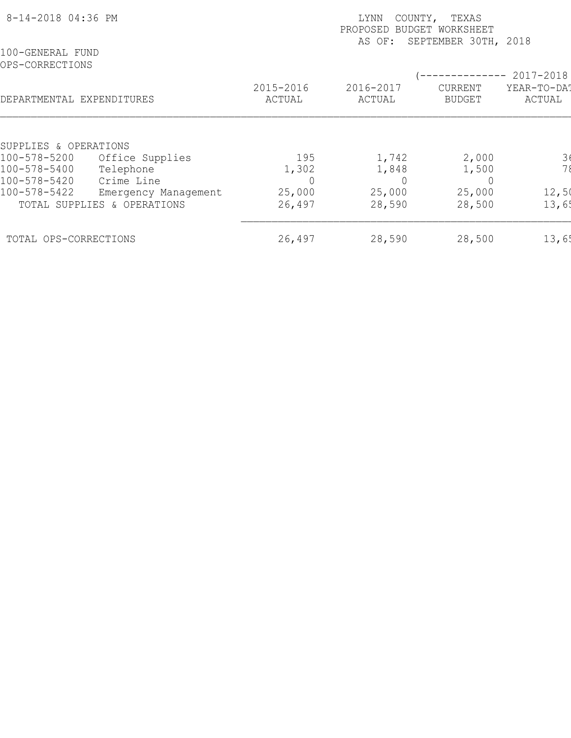| 8-14-2018 04:36 PM                  |                                                                   | TEXAS<br>LYNN<br>COUNTY,<br>PROPOSED BUDGET WORKSHEET<br>SEPTEMBER 30TH, 2018<br>AS OF: |                       |                                 |                       |  |  |  |
|-------------------------------------|-------------------------------------------------------------------|-----------------------------------------------------------------------------------------|-----------------------|---------------------------------|-----------------------|--|--|--|
| 100-GENERAL FUND<br>OPS-CORRECTIONS |                                                                   |                                                                                         |                       |                                 | 2017-2018             |  |  |  |
| DEPARTMENTAL EXPENDITURES           |                                                                   | 2015-2016<br>ACTUAL                                                                     | 2016-2017<br>ACTUAL   | <b>CURRENT</b><br><b>BUDGET</b> | YEAR-TO-DAT<br>ACTUAL |  |  |  |
| SUPPLIES & OPERATIONS               |                                                                   |                                                                                         |                       |                                 |                       |  |  |  |
| 100-578-5200<br>100-578-5400        | Office Supplies<br>Telephone                                      | 195<br>1,302                                                                            | 1,742<br>1,848        | 2,000<br>1,500                  | $\frac{3}{7}$         |  |  |  |
| 100-578-5420<br>100-578-5422        | Crime Line<br>Emergency Management<br>TOTAL SUPPLIES & OPERATIONS | 25,000<br>26,497                                                                        | 0<br>25,000<br>28,590 | 25,000<br>28,500                | 12,50<br>13,65        |  |  |  |
|                                     |                                                                   | 26,497                                                                                  | 28,590                | 28,500                          | 13,65                 |  |  |  |
| TOTAL OPS-CORRECTIONS               |                                                                   |                                                                                         |                       |                                 |                       |  |  |  |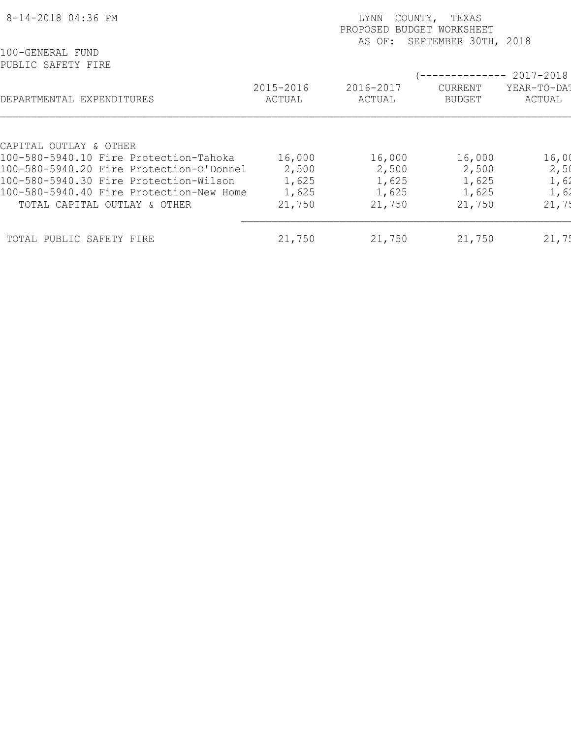| 8-14-2018 04:36 PM                                                                 | COUNTY,<br>TEXAS<br>LYNN<br>PROPOSED<br>BUDGET WORKSHEET<br>SEPTEMBER 30TH, 2018<br>AS OF: |                     |                                 |                       |  |  |
|------------------------------------------------------------------------------------|--------------------------------------------------------------------------------------------|---------------------|---------------------------------|-----------------------|--|--|
| 100-GENERAL FUND<br>PUBLIC SAFETY FIRE                                             |                                                                                            |                     |                                 | 2017-2018             |  |  |
| DEPARTMENTAL EXPENDITURES                                                          | 2015-2016<br>ACTUAL                                                                        | 2016-2017<br>ACTUAL | <b>CURRENT</b><br><b>BUDGET</b> | YEAR-TO-DA?<br>ACTUAL |  |  |
|                                                                                    |                                                                                            |                     |                                 |                       |  |  |
| CAPITAL OUTLAY & OTHER                                                             |                                                                                            |                     |                                 |                       |  |  |
| 100-580-5940.10 Fire Protection-Tahoka<br>100-580-5940.20 Fire Protection-O'Donnel | 16,000<br>2,500                                                                            | 16,000<br>2,500     | 16,000<br>2,500                 | 16,00<br>2,50         |  |  |
| 100-580-5940.30 Fire Protection-Wilson                                             | 1,625                                                                                      | 1,625               | 1,625                           |                       |  |  |
| 100-580-5940.40 Fire Protection-New Home                                           | 1,625                                                                                      | 1,625               | 1,625                           | 1,62<br>1,62          |  |  |
| TOTAL CAPITAL OUTLAY & OTHER                                                       | 21,750                                                                                     | 21,750              | 21,750                          | 21,75                 |  |  |
| TOTAL PUBLIC SAFETY FIRE                                                           | 21,750                                                                                     | 21,750              | 21,750                          | 21,7!                 |  |  |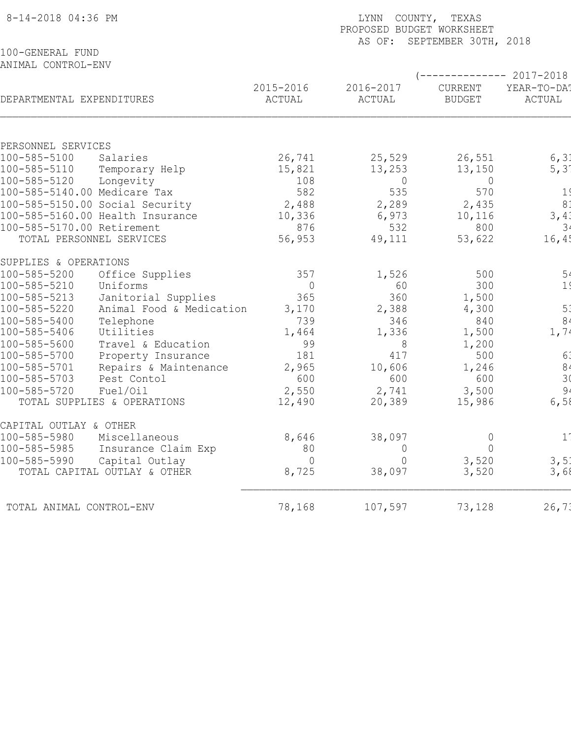| 100-GENERAL FUND<br>ANIMAL CONTROL-ENV<br>----------- 2017-2018<br>2015-2016<br>2016-2017<br>CURRENT<br>DEPARTMENTAL EXPENDITURES<br>ACTUAL<br>ACTUAL<br>ACTUAL<br><b>BUDGET</b><br>PERSONNEL SERVICES<br>100-585-5100<br>26,741<br>25,529<br>26,551<br>Salaries<br>100-585-5110<br>15,821<br>13,253<br>13,150<br>Temporary Help<br>100-585-5120<br>Longevity<br>108<br>$\overline{0}$<br>0<br>582<br>535<br>100-585-5140.00 Medicare Tax<br>570<br>8 <sup>1</sup><br>100-585-5150.00 Social Security<br>2,488<br>2,289<br>2,435<br>100-585-5160.00 Health Insurance<br>10,336<br>6,973<br>10,116<br>100-585-5170.00 Retirement<br>532<br>876<br>800<br>TOTAL PERSONNEL SERVICES<br>56,953<br>49,111<br>53,622<br>SUPPLIES & OPERATIONS<br>100-585-5200<br>357<br>1,526<br>500<br>Office Supplies<br>100-585-5210<br>$\overline{0}$<br>300<br>Uniforms<br>60<br>Janitorial Supplies<br>365<br>360<br>1,500<br>100-585-5213<br>100-585-5220<br>Animal Food & Medication<br>3,170<br>2,388<br>4,300<br>100-585-5400<br>Telephone<br>840<br>739<br>346<br>100-585-5406<br>Utilities<br>1,464<br>1,336<br>1,500<br>100-585-5600<br>Travel & Education<br>99<br>8<br>1,200<br>100-585-5700<br>417<br>500<br>181<br>Property Insurance<br>100-585-5701<br>2,965<br>Repairs & Maintenance<br>10,606<br>1,246<br>100-585-5703<br>600<br>600<br>Pest Contol<br>600<br>2,550<br>2,741<br>100-585-5720<br>Fuel/Oil<br>3,500<br>12,490<br>15,986<br>TOTAL SUPPLIES & OPERATIONS<br>20,389<br>CAPITAL OUTLAY & OTHER<br>8,646<br>100-585-5980<br>Miscellaneous<br>38,097<br>$\mathsf{O}\xspace$<br>$1^{\circ}$<br>100-585-5985<br>Insurance Claim Exp<br>80<br>$\Omega$<br>0<br>3,520<br>100-585-5990<br>Capital Outlay<br>$\overline{0}$<br>$\mathcal{O}$<br>8,725<br>TOTAL CAPITAL OUTLAY & OTHER<br>38,097<br>3,520<br>78,168<br>107,597<br>TOTAL ANIMAL CONTROL-ENV | 8-14-2018 04:36 PM | LYNN<br>COUNTY, TEXAS<br>PROPOSED BUDGET WORKSHEET<br>SEPTEMBER 30TH, 2018<br>AS OF: |  |        |  |  |  |  |
|------------------------------------------------------------------------------------------------------------------------------------------------------------------------------------------------------------------------------------------------------------------------------------------------------------------------------------------------------------------------------------------------------------------------------------------------------------------------------------------------------------------------------------------------------------------------------------------------------------------------------------------------------------------------------------------------------------------------------------------------------------------------------------------------------------------------------------------------------------------------------------------------------------------------------------------------------------------------------------------------------------------------------------------------------------------------------------------------------------------------------------------------------------------------------------------------------------------------------------------------------------------------------------------------------------------------------------------------------------------------------------------------------------------------------------------------------------------------------------------------------------------------------------------------------------------------------------------------------------------------------------------------------------------------------------------------------------------------------------------------------------------------------------------------------------------------------------------------------------|--------------------|--------------------------------------------------------------------------------------|--|--------|--|--|--|--|
| YEAR-TO-DA!<br>1 <sup>′</sup><br>3, 4:<br>3 <sup>1</sup><br>16, 4!<br>5 <sub>4</sub><br>5 <sup>1</sup><br>8 <sub>4</sub><br>1, 74<br>6:                                                                                                                                                                                                                                                                                                                                                                                                                                                                                                                                                                                                                                                                                                                                                                                                                                                                                                                                                                                                                                                                                                                                                                                                                                                                                                                                                                                                                                                                                                                                                                                                                                                                                                                    |                    |                                                                                      |  |        |  |  |  |  |
| 6, 31<br>5, 31<br>1 <sub>1</sub><br>$\frac{8}{3}$<br>9.<br>3, 51<br>26, 71                                                                                                                                                                                                                                                                                                                                                                                                                                                                                                                                                                                                                                                                                                                                                                                                                                                                                                                                                                                                                                                                                                                                                                                                                                                                                                                                                                                                                                                                                                                                                                                                                                                                                                                                                                                 |                    |                                                                                      |  |        |  |  |  |  |
| 6,58<br>3,68                                                                                                                                                                                                                                                                                                                                                                                                                                                                                                                                                                                                                                                                                                                                                                                                                                                                                                                                                                                                                                                                                                                                                                                                                                                                                                                                                                                                                                                                                                                                                                                                                                                                                                                                                                                                                                               |                    |                                                                                      |  |        |  |  |  |  |
|                                                                                                                                                                                                                                                                                                                                                                                                                                                                                                                                                                                                                                                                                                                                                                                                                                                                                                                                                                                                                                                                                                                                                                                                                                                                                                                                                                                                                                                                                                                                                                                                                                                                                                                                                                                                                                                            |                    |                                                                                      |  |        |  |  |  |  |
|                                                                                                                                                                                                                                                                                                                                                                                                                                                                                                                                                                                                                                                                                                                                                                                                                                                                                                                                                                                                                                                                                                                                                                                                                                                                                                                                                                                                                                                                                                                                                                                                                                                                                                                                                                                                                                                            |                    |                                                                                      |  |        |  |  |  |  |
|                                                                                                                                                                                                                                                                                                                                                                                                                                                                                                                                                                                                                                                                                                                                                                                                                                                                                                                                                                                                                                                                                                                                                                                                                                                                                                                                                                                                                                                                                                                                                                                                                                                                                                                                                                                                                                                            |                    |                                                                                      |  |        |  |  |  |  |
|                                                                                                                                                                                                                                                                                                                                                                                                                                                                                                                                                                                                                                                                                                                                                                                                                                                                                                                                                                                                                                                                                                                                                                                                                                                                                                                                                                                                                                                                                                                                                                                                                                                                                                                                                                                                                                                            |                    |                                                                                      |  |        |  |  |  |  |
|                                                                                                                                                                                                                                                                                                                                                                                                                                                                                                                                                                                                                                                                                                                                                                                                                                                                                                                                                                                                                                                                                                                                                                                                                                                                                                                                                                                                                                                                                                                                                                                                                                                                                                                                                                                                                                                            |                    |                                                                                      |  |        |  |  |  |  |
|                                                                                                                                                                                                                                                                                                                                                                                                                                                                                                                                                                                                                                                                                                                                                                                                                                                                                                                                                                                                                                                                                                                                                                                                                                                                                                                                                                                                                                                                                                                                                                                                                                                                                                                                                                                                                                                            |                    |                                                                                      |  |        |  |  |  |  |
|                                                                                                                                                                                                                                                                                                                                                                                                                                                                                                                                                                                                                                                                                                                                                                                                                                                                                                                                                                                                                                                                                                                                                                                                                                                                                                                                                                                                                                                                                                                                                                                                                                                                                                                                                                                                                                                            |                    |                                                                                      |  |        |  |  |  |  |
|                                                                                                                                                                                                                                                                                                                                                                                                                                                                                                                                                                                                                                                                                                                                                                                                                                                                                                                                                                                                                                                                                                                                                                                                                                                                                                                                                                                                                                                                                                                                                                                                                                                                                                                                                                                                                                                            |                    |                                                                                      |  |        |  |  |  |  |
|                                                                                                                                                                                                                                                                                                                                                                                                                                                                                                                                                                                                                                                                                                                                                                                                                                                                                                                                                                                                                                                                                                                                                                                                                                                                                                                                                                                                                                                                                                                                                                                                                                                                                                                                                                                                                                                            |                    |                                                                                      |  |        |  |  |  |  |
|                                                                                                                                                                                                                                                                                                                                                                                                                                                                                                                                                                                                                                                                                                                                                                                                                                                                                                                                                                                                                                                                                                                                                                                                                                                                                                                                                                                                                                                                                                                                                                                                                                                                                                                                                                                                                                                            |                    |                                                                                      |  |        |  |  |  |  |
|                                                                                                                                                                                                                                                                                                                                                                                                                                                                                                                                                                                                                                                                                                                                                                                                                                                                                                                                                                                                                                                                                                                                                                                                                                                                                                                                                                                                                                                                                                                                                                                                                                                                                                                                                                                                                                                            |                    |                                                                                      |  |        |  |  |  |  |
|                                                                                                                                                                                                                                                                                                                                                                                                                                                                                                                                                                                                                                                                                                                                                                                                                                                                                                                                                                                                                                                                                                                                                                                                                                                                                                                                                                                                                                                                                                                                                                                                                                                                                                                                                                                                                                                            |                    |                                                                                      |  |        |  |  |  |  |
|                                                                                                                                                                                                                                                                                                                                                                                                                                                                                                                                                                                                                                                                                                                                                                                                                                                                                                                                                                                                                                                                                                                                                                                                                                                                                                                                                                                                                                                                                                                                                                                                                                                                                                                                                                                                                                                            |                    |                                                                                      |  |        |  |  |  |  |
|                                                                                                                                                                                                                                                                                                                                                                                                                                                                                                                                                                                                                                                                                                                                                                                                                                                                                                                                                                                                                                                                                                                                                                                                                                                                                                                                                                                                                                                                                                                                                                                                                                                                                                                                                                                                                                                            |                    |                                                                                      |  |        |  |  |  |  |
|                                                                                                                                                                                                                                                                                                                                                                                                                                                                                                                                                                                                                                                                                                                                                                                                                                                                                                                                                                                                                                                                                                                                                                                                                                                                                                                                                                                                                                                                                                                                                                                                                                                                                                                                                                                                                                                            |                    |                                                                                      |  |        |  |  |  |  |
|                                                                                                                                                                                                                                                                                                                                                                                                                                                                                                                                                                                                                                                                                                                                                                                                                                                                                                                                                                                                                                                                                                                                                                                                                                                                                                                                                                                                                                                                                                                                                                                                                                                                                                                                                                                                                                                            |                    |                                                                                      |  |        |  |  |  |  |
|                                                                                                                                                                                                                                                                                                                                                                                                                                                                                                                                                                                                                                                                                                                                                                                                                                                                                                                                                                                                                                                                                                                                                                                                                                                                                                                                                                                                                                                                                                                                                                                                                                                                                                                                                                                                                                                            |                    |                                                                                      |  |        |  |  |  |  |
|                                                                                                                                                                                                                                                                                                                                                                                                                                                                                                                                                                                                                                                                                                                                                                                                                                                                                                                                                                                                                                                                                                                                                                                                                                                                                                                                                                                                                                                                                                                                                                                                                                                                                                                                                                                                                                                            |                    |                                                                                      |  |        |  |  |  |  |
|                                                                                                                                                                                                                                                                                                                                                                                                                                                                                                                                                                                                                                                                                                                                                                                                                                                                                                                                                                                                                                                                                                                                                                                                                                                                                                                                                                                                                                                                                                                                                                                                                                                                                                                                                                                                                                                            |                    |                                                                                      |  |        |  |  |  |  |
|                                                                                                                                                                                                                                                                                                                                                                                                                                                                                                                                                                                                                                                                                                                                                                                                                                                                                                                                                                                                                                                                                                                                                                                                                                                                                                                                                                                                                                                                                                                                                                                                                                                                                                                                                                                                                                                            |                    |                                                                                      |  |        |  |  |  |  |
|                                                                                                                                                                                                                                                                                                                                                                                                                                                                                                                                                                                                                                                                                                                                                                                                                                                                                                                                                                                                                                                                                                                                                                                                                                                                                                                                                                                                                                                                                                                                                                                                                                                                                                                                                                                                                                                            |                    |                                                                                      |  |        |  |  |  |  |
|                                                                                                                                                                                                                                                                                                                                                                                                                                                                                                                                                                                                                                                                                                                                                                                                                                                                                                                                                                                                                                                                                                                                                                                                                                                                                                                                                                                                                                                                                                                                                                                                                                                                                                                                                                                                                                                            |                    |                                                                                      |  |        |  |  |  |  |
|                                                                                                                                                                                                                                                                                                                                                                                                                                                                                                                                                                                                                                                                                                                                                                                                                                                                                                                                                                                                                                                                                                                                                                                                                                                                                                                                                                                                                                                                                                                                                                                                                                                                                                                                                                                                                                                            |                    |                                                                                      |  |        |  |  |  |  |
|                                                                                                                                                                                                                                                                                                                                                                                                                                                                                                                                                                                                                                                                                                                                                                                                                                                                                                                                                                                                                                                                                                                                                                                                                                                                                                                                                                                                                                                                                                                                                                                                                                                                                                                                                                                                                                                            |                    |                                                                                      |  |        |  |  |  |  |
|                                                                                                                                                                                                                                                                                                                                                                                                                                                                                                                                                                                                                                                                                                                                                                                                                                                                                                                                                                                                                                                                                                                                                                                                                                                                                                                                                                                                                                                                                                                                                                                                                                                                                                                                                                                                                                                            |                    |                                                                                      |  |        |  |  |  |  |
|                                                                                                                                                                                                                                                                                                                                                                                                                                                                                                                                                                                                                                                                                                                                                                                                                                                                                                                                                                                                                                                                                                                                                                                                                                                                                                                                                                                                                                                                                                                                                                                                                                                                                                                                                                                                                                                            |                    |                                                                                      |  |        |  |  |  |  |
|                                                                                                                                                                                                                                                                                                                                                                                                                                                                                                                                                                                                                                                                                                                                                                                                                                                                                                                                                                                                                                                                                                                                                                                                                                                                                                                                                                                                                                                                                                                                                                                                                                                                                                                                                                                                                                                            |                    |                                                                                      |  |        |  |  |  |  |
|                                                                                                                                                                                                                                                                                                                                                                                                                                                                                                                                                                                                                                                                                                                                                                                                                                                                                                                                                                                                                                                                                                                                                                                                                                                                                                                                                                                                                                                                                                                                                                                                                                                                                                                                                                                                                                                            |                    |                                                                                      |  | 73,128 |  |  |  |  |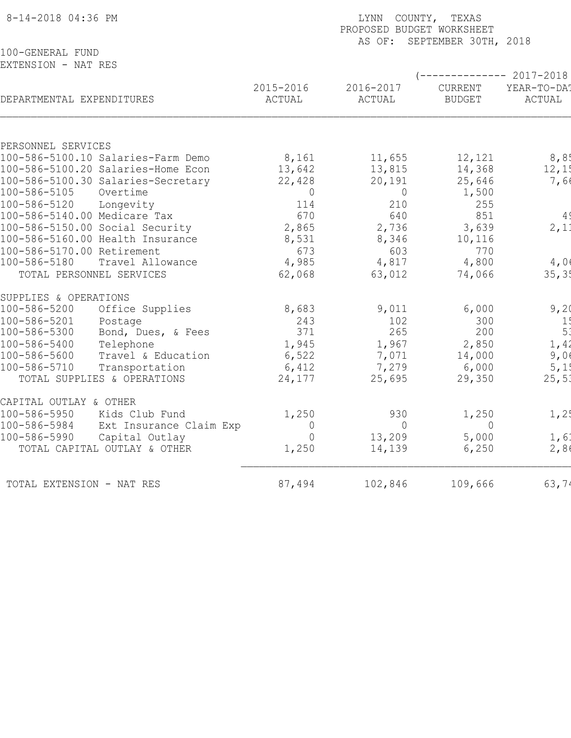| 8-14-2018 04:36 PM                                             |                                    | LYNN<br>COUNTY, TEXAS<br>PROPOSED BUDGET WORKSHEET<br>AS OF: SEPTEMBER 30TH, 2018 |                                 |                       |  |  |  |
|----------------------------------------------------------------|------------------------------------|-----------------------------------------------------------------------------------|---------------------------------|-----------------------|--|--|--|
| 100-GENERAL FUND                                               |                                    |                                                                                   |                                 |                       |  |  |  |
| EXTENSION - NAT RES                                            |                                    |                                                                                   |                                 | $--------- 2017-2018$ |  |  |  |
| DEPARTMENTAL EXPENDITURES                                      | 2015-2016<br>ACTUAL                | 2016-2017<br>ACTUAL                                                               | <b>CURRENT</b><br><b>BUDGET</b> | YEAR-TO-DAT<br>ACTUAL |  |  |  |
|                                                                |                                    |                                                                                   |                                 |                       |  |  |  |
| PERSONNEL SERVICES                                             |                                    |                                                                                   |                                 |                       |  |  |  |
| 100-586-5100.10 Salaries-Farm Demo                             | 8,161                              | 11,655                                                                            | 12,121                          | 8,85                  |  |  |  |
| 100-586-5100.20 Salaries-Home Econ                             | 13,642                             | 13,815                                                                            | 14,368                          | 12,1!                 |  |  |  |
| 100-586-5100.30 Salaries-Secretary<br>100-586-5105<br>Overtime | 22,428                             | 20,191                                                                            | 25,646                          | 7,66                  |  |  |  |
| 100-586-5120<br>Longevity                                      | $\Omega$<br>114                    | $\overline{0}$<br>210                                                             | 1,500<br>255                    |                       |  |  |  |
| 100-586-5140.00 Medicare Tax                                   | 670                                | 640                                                                               | 851                             | 4 <sup>′</sup>        |  |  |  |
| 100-586-5150.00 Social Security                                | 2,865                              | 2,736                                                                             | 3,639                           | 2,11                  |  |  |  |
| 100-586-5160.00 Health Insurance                               | 8,531                              | 8,346                                                                             | 10,116                          |                       |  |  |  |
| 100-586-5170.00 Retirement                                     | 673                                | 603                                                                               | 770                             |                       |  |  |  |
| 100-586-5180<br>Travel Allowance                               | 4,985                              | 4,817                                                                             | 4,800                           | 4,00                  |  |  |  |
| TOTAL PERSONNEL SERVICES                                       | 62,068                             | 63,012                                                                            | 74,066                          | 35, 35                |  |  |  |
| SUPPLIES & OPERATIONS                                          |                                    |                                                                                   |                                 |                       |  |  |  |
| Office Supplies<br>100-586-5200                                | 8,683                              | 9,011                                                                             | 6,000                           | 9,20                  |  |  |  |
| 100-586-5201<br>Postage                                        | 243                                | 102                                                                               | 300                             | 1!                    |  |  |  |
| 100-586-5300<br>Bond, Dues, & Fees                             | 371                                | 265                                                                               | 200                             | 5 <sup>′</sup>        |  |  |  |
| 100-586-5400<br>Telephone                                      | 1,945                              | 1,967                                                                             | 2,850                           | 1,42                  |  |  |  |
| 100-586-5600<br>Travel & Education                             | 6,522                              | 7,071                                                                             | 14,000                          | 9,06                  |  |  |  |
| 100-586-5710<br>Transportation                                 | 6,412                              | 7,279                                                                             | 6,000                           | 5,1!                  |  |  |  |
| TOTAL SUPPLIES & OPERATIONS                                    | 24,177                             | 25,695                                                                            | 29,350                          | 25, 51                |  |  |  |
| CAPITAL OUTLAY & OTHER                                         |                                    |                                                                                   |                                 |                       |  |  |  |
| 100-586-5950<br>Kids Club Fund                                 | 1,250                              | 930                                                                               | 1,250                           | 1, 2!                 |  |  |  |
| 100-586-5984                                                   | $\circ$<br>Ext Insurance Claim Exp | $\overline{0}$                                                                    | $\overline{0}$                  |                       |  |  |  |
| 100-586-5990<br>Capital Outlay                                 | $\overline{0}$                     | 13,209                                                                            | 5,000                           | 1, 6:                 |  |  |  |
| TOTAL CAPITAL OUTLAY & OTHER                                   | 1,250                              | 14,139                                                                            | 6,250                           | 2,86                  |  |  |  |
| TOTAL EXTENSION - NAT RES                                      | 87,494                             | 102,846                                                                           | 109,666                         | 63,74                 |  |  |  |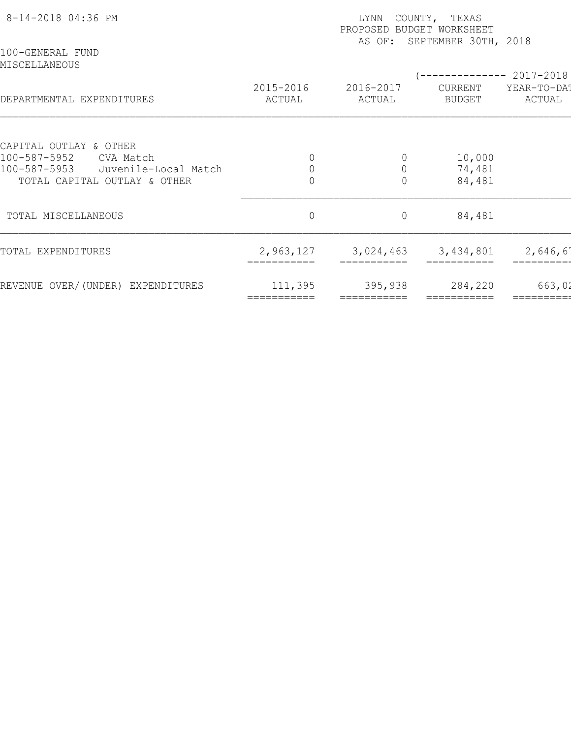| 8-14-2018 04:36 PM<br>100-GENERAL FUND               | COUNTY, TEXAS<br>LYNN<br>PROPOSED BUDGET WORKSHEET<br>SEPTEMBER 30TH, 2018<br>AS OF: |                               |                                            |                       |  |  |  |
|------------------------------------------------------|--------------------------------------------------------------------------------------|-------------------------------|--------------------------------------------|-----------------------|--|--|--|
| MISCELLANEOUS<br>DEPARTMENTAL EXPENDITURES           | 2015-2016<br>ACTUAL                                                                  | 2016-2017<br>ACTUAL           | $--------- 2017-2018$<br>CURRENT<br>BUDGET | YEAR-TO-DAT<br>ACTUAL |  |  |  |
|                                                      |                                                                                      |                               |                                            |                       |  |  |  |
| CAPITAL OUTLAY & OTHER                               |                                                                                      |                               |                                            |                       |  |  |  |
| 100-587-5952<br>CVA Match<br>100-587-5953            |                                                                                      | $\overline{0}$<br>$\mathbf 0$ | 10,000                                     |                       |  |  |  |
| Juvenile-Local Match<br>TOTAL CAPITAL OUTLAY & OTHER |                                                                                      | $\overline{0}$                | 74,481<br>84,481                           |                       |  |  |  |
| TOTAL MISCELLANEOUS                                  | $\mathbb O$                                                                          | $\circ$                       | 84,481                                     |                       |  |  |  |
| TOTAL EXPENDITURES                                   | 2,963,127                                                                            | 3,024,463                     | 3,434,801                                  | 2,646,61              |  |  |  |
| REVENUE OVER/(UNDER) EXPENDITURES                    | 111,395<br>===========                                                               | 395,938                       | 284,220<br>===========                     | 663,02                |  |  |  |
|                                                      |                                                                                      |                               |                                            |                       |  |  |  |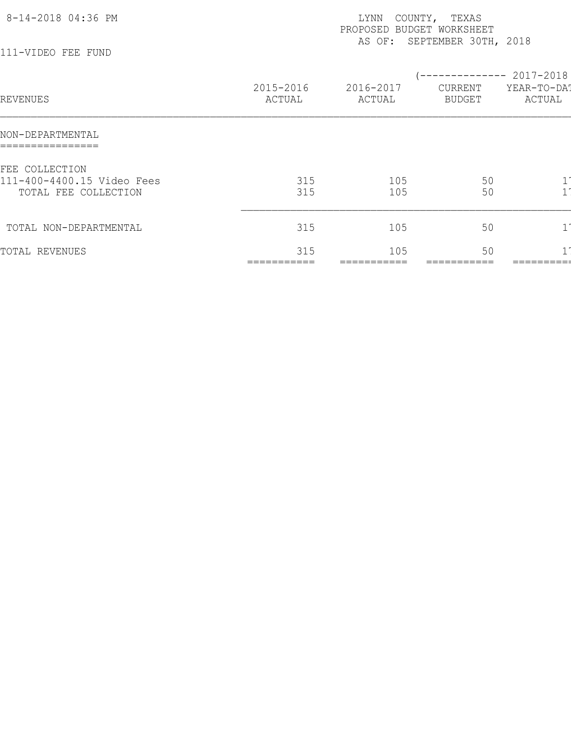| 8-14-2018 04:36 PM                                 |                     | LYNN<br>PROPOSED<br>AS OF: | COUNTY, TEXAS<br>BUDGET WORKSHEET<br>SEPTEMBER 30TH, 2018 |                                                 |
|----------------------------------------------------|---------------------|----------------------------|-----------------------------------------------------------|-------------------------------------------------|
| 111-VIDEO FEE FUND                                 |                     |                            |                                                           |                                                 |
| REVENUES                                           | 2015-2016<br>ACTUAL | 2016-2017<br>ACTUAL        | CURRENT<br><b>BUDGET</b>                                  | ------------ 2017-2018<br>YEAR-TO-DAT<br>ACTUAL |
| NON-DEPARTMENTAL<br>================               |                     |                            |                                                           |                                                 |
| FEE COLLECTION                                     |                     |                            |                                                           |                                                 |
| 111-400-4400.15 Video Fees<br>TOTAL FEE COLLECTION | 315<br>315          | 105<br>105                 | 50<br>50                                                  |                                                 |
| TOTAL NON-DEPARTMENTAL                             | 315                 | 105                        | 50                                                        |                                                 |
| TOTAL REVENUES                                     | 315<br>===========  | 105<br>===========         | 50                                                        |                                                 |
|                                                    |                     |                            |                                                           |                                                 |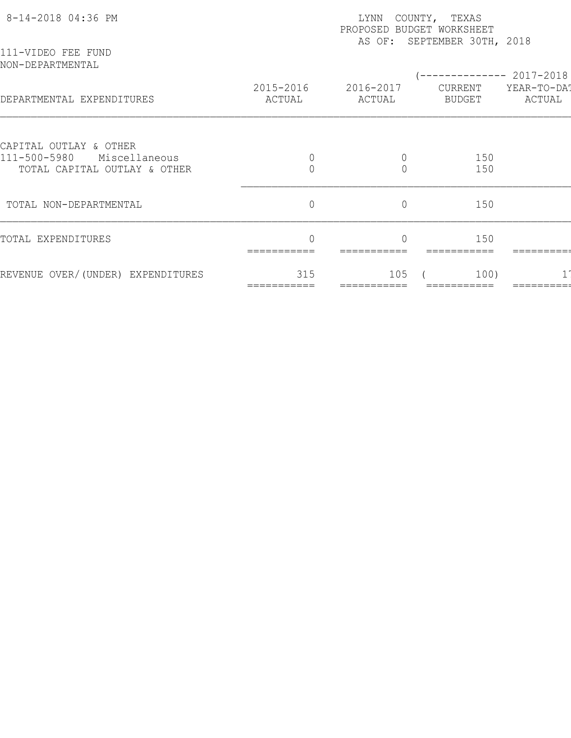| 8-14-2018 04:36 PM                                            | COUNTY, TEXAS<br>LYNN<br>PROPOSED BUDGET WORKSHEET<br>AS OF: SEPTEMBER 30TH, 2018 |                     |                          |                       |  |  |  |
|---------------------------------------------------------------|-----------------------------------------------------------------------------------|---------------------|--------------------------|-----------------------|--|--|--|
| 111-VIDEO FEE FUND<br>NON-DEPARTMENTAL                        |                                                                                   |                     |                          | $-2017 - 2018$        |  |  |  |
| DEPARTMENTAL EXPENDITURES                                     | 2015-2016<br>ACTUAL                                                               | 2016-2017<br>ACTUAL | CURRENT<br><b>BUDGET</b> | YEAR-TO-DAT<br>ACTUAL |  |  |  |
| CAPITAL OUTLAY & OTHER                                        |                                                                                   |                     |                          |                       |  |  |  |
| 111-500-5980<br>Miscellaneous<br>TOTAL CAPITAL OUTLAY & OTHER | $\overline{0}$                                                                    | $\circ$<br>$\Omega$ | 150<br>150               |                       |  |  |  |
|                                                               |                                                                                   |                     |                          |                       |  |  |  |
| TOTAL NON-DEPARTMENTAL                                        | $\mathbf 0$                                                                       | $\overline{0}$      | 150                      |                       |  |  |  |
| TOTAL EXPENDITURES                                            |                                                                                   |                     | 150                      |                       |  |  |  |
| REVENUE OVER/(UNDER) EXPENDITURES                             | 315                                                                               | 105                 | 100)                     |                       |  |  |  |
|                                                               |                                                                                   |                     |                          |                       |  |  |  |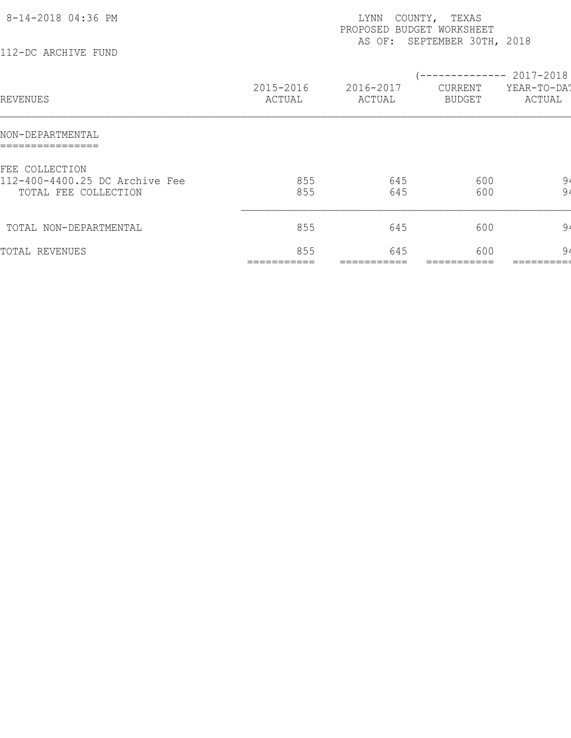| 8-14-2018 04:36 PM<br>112-DC ARCHIVE FUND                                |                     | LYNN<br>PROPOSED BUDGET WORKSHEET | COUNTY, TEXAS<br>AS OF: SEPTEMBER 30TH, 2018    |                       |
|--------------------------------------------------------------------------|---------------------|-----------------------------------|-------------------------------------------------|-----------------------|
| REVENUES                                                                 | 2015-2016<br>ACTUAL | 2016-2017<br>ACTUAL               | (-------------- 2017-2018)<br>CURRENT<br>BUDGET | YEAR-TO-DA!<br>ACTUAL |
| NON-DEPARTMENTAL<br>================                                     |                     |                                   |                                                 |                       |
| FEE COLLECTION<br>112-400-4400.25 DC Archive Fee<br>TOTAL FEE COLLECTION | 855<br>855          | 645<br>645                        | 600<br>600                                      | 9 <sub>4</sub><br>94  |
| TOTAL NON-DEPARTMENTAL                                                   | 855                 | 645                               | 600                                             | 94                    |
| TOTAL REVENUES                                                           | 855                 | 645                               | 600                                             | 94                    |
|                                                                          |                     |                                   |                                                 |                       |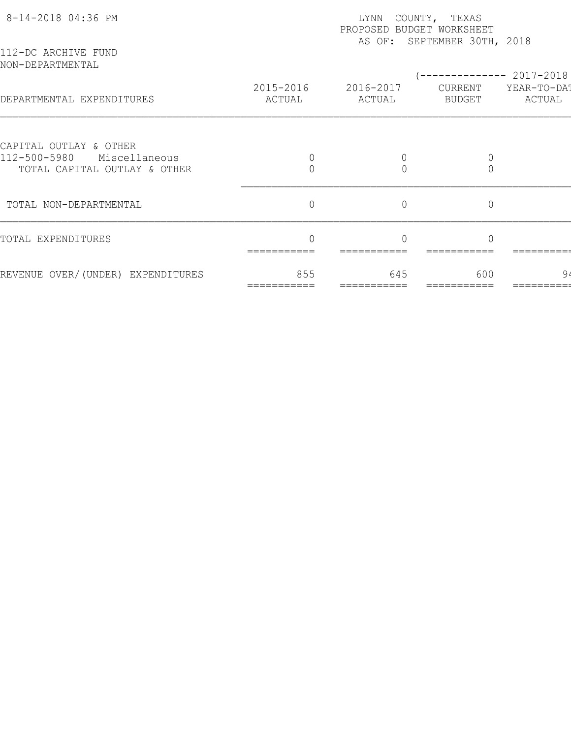| 8-14-2018 04:36 PM                                            | COUNTY, TEXAS<br>LYNN<br>PROPOSED BUDGET WORKSHEET<br>AS OF: SEPTEMBER 30TH, 2018 |                     |                          |                       |  |  |  |
|---------------------------------------------------------------|-----------------------------------------------------------------------------------|---------------------|--------------------------|-----------------------|--|--|--|
| 112-DC ARCHIVE FUND<br>NON-DEPARTMENTAL                       |                                                                                   |                     |                          | $-2017 - 2018$        |  |  |  |
| DEPARTMENTAL EXPENDITURES                                     | 2015-2016<br>ACTUAL                                                               | 2016-2017<br>ACTUAL | CURRENT<br><b>BUDGET</b> | YEAR-TO-DAT<br>ACTUAL |  |  |  |
| CAPITAL OUTLAY & OTHER                                        |                                                                                   |                     |                          |                       |  |  |  |
| 112-500-5980<br>Miscellaneous<br>TOTAL CAPITAL OUTLAY & OTHER |                                                                                   |                     | 0                        |                       |  |  |  |
| TOTAL NON-DEPARTMENTAL                                        | $\overline{0}$                                                                    | $\overline{0}$      | $\overline{0}$           |                       |  |  |  |
| TOTAL EXPENDITURES                                            |                                                                                   |                     |                          |                       |  |  |  |
| REVENUE OVER/(UNDER) EXPENDITURES                             | 855                                                                               | 645                 | 600                      | 9,                    |  |  |  |
|                                                               |                                                                                   |                     |                          |                       |  |  |  |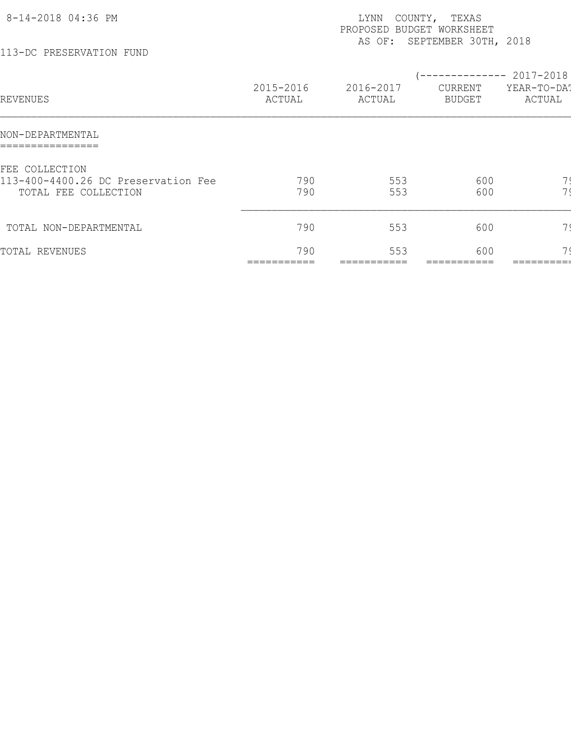| 8-14-2018 04:36 PM<br>113-DC PRESERVATION FUND                                |                     | LYNN<br>PROPOSED BUDGET WORKSHEET | COUNTY, TEXAS<br>AS OF: SEPTEMBER 30TH, 2018 |                                                 |
|-------------------------------------------------------------------------------|---------------------|-----------------------------------|----------------------------------------------|-------------------------------------------------|
| REVENUES                                                                      | 2015-2016<br>ACTUAL | 2016-2017<br>ACTUAL               | CURRENT<br>BUDGET                            | ------------ 2017-2018<br>YEAR-TO-DAT<br>ACTUAL |
| NON-DEPARTMENTAL                                                              |                     |                                   |                                              |                                                 |
| FEE COLLECTION<br>113-400-4400.26 DC Preservation Fee<br>TOTAL FEE COLLECTION | 790<br>790          | 553<br>553                        | 600<br>600                                   | 7 <sup>1</sup><br>$\overline{z}$                |
| TOTAL NON-DEPARTMENTAL                                                        | 790                 | 553                               | 600                                          | 7(                                              |
| TOTAL REVENUES                                                                | 790<br>===========  | 553<br>===========                | 600<br>:==========                           |                                                 |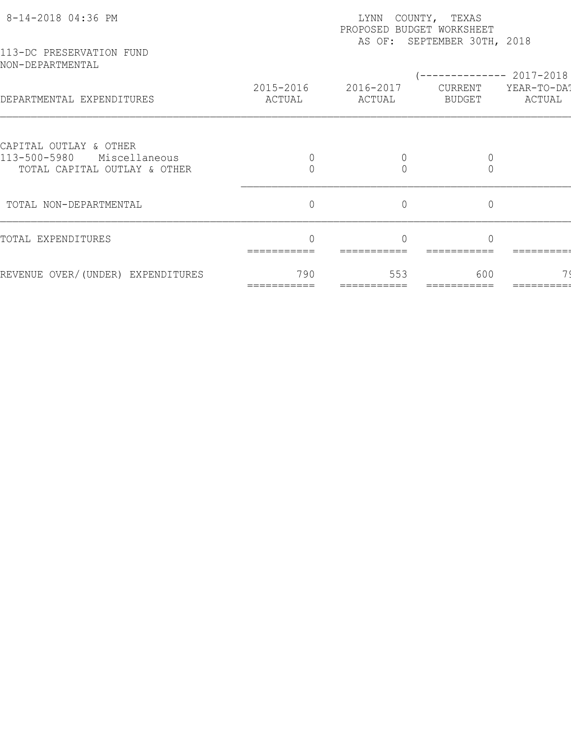| 8-14-2018 04:36 PM                                            |                     | LYNN                | COUNTY, TEXAS<br>PROPOSED BUDGET WORKSHEET<br>AS OF: SEPTEMBER 30TH, 2018 |                       |
|---------------------------------------------------------------|---------------------|---------------------|---------------------------------------------------------------------------|-----------------------|
| 113-DC PRESERVATION FUND<br>NON-DEPARTMENTAL                  |                     |                     |                                                                           | --------- 2017-2018   |
| DEPARTMENTAL EXPENDITURES                                     | 2015-2016<br>ACTUAL | 2016-2017<br>ACTUAL | CURRENT<br>BUDGET                                                         | YEAR-TO-DAT<br>ACTUAL |
| CAPITAL OUTLAY & OTHER                                        |                     |                     |                                                                           |                       |
| 113-500-5980<br>Miscellaneous<br>TOTAL CAPITAL OUTLAY & OTHER |                     |                     |                                                                           |                       |
| TOTAL NON-DEPARTMENTAL                                        | $\overline{0}$      | $\overline{0}$      | $\overline{0}$                                                            |                       |
| TOTAL EXPENDITURES                                            | ===========         |                     |                                                                           |                       |
| REVENUE OVER/(UNDER) EXPENDITURES                             | 790                 | 553                 | 600                                                                       |                       |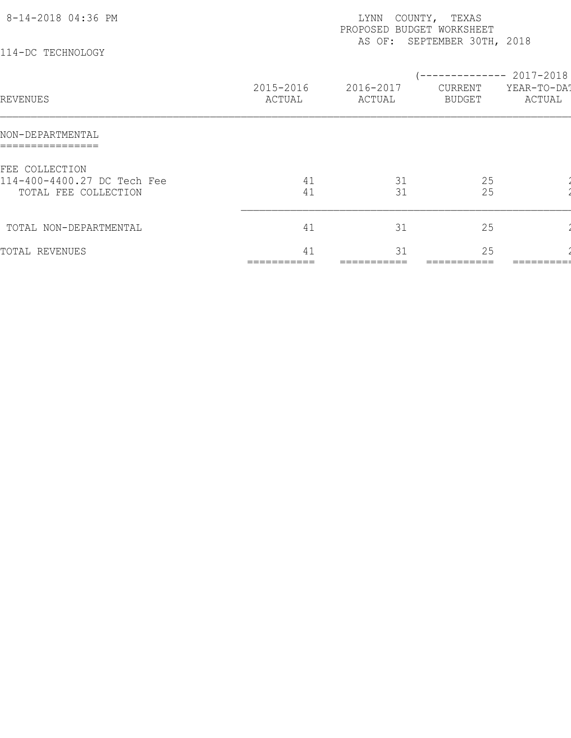| 8-14-2018 04:36 PM<br>114-DC TECHNOLOGY                               |                     | LYNN<br>PROPOSED BUDGET WORKSHEET | COUNTY, TEXAS<br>AS OF: SEPTEMBER 30TH, 2018 |                       |
|-----------------------------------------------------------------------|---------------------|-----------------------------------|----------------------------------------------|-----------------------|
| REVENUES                                                              | 2015-2016<br>ACTUAL | 2016-2017<br>ACTUAL               | $--------- 2017-2018$<br>CURRENT<br>BUDGET   | YEAR-TO-DAT<br>ACTUAL |
| NON-DEPARTMENTAL                                                      |                     |                                   |                                              |                       |
| FEE COLLECTION<br>114-400-4400.27 DC Tech Fee<br>TOTAL FEE COLLECTION | 41<br>41            | 31<br>31                          | 25<br>25                                     |                       |
| TOTAL NON-DEPARTMENTAL                                                | 41                  | 31                                | 25                                           |                       |
| TOTAL REVENUES                                                        | 41                  | 31                                | 25                                           |                       |
|                                                                       |                     |                                   |                                              |                       |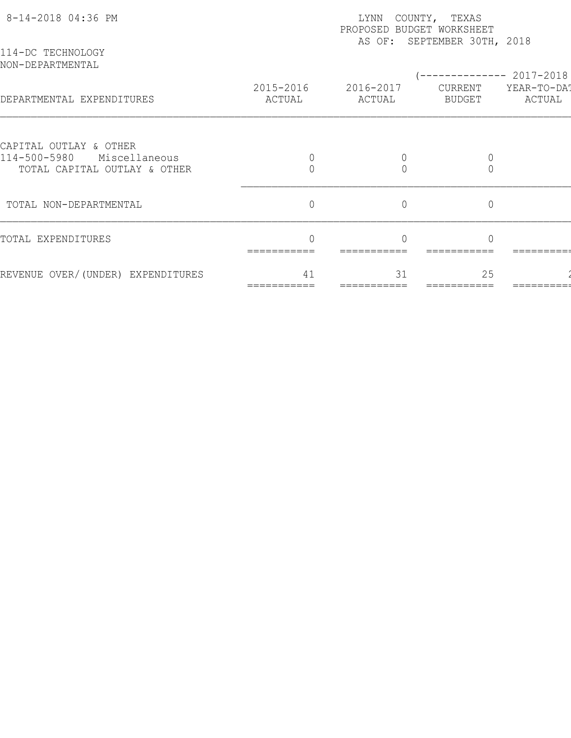| 8-14-2018 04:36 PM<br>114-DC TECHNOLOGY                       | COUNTY, TEXAS<br>LYNN<br>PROPOSED BUDGET WORKSHEET<br>AS OF: SEPTEMBER 30TH, 2018 |                     |                          |                       |  |  |  |
|---------------------------------------------------------------|-----------------------------------------------------------------------------------|---------------------|--------------------------|-----------------------|--|--|--|
| NON-DEPARTMENTAL                                              |                                                                                   |                     |                          | $-2017 - 2018$        |  |  |  |
| DEPARTMENTAL EXPENDITURES                                     | 2015-2016<br>ACTUAL                                                               | 2016-2017<br>ACTUAL | CURRENT<br><b>BUDGET</b> | YEAR-TO-DAT<br>ACTUAL |  |  |  |
| CAPITAL OUTLAY & OTHER                                        |                                                                                   |                     |                          |                       |  |  |  |
| 114-500-5980<br>Miscellaneous<br>TOTAL CAPITAL OUTLAY & OTHER |                                                                                   |                     | 0                        |                       |  |  |  |
|                                                               | $\overline{0}$                                                                    | $\overline{0}$      | $\overline{0}$           |                       |  |  |  |
| TOTAL NON-DEPARTMENTAL                                        |                                                                                   |                     |                          |                       |  |  |  |
| TOTAL EXPENDITURES                                            |                                                                                   |                     |                          |                       |  |  |  |
| REVENUE OVER/(UNDER) EXPENDITURES                             | 41                                                                                | 31                  | 25                       |                       |  |  |  |
|                                                               |                                                                                   |                     |                          |                       |  |  |  |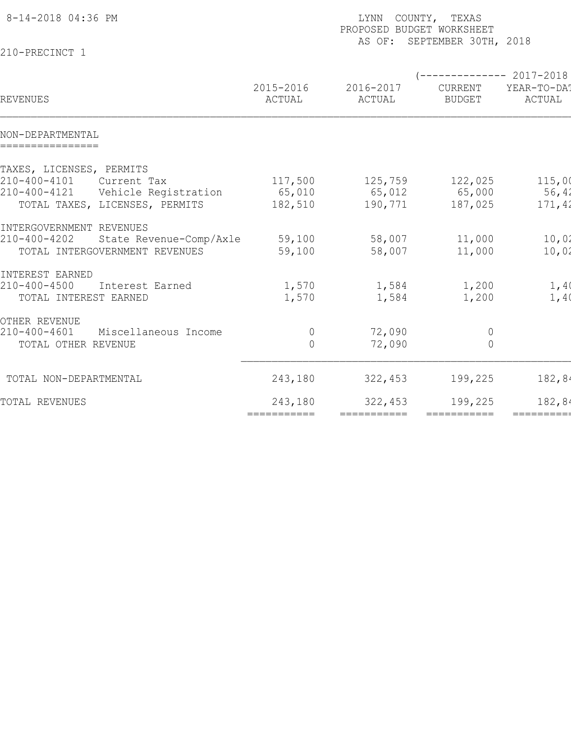| 8-14-2018 04:36 PM                                 | LYNN COUNTY, TEXAS<br>PROPOSED BUDGET WORKSHEET<br>AS OF: SEPTEMBER 30TH, 2018 |                     |                                                        |                       |  |  |  |
|----------------------------------------------------|--------------------------------------------------------------------------------|---------------------|--------------------------------------------------------|-----------------------|--|--|--|
| 210-PRECINCT 1                                     |                                                                                |                     |                                                        |                       |  |  |  |
| REVENUES                                           | 2015-2016<br>ACTUAL                                                            | 2016-2017<br>ACTUAL | (-------------- 2017-2018)<br>CURRENT<br><b>BUDGET</b> | YEAR-TO-DA!<br>ACTUAL |  |  |  |
| NON-DEPARTMENTAL<br>================               |                                                                                |                     |                                                        |                       |  |  |  |
| TAXES, LICENSES, PERMITS                           |                                                                                |                     |                                                        |                       |  |  |  |
| 210-400-4101<br>Current Tax                        | 117,500                                                                        | 125,759             | 122,025                                                | 115,00                |  |  |  |
| 210-400-4121<br>Vehicle Registration               | 65,010                                                                         | 65,012              | 65,000                                                 | 56,42                 |  |  |  |
| TOTAL TAXES, LICENSES, PERMITS                     | 182,510                                                                        | 190,771             | 187,025                                                | 171,42                |  |  |  |
| INTERGOVERNMENT REVENUES                           |                                                                                |                     |                                                        |                       |  |  |  |
| 210-400-4202<br>State Revenue-Comp/Axle            | 59,100                                                                         | 58,007              | 11,000                                                 | 10,02                 |  |  |  |
| TOTAL INTERGOVERNMENT REVENUES                     | 59,100                                                                         | 58,007              | 11,000                                                 | 10,02                 |  |  |  |
|                                                    |                                                                                |                     |                                                        |                       |  |  |  |
| INTEREST EARNED<br>210-400-4500<br>Interest Earned | 1,570                                                                          | 1,584               | 1,200                                                  | 1,40                  |  |  |  |
| TOTAL INTEREST EARNED                              | 1,570                                                                          | 1,584               | 1,200                                                  | 1,40                  |  |  |  |
|                                                    |                                                                                |                     |                                                        |                       |  |  |  |
| OTHER REVENUE                                      |                                                                                |                     |                                                        |                       |  |  |  |
| $210 - 400 - 4601$<br>Miscellaneous Income         | $\overline{0}$                                                                 | 72,090              | $\overline{0}$                                         |                       |  |  |  |
| TOTAL OTHER REVENUE                                | $\overline{0}$                                                                 | 72,090              | $\overline{0}$                                         |                       |  |  |  |
| TOTAL NON-DEPARTMENTAL                             | 243,180                                                                        | 322,453             | 199,225                                                | 182,84                |  |  |  |
| TOTAL REVENUES                                     | 243,180                                                                        | 322,453             | 199,225                                                | 182,84                |  |  |  |
|                                                    | ===========                                                                    | ===========         | $=$ ===========                                        | ==========            |  |  |  |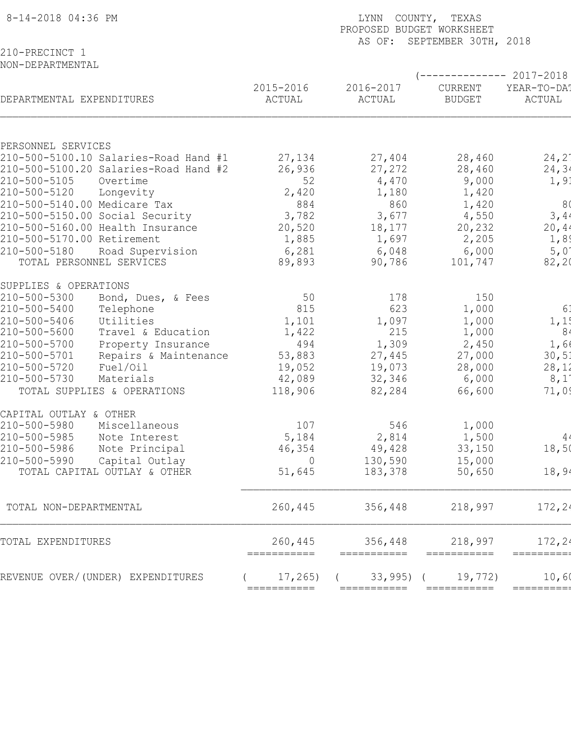| 8-14-2018 04:36 PM               |                                       | COUNTY, TEXAS<br><b>LYNN</b><br>PROPOSED BUDGET WORKSHEET<br>SEPTEMBER 30TH, 2018<br>AS OF: |                     |                          |                       |  |  |  |  |
|----------------------------------|---------------------------------------|---------------------------------------------------------------------------------------------|---------------------|--------------------------|-----------------------|--|--|--|--|
| 210-PRECINCT 1                   |                                       |                                                                                             |                     |                          |                       |  |  |  |  |
| NON-DEPARTMENTAL                 |                                       |                                                                                             |                     |                          |                       |  |  |  |  |
|                                  |                                       |                                                                                             |                     |                          | $------ 2017-2018$    |  |  |  |  |
| DEPARTMENTAL EXPENDITURES        |                                       | 2015-2016<br>ACTUAL                                                                         | 2016-2017<br>ACTUAL | CURRENT<br><b>BUDGET</b> | YEAR-TO-DA!<br>ACTUAL |  |  |  |  |
| PERSONNEL SERVICES               |                                       |                                                                                             |                     |                          |                       |  |  |  |  |
|                                  | 210-500-5100.10 Salaries-Road Hand #1 | 27,134                                                                                      | 27,404              | 28,460                   | $24, 2^{\circ}$       |  |  |  |  |
|                                  | 210-500-5100.20 Salaries-Road Hand #2 | 26,936                                                                                      | 27,272              | 28,460                   | 24, 34                |  |  |  |  |
| 210-500-5105                     | Overtime                              | 52                                                                                          | 4,470               | 9,000                    | 1, 91                 |  |  |  |  |
| 210-500-5120                     | Longevity                             | 2,420                                                                                       | 1,180               | 1,420                    |                       |  |  |  |  |
| 210-500-5140.00 Medicare Tax     |                                       | 884                                                                                         | 860                 | 1,420                    | 8(                    |  |  |  |  |
| 210-500-5150.00 Social Security  |                                       | 3,782                                                                                       | 3,677               | 4,550                    | 3,44                  |  |  |  |  |
| 210-500-5160.00 Health Insurance |                                       | 20,520                                                                                      | 18,177              | 20,232                   | 20,44                 |  |  |  |  |
| 210-500-5170.00 Retirement       |                                       | 1,885                                                                                       | 1,697               | 2,205                    | 1,89                  |  |  |  |  |
| 210-500-5180                     | Road Supervision                      | 6,281                                                                                       | 6,048               | 6,000                    | 5,01                  |  |  |  |  |
| TOTAL PERSONNEL SERVICES         |                                       | 89,893                                                                                      | 90,786              | 101,747                  | 82, 20                |  |  |  |  |
| SUPPLIES & OPERATIONS            |                                       |                                                                                             |                     |                          |                       |  |  |  |  |
| 210-500-5300                     | Bond, Dues, & Fees                    | 50                                                                                          | 178                 | 150                      |                       |  |  |  |  |
| 210-500-5400                     | Telephone                             | 815                                                                                         | 623                 | 1,000                    | 6 <sup>1</sup>        |  |  |  |  |
| 210-500-5406                     | Utilities                             | 1,101                                                                                       | 1,097               | 1,000                    | 1, 1!                 |  |  |  |  |
| 210-500-5600                     | Travel & Education                    | 1,422                                                                                       | 215                 | 1,000                    | 8 <sub>4</sub>        |  |  |  |  |
| 210-500-5700                     | Property Insurance                    | 494                                                                                         | 1,309               | 2,450                    | 1,66                  |  |  |  |  |
| 210-500-5701                     | Repairs & Maintenance                 | 53,883                                                                                      | 27,445              | 27,000                   | 30,51                 |  |  |  |  |
| 210-500-5720                     | Fuel/Oil                              | 19,052                                                                                      | 19,073              | 28,000                   | 28,12                 |  |  |  |  |
| 210-500-5730                     | Materials                             | 42,089                                                                                      | 32,346              | 6,000                    | $8,1^{\circ}$         |  |  |  |  |
|                                  | TOTAL SUPPLIES & OPERATIONS           | 118,906                                                                                     | 82,284              | 66,600                   | 71,09                 |  |  |  |  |
| CAPITAL OUTLAY & OTHER           |                                       |                                                                                             |                     |                          |                       |  |  |  |  |
| 210-500-5980                     | Miscellaneous                         | 107                                                                                         | 546                 | 1,000                    |                       |  |  |  |  |
| 210-500-5985                     | Note Interest                         | 5,184                                                                                       | 2,814               | 1,500                    |                       |  |  |  |  |
| 210-500-5986                     | Note Principal                        | 46,354                                                                                      | 49,428              | 33,150                   | $\frac{4}{18,50}$     |  |  |  |  |
| 210-500-5990                     | Capital Outlay                        | $\Omega$                                                                                    | 130,590             | 15,000                   |                       |  |  |  |  |
|                                  | TOTAL CAPITAL OUTLAY & OTHER          | 51,645                                                                                      | 183,378             | 50,650                   | 18,94                 |  |  |  |  |
|                                  |                                       |                                                                                             |                     |                          |                       |  |  |  |  |
| TOTAL NON-DEPARTMENTAL           |                                       | 260,445                                                                                     | 356,448             | 218,997                  | 172, 24               |  |  |  |  |
| TOTAL EXPENDITURES               |                                       | 260,445<br>===========                                                                      | 356,448             | 218,997<br>===========   | 172, 24<br>=========  |  |  |  |  |
|                                  | REVENUE OVER/(UNDER) EXPENDITURES     | 17,265)                                                                                     | $33,995$ ) (        | 19,772)                  | 10,60                 |  |  |  |  |
|                                  |                                       | ===========                                                                                 | ===========         | ===========              | =========             |  |  |  |  |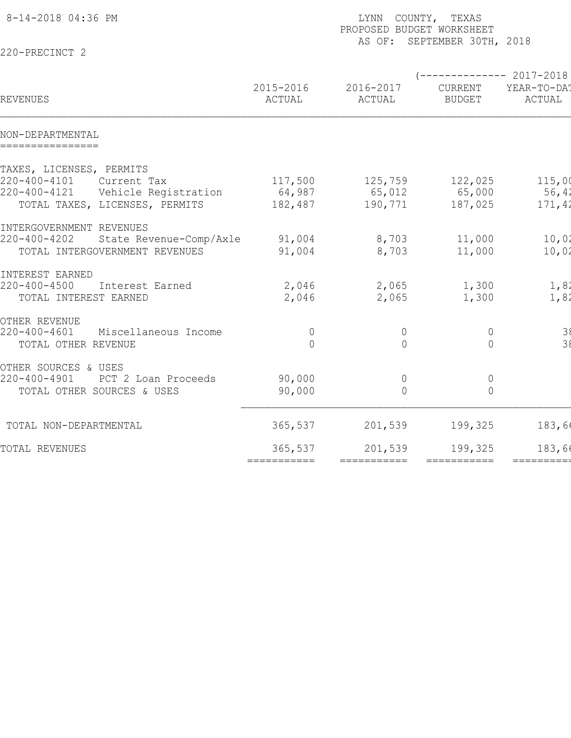| AS OF: SEPTEMBER 30TH, 2018<br>220-PRECINCT 2<br>$--------- 2017-2018$<br>2015-2016<br>2016-2017<br>CURRENT<br>REVENUES<br>ACTUAL<br>ACTUAL<br><b>BUDGET</b><br>ACTUAL<br>NON-DEPARTMENTAL<br>================<br>TAXES, LICENSES, PERMITS<br>220-400-4101<br>Current Tax<br>117,500<br>125,759<br>122,025<br>220-400-4121<br>Vehicle Registration<br>64,987<br>65,012<br>65,000<br>TOTAL TAXES, LICENSES, PERMITS<br>182,487<br>190,771<br>187,025<br>INTERGOVERNMENT REVENUES<br>220-400-4202<br>State Revenue-Comp/Axle<br>91,004<br>8,703<br>11,000<br>TOTAL INTERGOVERNMENT REVENUES<br>8,703<br>91,004<br>11,000<br>INTEREST EARNED<br>$220 - 400 - 4500$<br>2,046<br>1,300<br>2,065<br>Interest Earned<br>2,046<br>2,065<br>1,300<br>TOTAL INTEREST EARNED<br>OTHER REVENUE<br>$220 - 400 - 4601$<br>Miscellaneous Income<br>$\mathbb O$<br>$\overline{0}$<br>$\overline{0}$<br>TOTAL OTHER REVENUE<br>$\Omega$<br>$\bigcap$<br>$\bigcap$ |
|--------------------------------------------------------------------------------------------------------------------------------------------------------------------------------------------------------------------------------------------------------------------------------------------------------------------------------------------------------------------------------------------------------------------------------------------------------------------------------------------------------------------------------------------------------------------------------------------------------------------------------------------------------------------------------------------------------------------------------------------------------------------------------------------------------------------------------------------------------------------------------------------------------------------------------------------------|
| YEAR-TO-DA!<br>56,42<br>10,02<br>1,82                                                                                                                                                                                                                                                                                                                                                                                                                                                                                                                                                                                                                                                                                                                                                                                                                                                                                                            |
|                                                                                                                                                                                                                                                                                                                                                                                                                                                                                                                                                                                                                                                                                                                                                                                                                                                                                                                                                  |
| 115,00<br>171,42<br>10,02<br>1,82<br>$\frac{38}{38}$                                                                                                                                                                                                                                                                                                                                                                                                                                                                                                                                                                                                                                                                                                                                                                                                                                                                                             |
|                                                                                                                                                                                                                                                                                                                                                                                                                                                                                                                                                                                                                                                                                                                                                                                                                                                                                                                                                  |
|                                                                                                                                                                                                                                                                                                                                                                                                                                                                                                                                                                                                                                                                                                                                                                                                                                                                                                                                                  |
|                                                                                                                                                                                                                                                                                                                                                                                                                                                                                                                                                                                                                                                                                                                                                                                                                                                                                                                                                  |
|                                                                                                                                                                                                                                                                                                                                                                                                                                                                                                                                                                                                                                                                                                                                                                                                                                                                                                                                                  |
|                                                                                                                                                                                                                                                                                                                                                                                                                                                                                                                                                                                                                                                                                                                                                                                                                                                                                                                                                  |
|                                                                                                                                                                                                                                                                                                                                                                                                                                                                                                                                                                                                                                                                                                                                                                                                                                                                                                                                                  |
|                                                                                                                                                                                                                                                                                                                                                                                                                                                                                                                                                                                                                                                                                                                                                                                                                                                                                                                                                  |
|                                                                                                                                                                                                                                                                                                                                                                                                                                                                                                                                                                                                                                                                                                                                                                                                                                                                                                                                                  |
|                                                                                                                                                                                                                                                                                                                                                                                                                                                                                                                                                                                                                                                                                                                                                                                                                                                                                                                                                  |
|                                                                                                                                                                                                                                                                                                                                                                                                                                                                                                                                                                                                                                                                                                                                                                                                                                                                                                                                                  |
|                                                                                                                                                                                                                                                                                                                                                                                                                                                                                                                                                                                                                                                                                                                                                                                                                                                                                                                                                  |
|                                                                                                                                                                                                                                                                                                                                                                                                                                                                                                                                                                                                                                                                                                                                                                                                                                                                                                                                                  |
|                                                                                                                                                                                                                                                                                                                                                                                                                                                                                                                                                                                                                                                                                                                                                                                                                                                                                                                                                  |
| OTHER SOURCES & USES                                                                                                                                                                                                                                                                                                                                                                                                                                                                                                                                                                                                                                                                                                                                                                                                                                                                                                                             |
| 90,000<br>220-400-4901<br>PCT 2 Loan Proceeds<br>$\overline{0}$<br>$\overline{0}$                                                                                                                                                                                                                                                                                                                                                                                                                                                                                                                                                                                                                                                                                                                                                                                                                                                                |
| 90,000<br>$\overline{0}$<br>TOTAL OTHER SOURCES & USES<br>$\bigcap$                                                                                                                                                                                                                                                                                                                                                                                                                                                                                                                                                                                                                                                                                                                                                                                                                                                                              |
|                                                                                                                                                                                                                                                                                                                                                                                                                                                                                                                                                                                                                                                                                                                                                                                                                                                                                                                                                  |
| 183,6<br>365,537<br>201,539<br>199,325<br>TOTAL NON-DEPARTMENTAL                                                                                                                                                                                                                                                                                                                                                                                                                                                                                                                                                                                                                                                                                                                                                                                                                                                                                 |
| 365,537<br>201,539<br>199,325<br>183,66<br>TOTAL REVENUES                                                                                                                                                                                                                                                                                                                                                                                                                                                                                                                                                                                                                                                                                                                                                                                                                                                                                        |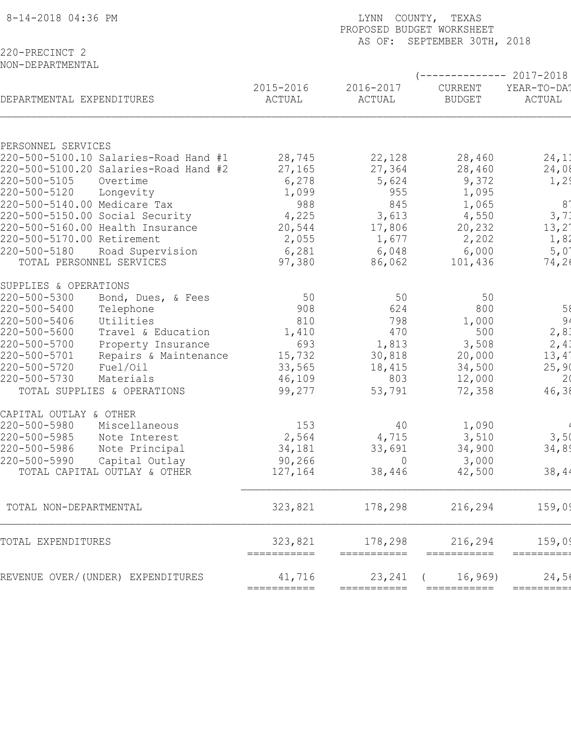| 8-14-2018 04:36 PM                    |                        | COUNTY, TEXAS<br>LYNN<br>PROPOSED BUDGET WORKSHEET<br>AS OF:<br>SEPTEMBER 30TH, 2018 |                          |                       |  |  |  |  |
|---------------------------------------|------------------------|--------------------------------------------------------------------------------------|--------------------------|-----------------------|--|--|--|--|
| 220-PRECINCT 2                        |                        |                                                                                      |                          |                       |  |  |  |  |
| NON-DEPARTMENTAL                      |                        |                                                                                      |                          |                       |  |  |  |  |
|                                       |                        |                                                                                      |                          | ---------- 2017-2018  |  |  |  |  |
| DEPARTMENTAL EXPENDITURES             | 2015-2016<br>ACTUAL    | 2016-2017<br>ACTUAL                                                                  | CURRENT<br><b>BUDGET</b> | YEAR-TO-DA!<br>ACTUAL |  |  |  |  |
| PERSONNEL SERVICES                    |                        |                                                                                      |                          |                       |  |  |  |  |
| 220-500-5100.10 Salaries-Road Hand #1 | 28,745                 | 22,128                                                                               | 28,460                   | 24,11                 |  |  |  |  |
| 220-500-5100.20 Salaries-Road Hand #2 | 27,165                 | 27,364                                                                               | 28,460                   | 24,08                 |  |  |  |  |
| 220-500-5105<br>Overtime              | 6,278                  | 5,624                                                                                | 9,372                    | 1,2!                  |  |  |  |  |
| 220-500-5120<br>Longevity             | 1,099                  | 955                                                                                  | 1,095                    |                       |  |  |  |  |
| 220-500-5140.00 Medicare Tax          | 988                    | 845                                                                                  | 1,065                    | 8 <sup>°</sup>        |  |  |  |  |
| 220-500-5150.00 Social Security       | 4,225                  | 3,613                                                                                | 4,550                    | 3, 71                 |  |  |  |  |
| 220-500-5160.00 Health Insurance      | 20,544                 | 17,806                                                                               | 20,232                   | $13, 2^{\circ}$       |  |  |  |  |
| 220-500-5170.00 Retirement            | 2,055                  | 1,677                                                                                | 2,202                    | 1,82                  |  |  |  |  |
| 220-500-5180<br>Road Supervision      | 6,281                  | 6,048                                                                                | 6,000                    | 5,01                  |  |  |  |  |
| TOTAL PERSONNEL SERVICES              | 97,380                 | 86,062                                                                               | 101,436                  | 74, 26                |  |  |  |  |
| SUPPLIES & OPERATIONS                 |                        |                                                                                      |                          |                       |  |  |  |  |
| 220-500-5300<br>Bond, Dues, & Fees    | 50                     | 50                                                                                   | 50                       |                       |  |  |  |  |
| 220-500-5400<br>Telephone             | 908                    | 624                                                                                  | 800                      | 58                    |  |  |  |  |
| 220-500-5406<br>Utilities             | 810                    | 798                                                                                  | 1,000                    | 2, 83                 |  |  |  |  |
| 220-500-5600<br>Travel & Education    | 1,410                  | 470                                                                                  | 500                      |                       |  |  |  |  |
| 220-500-5700<br>Property Insurance    | 693                    | 1,813                                                                                | 3,508                    | 2,41                  |  |  |  |  |
| 220-500-5701<br>Repairs & Maintenance | 15,732                 | 30,818                                                                               | 20,000                   | $13,4^{\circ}$        |  |  |  |  |
| 220-500-5720<br>Fuel/Oil              | 33,565                 | 18,415                                                                               | 34,500                   | 25,90                 |  |  |  |  |
| 220-500-5730<br>Materials             | 46,109                 | 803                                                                                  | 12,000                   | 2 <sub>0</sub>        |  |  |  |  |
| TOTAL SUPPLIES & OPERATIONS           | 99,277                 | 53,791                                                                               | 72,358                   | 46,38                 |  |  |  |  |
| CAPITAL OUTLAY & OTHER                |                        |                                                                                      |                          |                       |  |  |  |  |
| 220-500-5980<br>Miscellaneous         | 153                    | 40                                                                                   | 1,090                    |                       |  |  |  |  |
| 220-500-5985<br>Note Interest         | 2,564                  | 4,715                                                                                | 3,510                    | 3,5(                  |  |  |  |  |
| 220-500-5986<br>Note Principal        | 34,181                 | 33,691                                                                               | 34,900                   | 34,89                 |  |  |  |  |
| 220-500-5990<br>Capital Outlay        | 90,266                 | - 0                                                                                  | 3,000                    |                       |  |  |  |  |
| TOTAL CAPITAL OUTLAY & OTHER          | 127,164                | 38,446                                                                               | 42,500                   | 38,44                 |  |  |  |  |
|                                       |                        |                                                                                      |                          |                       |  |  |  |  |
| TOTAL NON-DEPARTMENTAL                | 323,821                | 178,298                                                                              | 216,294                  | 159,09                |  |  |  |  |
| TOTAL EXPENDITURES                    | 323,821<br>=========== | 178,298<br>===========                                                               | 216,294<br>===========   | 159,09<br>=========   |  |  |  |  |
| REVENUE OVER/(UNDER) EXPENDITURES     | 41,716                 | 23,241                                                                               | 16,969                   | 24,56                 |  |  |  |  |
|                                       | ===========            | ===========                                                                          | ===========              | $=$ ========          |  |  |  |  |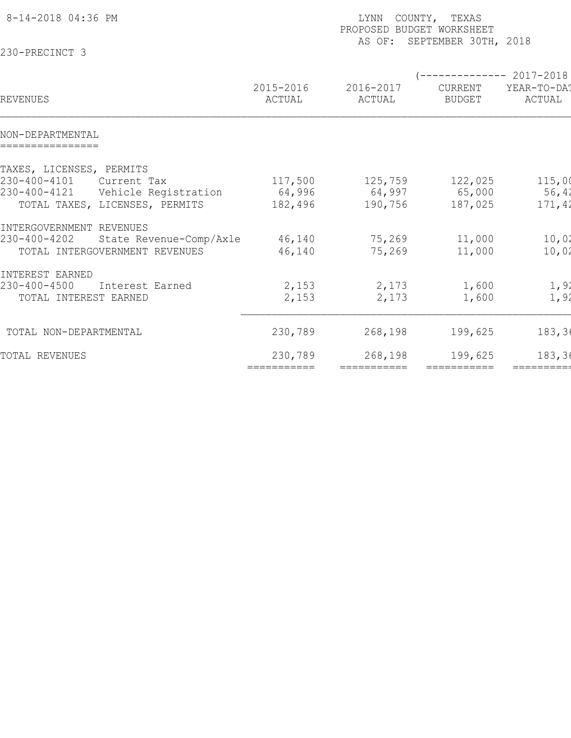|                                                                           |                        | COUNTY, TEXAS<br>LYNN<br>PROPOSED BUDGET WORKSHEET<br>SEPTEMBER 30TH, 2018<br>AS OF: |                          |                                              |  |  |  |  |
|---------------------------------------------------------------------------|------------------------|--------------------------------------------------------------------------------------|--------------------------|----------------------------------------------|--|--|--|--|
| 230-PRECINCT 3                                                            |                        |                                                                                      |                          |                                              |  |  |  |  |
| REVENUES                                                                  | 2015-2016<br>ACTUAL    | 2016-2017<br>ACTUAL                                                                  | CURRENT<br><b>BUDGET</b> | $--------2017-2018$<br>YEAR-TO-DAT<br>ACTUAL |  |  |  |  |
|                                                                           |                        |                                                                                      |                          |                                              |  |  |  |  |
| NON-DEPARTMENTAL<br>================                                      |                        |                                                                                      |                          |                                              |  |  |  |  |
| TAXES, LICENSES, PERMITS                                                  |                        |                                                                                      |                          |                                              |  |  |  |  |
| 230-400-4101<br>Current Tax                                               | 117,500                | 125,759                                                                              | 122,025                  | 115,00                                       |  |  |  |  |
| 230-400-4121<br>Vehicle Registration<br>TOTAL TAXES, LICENSES, PERMITS    | 64,996<br>182,496      | 64,997<br>190,756                                                                    | 65,000<br>187,025        | 56,42<br>171,42                              |  |  |  |  |
| INTERGOVERNMENT REVENUES                                                  |                        |                                                                                      |                          |                                              |  |  |  |  |
| 230-400-4202<br>State Revenue-Comp/Axle<br>TOTAL INTERGOVERNMENT REVENUES | 46,140<br>46,140       | 75,269<br>75,269                                                                     | 11,000<br>11,000         | 10,02<br>10,02                               |  |  |  |  |
| INTEREST EARNED                                                           |                        |                                                                                      |                          |                                              |  |  |  |  |
| 230-400-4500<br>Interest Earned<br>TOTAL INTEREST EARNED                  | 2,153<br>2,153         | 2,173<br>2,173                                                                       | 1,600<br>1,600           | 1,92<br>1,92                                 |  |  |  |  |
| TOTAL NON-DEPARTMENTAL                                                    | 230,789                | 268,198                                                                              | 199,625                  | 183, 36                                      |  |  |  |  |
| TOTAL REVENUES                                                            | 230,789<br>=========== | 268,198<br>===========                                                               | 199,625<br>===========   | 183, 36<br>==========                        |  |  |  |  |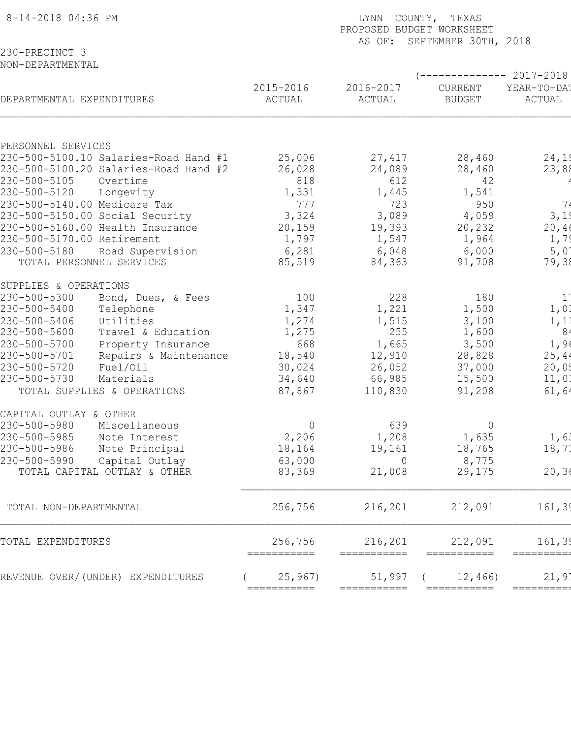| 8-14-2018 04:36 PM                                                                                   |                                          | COUNTY, TEXAS<br>LYNN<br>PROPOSED BUDGET WORKSHEET<br>AS OF:<br>SEPTEMBER 30TH, 2018 |                             |                            |                                 |  |  |  |
|------------------------------------------------------------------------------------------------------|------------------------------------------|--------------------------------------------------------------------------------------|-----------------------------|----------------------------|---------------------------------|--|--|--|
| 230-PRECINCT 3                                                                                       |                                          |                                                                                      |                             |                            |                                 |  |  |  |
| NON-DEPARTMENTAL                                                                                     |                                          |                                                                                      |                             |                            | $--------2017-2018$             |  |  |  |
| DEPARTMENTAL EXPENDITURES                                                                            |                                          | 2015-2016<br>ACTUAL                                                                  | 2016-2017<br>ACTUAL         | CURRENT<br><b>BUDGET</b>   | YEAR-TO-DA!<br>ACTUAL           |  |  |  |
|                                                                                                      |                                          |                                                                                      |                             |                            |                                 |  |  |  |
| PERSONNEL SERVICES<br>230-500-5100.10 Salaries-Road Hand #1<br>230-500-5100.20 Salaries-Road Hand #2 |                                          | 25,006<br>26,028                                                                     | 27,417<br>24,089            | 28,460<br>28,460           | 24,19<br>23,88                  |  |  |  |
| 230-500-5105<br>Overtime<br>230-500-5120<br>Longevity<br>230-500-5140.00 Medicare Tax                |                                          | 818<br>1,331<br>777                                                                  | 612<br>1,445<br>723         | 42<br>1,541<br>950         | 74                              |  |  |  |
| 230-500-5150.00 Social Security<br>230-500-5160.00 Health Insurance                                  |                                          | 3,324<br>20,159                                                                      | 3,089<br>19,393             | 4,059<br>20,232            | 3,19<br>20,40                   |  |  |  |
| 230-500-5170.00 Retirement<br>230-500-5180<br>Road Supervision<br>TOTAL PERSONNEL SERVICES           |                                          | 1,797<br>6,281<br>85,519                                                             | 1,547<br>6,048<br>84,363    | 1,964<br>6,000<br>91,708   | 1,79<br>5,01<br>79,38           |  |  |  |
| SUPPLIES & OPERATIONS                                                                                |                                          |                                                                                      |                             |                            |                                 |  |  |  |
| 230-500-5300<br>230-500-5400<br>Telephone<br>230-500-5406<br>Utilities                               | Bond, Dues, & Fees                       | 100<br>1,347                                                                         | 228<br>1,221                | 180<br>1,500               | $\mathbf{1}$<br>1,01            |  |  |  |
| 230-500-5600<br>230-500-5700                                                                         | Travel & Education<br>Property Insurance | 1,274<br>1,275<br>668                                                                | 1,515<br>255<br>1,665       | 3,100<br>1,600<br>3,500    | 1, 11<br>8 <sub>4</sub><br>1,90 |  |  |  |
| 230-500-5701<br>230-500-5720<br>Fuel/Oil<br>230-500-5730<br>Materials                                | Repairs & Maintenance                    | 18,540<br>30,024<br>34,640                                                           | 12,910<br>26,052<br>66,985  | 28,828<br>37,000<br>15,500 | 25, 44<br>20,05<br>11,01        |  |  |  |
| TOTAL SUPPLIES & OPERATIONS                                                                          |                                          | 87,867                                                                               | 110,830                     | 91,208                     | 61, 64                          |  |  |  |
| CAPITAL OUTLAY & OTHER<br>230-500-5980<br>Miscellaneous                                              |                                          | $\overline{0}$                                                                       | 639                         | $\overline{0}$             |                                 |  |  |  |
| 230-500-5985<br>Note Interest<br>230-500-5986<br>Note Principal<br>230-500-5990<br>Capital Outlay    |                                          | 2,206<br>18,164<br>63,000                                                            | 1,208<br>19,161<br>$\Omega$ | 1,635<br>18,765<br>8,775   | 1,61<br>18,71                   |  |  |  |
| TOTAL CAPITAL OUTLAY & OTHER                                                                         |                                          | 83,369                                                                               | 21,008                      | 29,175                     | 20, 36                          |  |  |  |
| TOTAL NON-DEPARTMENTAL                                                                               |                                          | 256,756                                                                              | 216,201                     | 212,091                    | 161, 39                         |  |  |  |
| TOTAL EXPENDITURES                                                                                   |                                          | 256,756<br>===========                                                               | 216,201<br>===========      | 212,091<br>===========     | 161, 39<br>=========            |  |  |  |
| REVENUE OVER/(UNDER) EXPENDITURES                                                                    |                                          | 25,967)<br>===========                                                               | 51,997                      | 12,466)                    | 21,9'<br>=========              |  |  |  |
|                                                                                                      |                                          |                                                                                      |                             |                            |                                 |  |  |  |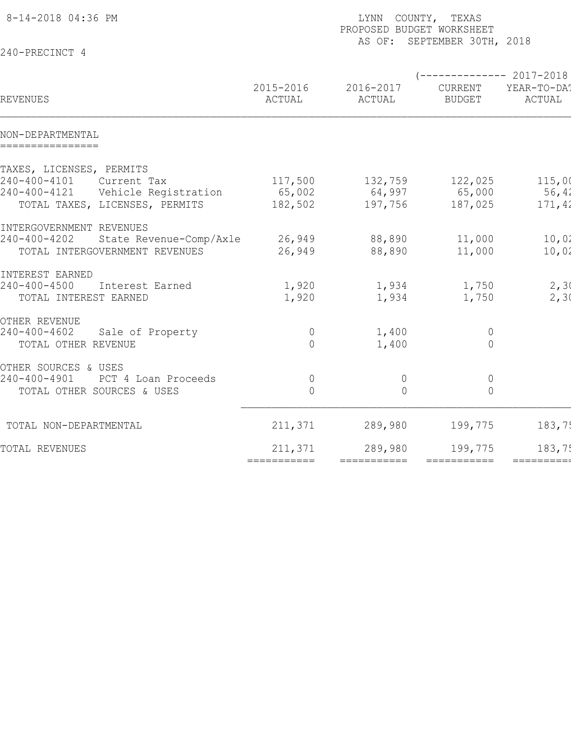| 8-14-2018 04:36 PM                      |                     | LYNN COUNTY, TEXAS<br>PROPOSED BUDGET WORKSHEET<br>AS OF: SEPTEMBER 30TH, 2018 |                                                  |                       |  |  |  |  |
|-----------------------------------------|---------------------|--------------------------------------------------------------------------------|--------------------------------------------------|-----------------------|--|--|--|--|
| 240-PRECINCT 4                          |                     |                                                                                |                                                  |                       |  |  |  |  |
| REVENUES                                | 2015-2016<br>ACTUAL | 2016-2017<br>ACTUAL                                                            | $---------2017-2018$<br>CURRENT<br><b>BUDGET</b> | YEAR-TO-DA!<br>ACTUAL |  |  |  |  |
| NON-DEPARTMENTAL                        |                     |                                                                                |                                                  |                       |  |  |  |  |
| ================                        |                     |                                                                                |                                                  |                       |  |  |  |  |
| TAXES, LICENSES, PERMITS                |                     |                                                                                |                                                  |                       |  |  |  |  |
| 240-400-4101<br>Current Tax             | 117,500             | 132,759                                                                        | 122,025                                          | 115,00                |  |  |  |  |
| 240-400-4121  Vehicle Registration      | 65,002              | $64,997$ 65,000                                                                |                                                  | 56,42                 |  |  |  |  |
| TOTAL TAXES, LICENSES, PERMITS          | 182,502             | 197,756                                                                        | 187,025                                          | 171,42                |  |  |  |  |
| INTERGOVERNMENT REVENUES                |                     |                                                                                |                                                  |                       |  |  |  |  |
| 240-400-4202<br>State Revenue-Comp/Axle | 26,949              | 88,890                                                                         | 11,000                                           | 10,02                 |  |  |  |  |
| TOTAL INTERGOVERNMENT REVENUES          | 26,949              | 88,890                                                                         | 11,000                                           | 10,02                 |  |  |  |  |
| INTEREST EARNED                         |                     |                                                                                |                                                  |                       |  |  |  |  |
| 240-400-4500<br>Interest Earned         | 1,920               | 1,934                                                                          | 1,750                                            | 2, 30                 |  |  |  |  |
| TOTAL INTEREST EARNED                   | 1,920               | 1,934                                                                          | 1,750                                            | 2,30                  |  |  |  |  |
| OTHER REVENUE                           |                     |                                                                                |                                                  |                       |  |  |  |  |
| 240-400-4602<br>Sale of Property        | $\mathbb O$         | 1,400                                                                          | $\circ$                                          |                       |  |  |  |  |
| TOTAL OTHER REVENUE                     | $\bigcap$           | 1,400                                                                          | $\overline{0}$                                   |                       |  |  |  |  |
| OTHER SOURCES & USES                    |                     |                                                                                |                                                  |                       |  |  |  |  |
| 240-400-4901<br>PCT 4 Loan Proceeds     | $\mathbb O$         | $\overline{0}$                                                                 | $\circ$                                          |                       |  |  |  |  |
| TOTAL OTHER SOURCES & USES              | $\bigcap$           | $\bigcap$                                                                      | $\overline{0}$                                   |                       |  |  |  |  |
| TOTAL NON-DEPARTMENTAL                  | 211,371             | 289,980                                                                        | 199,775                                          | 183,75                |  |  |  |  |
| TOTAL REVENUES                          | 211,371             | 289,980                                                                        | 199,775                                          | 183,75                |  |  |  |  |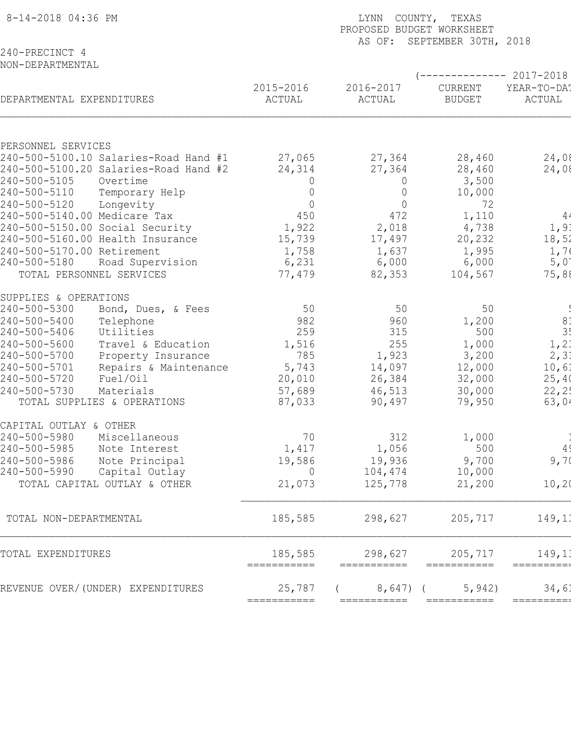| 8-14-2018 04:36 PM                                        | LYNN COUNTY, TEXAS<br>PROPOSED BUDGET WORKSHEET<br>SEPTEMBER 30TH, 2018<br>AS OF: |                        |                          |                       |  |  |  |
|-----------------------------------------------------------|-----------------------------------------------------------------------------------|------------------------|--------------------------|-----------------------|--|--|--|
| 240-PRECINCT 4<br>NON-DEPARTMENTAL                        |                                                                                   |                        |                          |                       |  |  |  |
|                                                           |                                                                                   |                        |                          | ----------- 2017-2018 |  |  |  |
| DEPARTMENTAL EXPENDITURES                                 | 2015-2016<br>ACTUAL                                                               | 2016-2017<br>ACTUAL    | CURRENT<br><b>BUDGET</b> | YEAR-TO-DA!<br>ACTUAL |  |  |  |
| PERSONNEL SERVICES                                        |                                                                                   |                        |                          |                       |  |  |  |
| 240-500-5100.10 Salaries-Road Hand #1                     | 27,065                                                                            | 27,364                 | 28,460                   | 24,08                 |  |  |  |
| 240-500-5100.20 Salaries-Road Hand #2                     | 24,314                                                                            | 27,364                 | 28,460                   | 24,08                 |  |  |  |
| 240-500-5105<br>Overtime                                  | $\Omega$                                                                          | $\overline{0}$         | 3,500                    |                       |  |  |  |
| 240-500-5110<br>Temporary Help                            | $\Omega$                                                                          | $\overline{0}$         | 10,000                   |                       |  |  |  |
| 240-500-5120<br>Longevity<br>240-500-5140.00 Medicare Tax | $\Omega$<br>450                                                                   | $\overline{0}$<br>472  | 72<br>1,110              | 4 <sub>4</sub>        |  |  |  |
| 240-500-5150.00 Social Security                           | 1,922                                                                             | 2,018                  | 4,738                    | 1, 91                 |  |  |  |
| 240-500-5160.00 Health Insurance                          | 15,739                                                                            | 17,497                 | 20,232                   | 18,52                 |  |  |  |
| 240-500-5170.00 Retirement                                | 1,758                                                                             | 1,637                  | 1,995                    | 1,76                  |  |  |  |
| 240-500-5180<br>Road Supervision                          | 6,231                                                                             | 6,000                  | 6,000                    | 5,01                  |  |  |  |
| TOTAL PERSONNEL SERVICES                                  | 77,479                                                                            | 82,353                 | 104,567                  | 75,88                 |  |  |  |
| SUPPLIES & OPERATIONS                                     |                                                                                   |                        |                          |                       |  |  |  |
| 240-500-5300<br>Bond, Dues, & Fees                        | 50                                                                                | 50                     | 50                       |                       |  |  |  |
| 240-500-5400<br>Telephone                                 | 982                                                                               | 960                    | 1,200                    | 81                    |  |  |  |
| 240-500-5406<br>Utilities                                 | 259                                                                               | 315                    | 500                      | 3!                    |  |  |  |
| 240-500-5600<br>Travel & Education                        | 1,516                                                                             | 255                    | 1,000                    | 1, 2;                 |  |  |  |
| 240-500-5700<br>Property Insurance<br>240-500-5701        | 785                                                                               | 1,923<br>14,097        | 3,200                    | 2, 3:                 |  |  |  |
| Repairs & Maintenance<br>240-500-5720<br>Fuel/Oil         | 5,743<br>20,010                                                                   | 26,384                 | 12,000<br>32,000         | 10, 61<br>25,40       |  |  |  |
| 240-500-5730<br>Materials                                 | 57,689                                                                            | 46,513                 | 30,000                   | 22, 25                |  |  |  |
| TOTAL SUPPLIES & OPERATIONS                               | 87,033                                                                            | 90,497                 | 79,950                   | 63,04                 |  |  |  |
| CAPITAL OUTLAY & OTHER                                    |                                                                                   |                        |                          |                       |  |  |  |
| 240-500-5980<br>Miscellaneous                             | 70                                                                                | 312                    | 1,000                    |                       |  |  |  |
| 240-500-5985<br>Note Interest                             | 1,417                                                                             | 1,056                  | 500                      | 4 <sup>′</sup>        |  |  |  |
| 240-500-5986<br>Note Principal                            | 19,586                                                                            | 19,936                 | 9,700                    | 9,70                  |  |  |  |
| 240-500-5990<br>Capital Outlay                            | $\overline{0}$                                                                    | 104,474                | 10,000                   |                       |  |  |  |
| TOTAL CAPITAL OUTLAY & OTHER                              | 21,073                                                                            | 125,778                | 21,200                   | 10, 20                |  |  |  |
| TOTAL NON-DEPARTMENTAL                                    | 185,585                                                                           | 298,627                | 205,717                  | 149, 13               |  |  |  |
| TOTAL EXPENDITURES                                        | 185,585                                                                           | 298,627<br>=========== | 205,717<br>===========   | 149,13<br>=========   |  |  |  |
| REVENUE OVER/(UNDER) EXPENDITURES                         | 25,787                                                                            | $8,647$ (              | 5,942)                   | 34,61                 |  |  |  |
|                                                           | ===========                                                                       | ===========            | ===========              | =========             |  |  |  |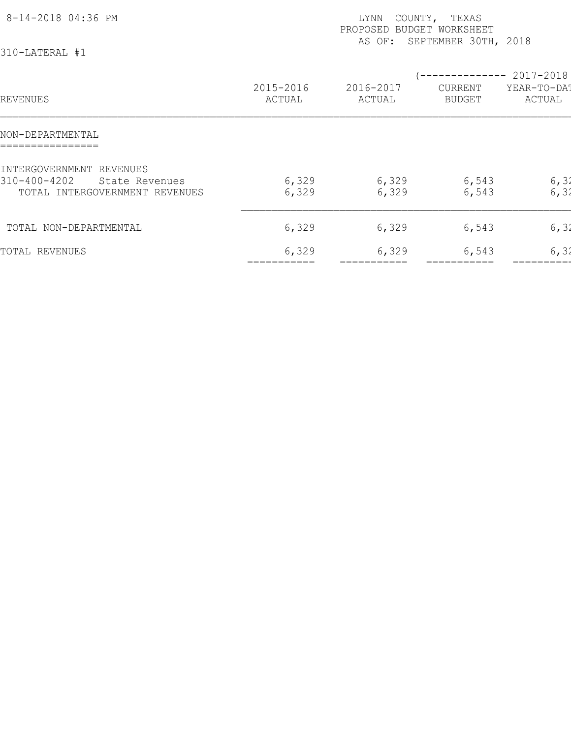| 8-14-2018 04:36 PM<br>310-LATERAL #1                                                         |                     | LYNN<br>PROPOSED BUDGET WORKSHEET<br>AS OF: | COUNTY, TEXAS<br>SEPTEMBER 30TH, 2018 |                                                |
|----------------------------------------------------------------------------------------------|---------------------|---------------------------------------------|---------------------------------------|------------------------------------------------|
| REVENUES                                                                                     | 2015-2016<br>ACTUAL | 2016-2017<br>ACTUAL                         | CURRENT<br><b>BUDGET</b>              | $--------- 2017-2018$<br>YEAR-TO-DAT<br>ACTUAL |
| NON-DEPARTMENTAL<br>================                                                         |                     |                                             |                                       |                                                |
| INTERGOVERNMENT REVENUES<br>310-400-4202<br>State Revenues<br>TOTAL INTERGOVERNMENT REVENUES | 6,329<br>6,329      | 6,329<br>6,329                              | 6,543<br>6,543                        | 6, 32<br>6, 32                                 |
| TOTAL NON-DEPARTMENTAL                                                                       | 6,329               | 6,329                                       | 6,543                                 | 6, 32                                          |
| TOTAL REVENUES                                                                               | 6,329               | 6,329                                       | 6,543                                 | 6, 31                                          |
|                                                                                              |                     |                                             |                                       |                                                |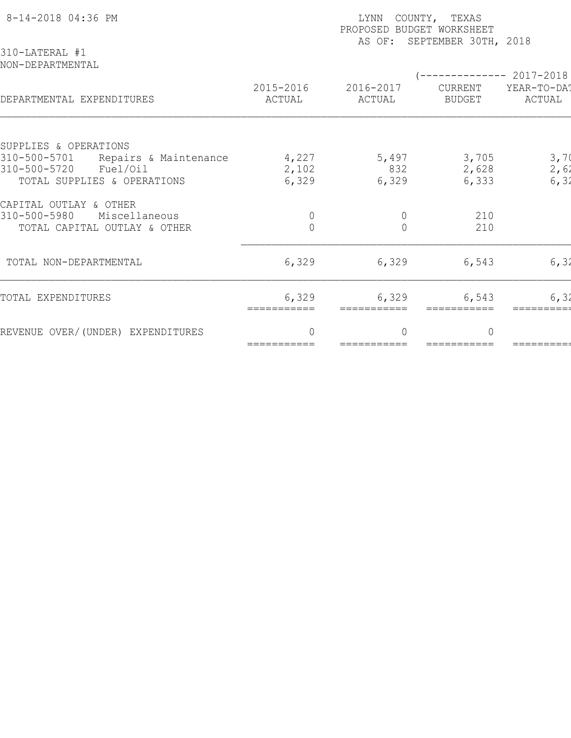| 8-14-2018 04:36 PM<br>310-LATERAL #1          | COUNTY, TEXAS<br>LYNN<br>PROPOSED BUDGET WORKSHEET<br>SEPTEMBER 30TH, 2018<br>AS OF: |                     |                          |                                                |  |  |  |
|-----------------------------------------------|--------------------------------------------------------------------------------------|---------------------|--------------------------|------------------------------------------------|--|--|--|
| NON-DEPARTMENTAL<br>DEPARTMENTAL EXPENDITURES | 2015-2016<br>ACTUAL                                                                  | 2016-2017<br>ACTUAL | CURRENT<br><b>BUDGET</b> | ----------- 2017-2018<br>YEAR-TO-DAT<br>ACTUAL |  |  |  |
| SUPPLIES & OPERATIONS                         |                                                                                      |                     |                          |                                                |  |  |  |
| 310-500-5701<br>Repairs & Maintenance         | 4,227                                                                                | 5,497               | 3,705                    | 3,70                                           |  |  |  |
| 310-500-5720<br>Fuel/Oil                      | 2,102                                                                                | 832                 | 2,628                    | 2,62                                           |  |  |  |
| TOTAL SUPPLIES & OPERATIONS                   | 6,329                                                                                | 6,329               | 6,333                    | 6, 32                                          |  |  |  |
| CAPITAL OUTLAY & OTHER                        |                                                                                      |                     |                          |                                                |  |  |  |
| 310-500-5980<br>Miscellaneous                 | $\circ$                                                                              | $\mathbf 0$         | 210                      |                                                |  |  |  |
| TOTAL CAPITAL OUTLAY & OTHER                  | $\overline{0}$                                                                       | $\overline{0}$      | 210                      |                                                |  |  |  |
| TOTAL NON-DEPARTMENTAL                        | 6,329                                                                                | 6,329               | 6,543                    | 6, 32                                          |  |  |  |
| TOTAL EXPENDITURES                            | 6,329<br>===========                                                                 | 6,329               | 6,543                    | 6, 32                                          |  |  |  |
| REVENUE OVER/(UNDER) EXPENDITURES             | $\Omega$                                                                             | $\bigcap$           | $\Omega$                 |                                                |  |  |  |
|                                               | ===========                                                                          | ===========         |                          |                                                |  |  |  |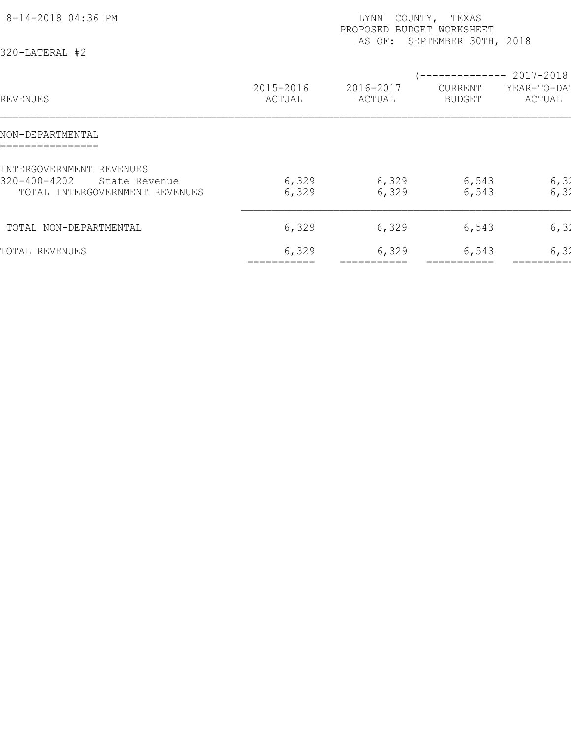| 8-14-2018 04:36 PM<br>320-LATERAL #2                                                              |                     | LYNN<br>PROPOSED BUDGET WORKSHEET<br>AS OF: | COUNTY, TEXAS<br>SEPTEMBER 30TH, 2018 |                                    |
|---------------------------------------------------------------------------------------------------|---------------------|---------------------------------------------|---------------------------------------|------------------------------------|
| REVENUES                                                                                          | 2015-2016<br>ACTUAL | 2016-2017<br>ACTUAL                         | <b>CURRENT</b><br><b>BUDGET</b>       | 2017-2018<br>YEAR-TO-DAT<br>ACTUAL |
| NON-DEPARTMENTAL                                                                                  |                     |                                             |                                       |                                    |
| INTERGOVERNMENT REVENUES<br>$320 - 400 - 4202$<br>State Revenue<br>TOTAL INTERGOVERNMENT REVENUES | 6,329<br>6,329      | 6,329<br>6,329                              | 6,543<br>6,543                        | 6, 32<br>6, 32                     |
| TOTAL NON-DEPARTMENTAL                                                                            | 6,329               | 6,329                                       | 6,543                                 | 6, 32                              |
| TOTAL REVENUES                                                                                    | 6,329               | 6,329                                       | 6,543                                 | 6, 31                              |
|                                                                                                   |                     |                                             |                                       |                                    |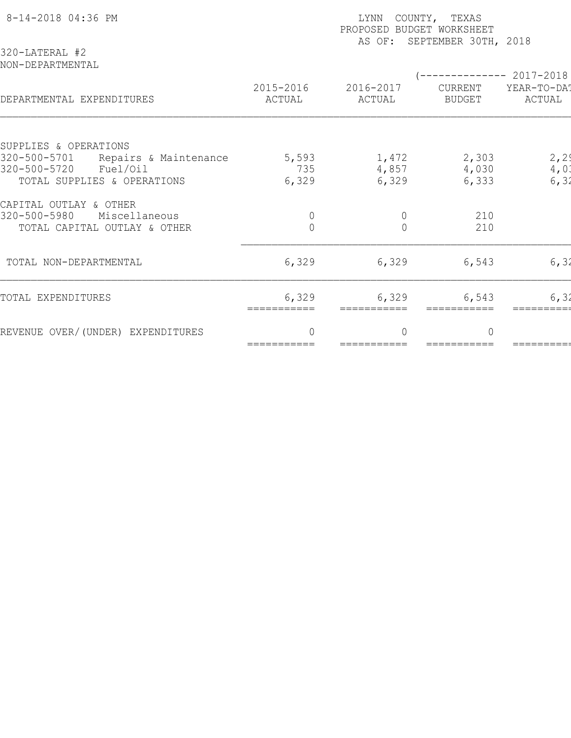| 8-14-2018 04:36 PM<br>320-LATERAL #2          | COUNTY, TEXAS<br>LYNN<br>PROPOSED BUDGET WORKSHEET<br>AS OF: SEPTEMBER 30TH, 2018 |                     |                          |                                             |  |  |
|-----------------------------------------------|-----------------------------------------------------------------------------------|---------------------|--------------------------|---------------------------------------------|--|--|
| NON-DEPARTMENTAL<br>DEPARTMENTAL EXPENDITURES | 2015-2016<br>ACTUAL                                                               | 2016-2017<br>ACTUAL | CURRENT<br><b>BUDGET</b> | $------ 2017-2018$<br>YEAR-TO-DAT<br>ACTUAL |  |  |
| SUPPLIES & OPERATIONS                         |                                                                                   |                     |                          |                                             |  |  |
| 320-500-5701<br>Repairs & Maintenance         | 5,593                                                                             | 1,472               | 2,303                    | 2, 2                                        |  |  |
| 320-500-5720<br>Fuel/Oil                      | 735                                                                               | 4,857               | 4,030                    | 4,01                                        |  |  |
| TOTAL SUPPLIES & OPERATIONS                   | 6,329                                                                             | 6,329               | 6,333                    | 6, 32                                       |  |  |
| CAPITAL OUTLAY & OTHER                        |                                                                                   |                     |                          |                                             |  |  |
| 320-500-5980<br>Miscellaneous                 | $\overline{0}$                                                                    | $\mathbf 0$         | 210                      |                                             |  |  |
| TOTAL CAPITAL OUTLAY & OTHER                  | $\overline{0}$                                                                    | $\Omega$            | 210                      |                                             |  |  |
| TOTAL NON-DEPARTMENTAL                        | 6,329                                                                             | 6,329               | 6,543                    | 6, 32                                       |  |  |
| TOTAL EXPENDITURES                            | 6,329<br>===========                                                              | 6,329               | 6,543                    | 6, 32                                       |  |  |
| REVENUE OVER/(UNDER) EXPENDITURES             | $\Omega$                                                                          | $\bigcap$           | $\Omega$                 |                                             |  |  |
|                                               | ===========                                                                       | ===========         |                          |                                             |  |  |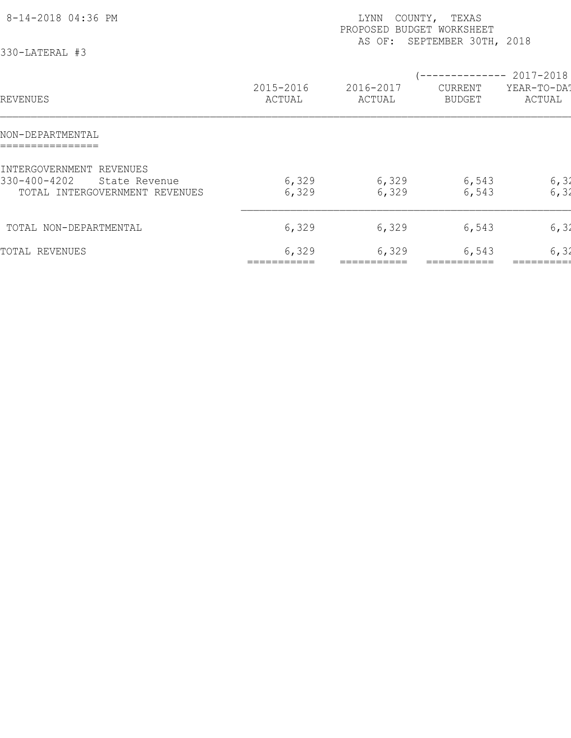| 8-14-2018 04:36 PM<br>330-LATERAL #3                                                        |                     | COUNTY, TEXAS<br>LYNN<br>PROPOSED BUDGET WORKSHEET<br>SEPTEMBER 30TH, 2018<br>AS OF: |                                 |                                    |  |  |  |
|---------------------------------------------------------------------------------------------|---------------------|--------------------------------------------------------------------------------------|---------------------------------|------------------------------------|--|--|--|
| REVENUES                                                                                    | 2015-2016<br>ACTUAL | 2016-2017<br>ACTUAL                                                                  | <b>CURRENT</b><br><b>BUDGET</b> | 2017-2018<br>YEAR-TO-DAT<br>ACTUAL |  |  |  |
| NON-DEPARTMENTAL                                                                            |                     |                                                                                      |                                 |                                    |  |  |  |
| INTERGOVERNMENT REVENUES<br>330-400-4202<br>State Revenue<br>TOTAL INTERGOVERNMENT REVENUES | 6,329<br>6,329      | 6,329<br>6,329                                                                       | 6,543<br>6,543                  | 6, 32<br>6, 32                     |  |  |  |
| TOTAL NON-DEPARTMENTAL                                                                      | 6,329               | 6,329                                                                                | 6,543                           | 6, 32                              |  |  |  |
| TOTAL REVENUES                                                                              | 6,329               | 6,329                                                                                | 6,543                           | 6, 31                              |  |  |  |
|                                                                                             |                     |                                                                                      |                                 |                                    |  |  |  |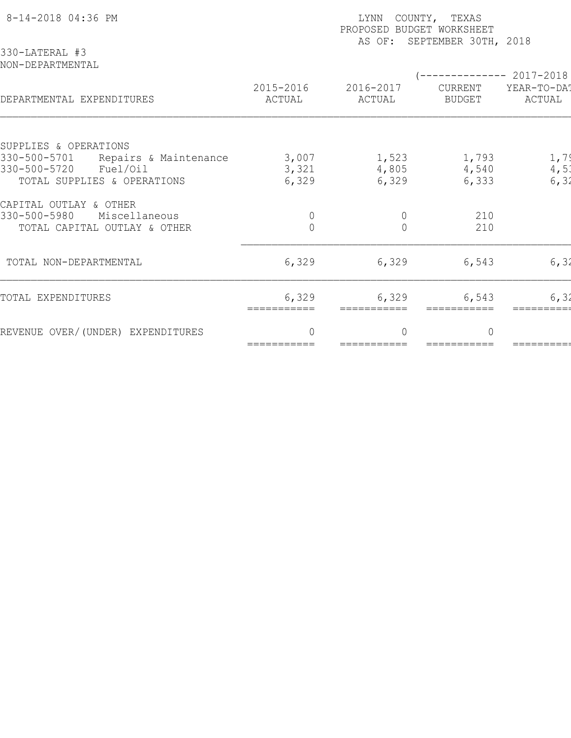| 8-14-2018 04:36 PM<br>330-LATERAL #3          | COUNTY, TEXAS<br>LYNN<br>PROPOSED BUDGET WORKSHEET<br>AS OF: SEPTEMBER 30TH, 2018 |                     |                          |                                               |  |  |
|-----------------------------------------------|-----------------------------------------------------------------------------------|---------------------|--------------------------|-----------------------------------------------|--|--|
| NON-DEPARTMENTAL<br>DEPARTMENTAL EXPENDITURES | 2015-2016<br>ACTUAL                                                               | 2016-2017<br>ACTUAL | CURRENT<br><b>BUDGET</b> | ---------- 2017-2018<br>YEAR-TO-DAT<br>ACTUAL |  |  |
| SUPPLIES & OPERATIONS                         |                                                                                   |                     |                          |                                               |  |  |
| 330-500-5701<br>Repairs & Maintenance         | 3,007                                                                             | 1,523               | 1,793                    | 1,79                                          |  |  |
| 330-500-5720<br>Fuel/Oil                      | 3,321                                                                             | 4,805               | 4,540                    | 4,51                                          |  |  |
| TOTAL SUPPLIES & OPERATIONS                   | 6,329                                                                             | 6,329               | 6,333                    | 6, 32                                         |  |  |
| CAPITAL OUTLAY & OTHER                        |                                                                                   |                     |                          |                                               |  |  |
| 330-500-5980<br>Miscellaneous                 | $\overline{0}$                                                                    | $\mathbf 0$         | 210                      |                                               |  |  |
| TOTAL CAPITAL OUTLAY & OTHER                  | $\overline{0}$                                                                    | $\Omega$            | 210                      |                                               |  |  |
| TOTAL NON-DEPARTMENTAL                        | 6,329                                                                             | 6,329               | 6,543                    | 6, 32                                         |  |  |
| TOTAL EXPENDITURES                            | 6,329<br>===========                                                              | 6,329               | 6,543                    | 6, 32                                         |  |  |
| REVENUE OVER/(UNDER) EXPENDITURES             | $\Omega$                                                                          | $\bigcap$           | $\Omega$                 |                                               |  |  |
|                                               | ===========                                                                       | ===========         |                          |                                               |  |  |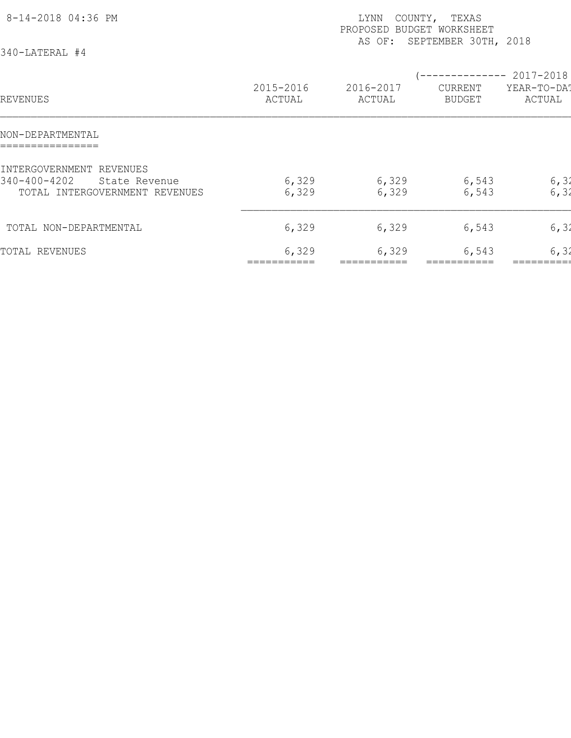| 8-14-2018 04:36 PM<br>340-LATERAL #4                                                        |                     | COUNTY,<br>LYNN<br>PROPOSED BUDGET WORKSHEET | TEXAS<br>AS OF: SEPTEMBER 30TH, 2018                 |                       |
|---------------------------------------------------------------------------------------------|---------------------|----------------------------------------------|------------------------------------------------------|-----------------------|
| REVENUES                                                                                    | 2015-2016<br>ACTUAL | 2016-2017<br>ACTUAL                          | -------------- 2017-2018<br>CURRENT<br><b>BUDGET</b> | YEAR-TO-DAT<br>ACTUAL |
| NON-DEPARTMENTAL                                                                            |                     |                                              |                                                      |                       |
| INTERGOVERNMENT REVENUES<br>340-400-4202<br>State Revenue<br>TOTAL INTERGOVERNMENT REVENUES | 6,329<br>6,329      | 6,329<br>6,329                               | 6,543<br>6,543                                       | 6, 32<br>6, 32        |
| TOTAL NON-DEPARTMENTAL                                                                      | 6,329               | 6,329                                        | 6,543                                                | 6, 32                 |
| TOTAL REVENUES                                                                              | 6,329               | 6,329                                        | 6,543                                                | 6, 31                 |
|                                                                                             |                     |                                              |                                                      |                       |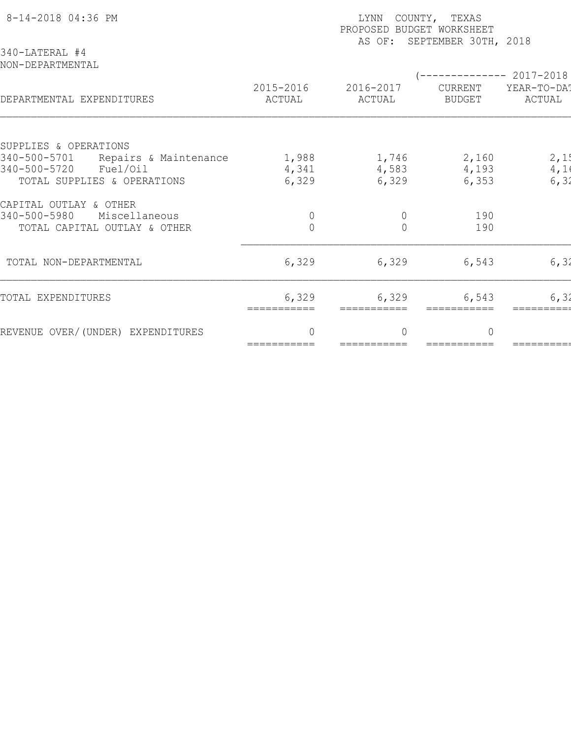| 8-14-2018 04:36 PM<br>340-LATERAL #4          | COUNTY, TEXAS<br>LYNN<br>PROPOSED BUDGET WORKSHEET<br>AS OF: SEPTEMBER 30TH, 2018 |                     |                          |                                             |  |  |  |
|-----------------------------------------------|-----------------------------------------------------------------------------------|---------------------|--------------------------|---------------------------------------------|--|--|--|
| NON-DEPARTMENTAL<br>DEPARTMENTAL EXPENDITURES | 2015-2016<br>ACTUAL                                                               | 2016-2017<br>ACTUAL | CURRENT<br><b>BUDGET</b> | $------ 2017-2018$<br>YEAR-TO-DAT<br>ACTUAL |  |  |  |
| SUPPLIES & OPERATIONS                         |                                                                                   |                     |                          |                                             |  |  |  |
| 340-500-5701<br>Repairs & Maintenance         | 1,988                                                                             | 1,746               | 2,160                    | 2,15                                        |  |  |  |
| 340-500-5720<br>Fuel/Oil                      | 4,341                                                                             | 4,583               | 4,193                    | 4,1                                         |  |  |  |
| TOTAL SUPPLIES & OPERATIONS                   | 6,329                                                                             | 6,329               | 6,353                    | 6, 32                                       |  |  |  |
| CAPITAL OUTLAY & OTHER                        |                                                                                   |                     |                          |                                             |  |  |  |
| 340-500-5980<br>Miscellaneous                 | $\mathbf 0$                                                                       | $\mathbf 0$         | 190                      |                                             |  |  |  |
| TOTAL CAPITAL OUTLAY & OTHER                  | $\overline{0}$                                                                    | $\Omega$            | 190                      |                                             |  |  |  |
| TOTAL NON-DEPARTMENTAL                        | 6,329                                                                             | 6,329               | 6,543                    | 6, 32                                       |  |  |  |
| TOTAL EXPENDITURES                            | 6,329<br>===========                                                              | 6,329               | 6,543                    | 6, 32                                       |  |  |  |
| REVENUE OVER/(UNDER) EXPENDITURES             | $\Omega$                                                                          | $\bigcap$           | $\Omega$                 |                                             |  |  |  |
|                                               | ===========                                                                       | ===========         |                          |                                             |  |  |  |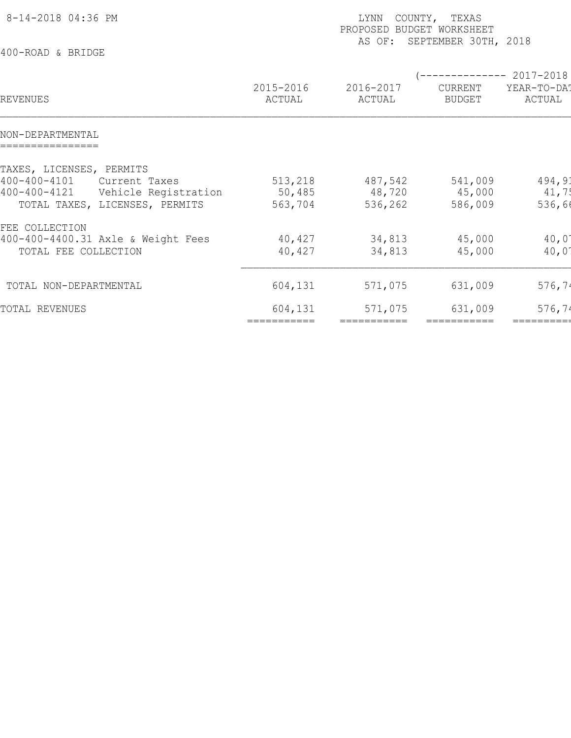| (-------------- 2017-2018)<br>2015-2016<br>2016-2017<br>YEAR-TO-DAT<br>CURRENT<br>ACTUAL<br>ACTUAL<br>ACTUAL<br><b>BUDGET</b><br>494,91<br>513,218<br>487,542<br>541,009<br>Current Taxes<br>Vehicle Registration<br>50,485<br>41,75<br>48,720<br>45,000<br>536,66<br>TOTAL TAXES, LICENSES, PERMITS<br>563,704<br>536,262<br>586,009<br>$40,0^{\circ}$<br>40,427<br>34,813<br>45,000<br>TOTAL FEE COLLECTION<br>40,427<br>$40,0^{\circ}$<br>34,813<br>45,000<br>604,131<br>571,075<br>631,009<br>576, 74<br>576, 74<br>571,075<br>631,009<br>604,131 | 8-14-2018 04:36 PM<br>400-ROAD & BRIDGE                              |             | COUNTY, TEXAS<br>LYNN<br>PROPOSED BUDGET WORKSHEET<br>SEPTEMBER 30TH, 2018<br>AS OF: |             |            |  |  |
|-------------------------------------------------------------------------------------------------------------------------------------------------------------------------------------------------------------------------------------------------------------------------------------------------------------------------------------------------------------------------------------------------------------------------------------------------------------------------------------------------------------------------------------------------------|----------------------------------------------------------------------|-------------|--------------------------------------------------------------------------------------|-------------|------------|--|--|
|                                                                                                                                                                                                                                                                                                                                                                                                                                                                                                                                                       | REVENUES                                                             |             |                                                                                      |             |            |  |  |
|                                                                                                                                                                                                                                                                                                                                                                                                                                                                                                                                                       | NON-DEPARTMENTAL                                                     |             |                                                                                      |             |            |  |  |
|                                                                                                                                                                                                                                                                                                                                                                                                                                                                                                                                                       | TAXES, LICENSES, PERMITS<br>$400 - 400 - 4101$<br>$400 - 400 - 4121$ |             |                                                                                      |             |            |  |  |
|                                                                                                                                                                                                                                                                                                                                                                                                                                                                                                                                                       | FEE COLLECTION<br>400-400-4400.31 Axle & Weight Fees                 |             |                                                                                      |             |            |  |  |
|                                                                                                                                                                                                                                                                                                                                                                                                                                                                                                                                                       | TOTAL NON-DEPARTMENTAL                                               |             |                                                                                      |             |            |  |  |
|                                                                                                                                                                                                                                                                                                                                                                                                                                                                                                                                                       | TOTAL REVENUES                                                       | =========== | ===========                                                                          | =========== | ========== |  |  |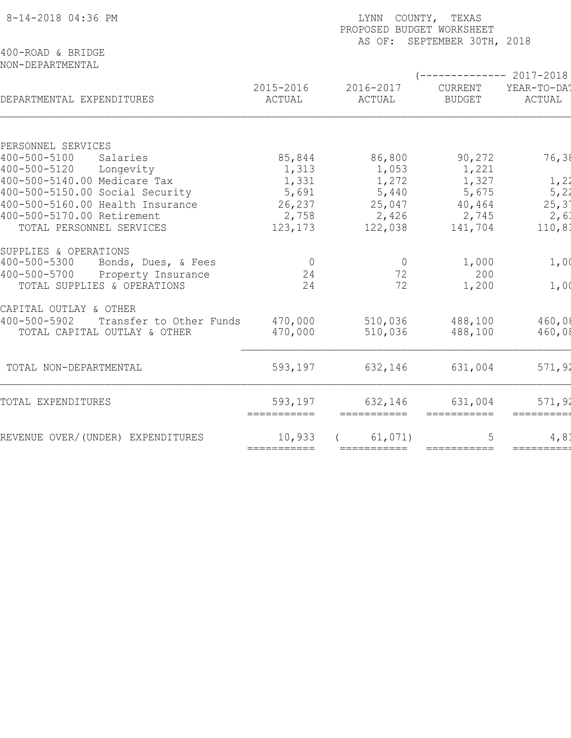| 8-14-2018 04:36 PM                                   | LYNN COUNTY, TEXAS<br>PROPOSED BUDGET WORKSHEET<br>AS OF: SEPTEMBER 30TH, 2018 |                     |                          |                       |  |  |  |
|------------------------------------------------------|--------------------------------------------------------------------------------|---------------------|--------------------------|-----------------------|--|--|--|
| 400-ROAD & BRIDGE<br>NON-DEPARTMENTAL                |                                                                                |                     | $--------- 2017-2018$    |                       |  |  |  |
| DEPARTMENTAL EXPENDITURES                            | 2015-2016<br>ACTUAL                                                            | 2016-2017<br>ACTUAL | CURRENT<br><b>BUDGET</b> | YEAR-TO-DA!<br>ACTUAL |  |  |  |
|                                                      |                                                                                |                     |                          |                       |  |  |  |
| PERSONNEL SERVICES                                   |                                                                                |                     |                          |                       |  |  |  |
| $400 - 500 - 5100$<br>Salaries<br>$400 - 500 - 5120$ | 85,844                                                                         | 86,800              | 90,272                   | 76,38                 |  |  |  |
| Longevity<br>400-500-5140.00 Medicare Tax            | 1,313                                                                          | 1,053               | 1,221                    |                       |  |  |  |
| 400-500-5150.00 Social Security                      | 1,331<br>5,691                                                                 | 1,272<br>5,440      | 1,327<br>5,675           | 1,22<br>5, 22         |  |  |  |
| 400-500-5160.00 Health Insurance                     | 26,237                                                                         | 25,047              | 40,464                   | $25, 3^{\circ}$       |  |  |  |
| 400-500-5170.00 Retirement                           | 2,758                                                                          | 2,426               | 2,745                    | 2,61                  |  |  |  |
| TOTAL PERSONNEL SERVICES                             | 123,173                                                                        | 122,038             | 141,704                  | 110, 81               |  |  |  |
| SUPPLIES & OPERATIONS                                |                                                                                |                     |                          |                       |  |  |  |
| $400 - 500 - 5300$<br>Bonds, Dues, & Fees            | $\overline{0}$                                                                 | $\overline{0}$      | 1,000                    | 1,00                  |  |  |  |
| $400 - 500 - 5700$<br>Property Insurance             | 24                                                                             | 72                  | 200                      |                       |  |  |  |
| TOTAL SUPPLIES & OPERATIONS                          | 24                                                                             | 72                  | 1,200                    | 1,00                  |  |  |  |
| CAPITAL OUTLAY & OTHER                               |                                                                                |                     |                          |                       |  |  |  |
| $400 - 500 - 5902$<br>Transfer to Other Funds        | 470,000                                                                        | 510,036             | 488,100                  | 460,08                |  |  |  |
| TOTAL CAPITAL OUTLAY & OTHER                         | 470,000                                                                        | 510,036             | 488,100                  | 460,08                |  |  |  |
| TOTAL NON-DEPARTMENTAL                               | 593,197                                                                        | 632,146             | 631,004                  | 571,92                |  |  |  |
| TOTAL EXPENDITURES                                   | 593,197                                                                        | 632,146             | 631,004                  | 571,92                |  |  |  |
|                                                      |                                                                                |                     | ===========              |                       |  |  |  |
| REVENUE OVER/(UNDER) EXPENDITURES                    | 10,933                                                                         | 61,071)             | 5                        | 4, 8.                 |  |  |  |
|                                                      | ===========                                                                    | ===========         | ===========              | =========             |  |  |  |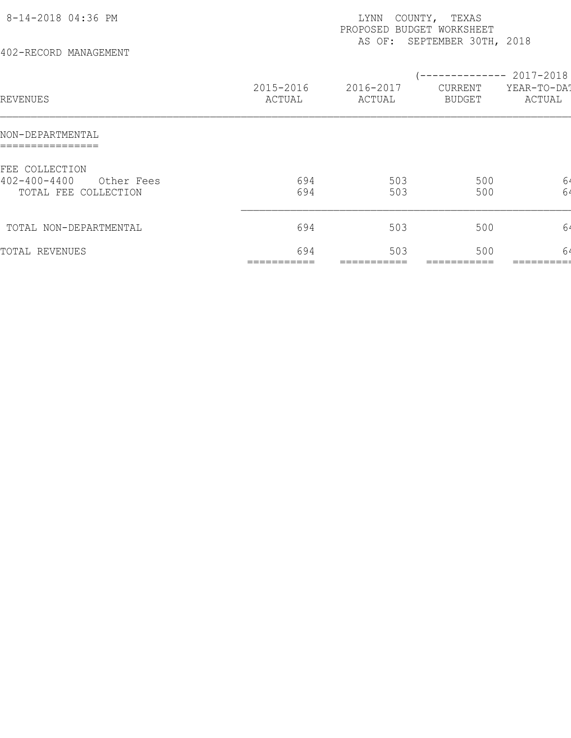| 8-14-2018 04:36 PM<br>402-RECORD MANAGEMENT                                |                     | LYNN<br>PROPOSED BUDGET WORKSHEET | COUNTY, TEXAS<br>AS OF: SEPTEMBER 30TH, 2018 |                                                |
|----------------------------------------------------------------------------|---------------------|-----------------------------------|----------------------------------------------|------------------------------------------------|
| REVENUES                                                                   | 2015-2016<br>ACTUAL | 2016-2017<br>ACTUAL               | CURRENT<br><b>BUDGET</b>                     | $--------- 2017-2018$<br>YEAR-TO-DAT<br>ACTUAL |
| NON-DEPARTMENTAL<br>================                                       |                     |                                   |                                              |                                                |
| FEE COLLECTION<br>$402 - 400 - 4400$<br>Other Fees<br>TOTAL FEE COLLECTION | 694<br>694          | 503<br>503                        | 500<br>500                                   | 64<br>64                                       |
| TOTAL NON-DEPARTMENTAL                                                     | 694                 | 503                               | 500                                          | 64                                             |
| TOTAL REVENUES                                                             | 694                 | 503                               | 500                                          | 64                                             |
|                                                                            |                     |                                   |                                              |                                                |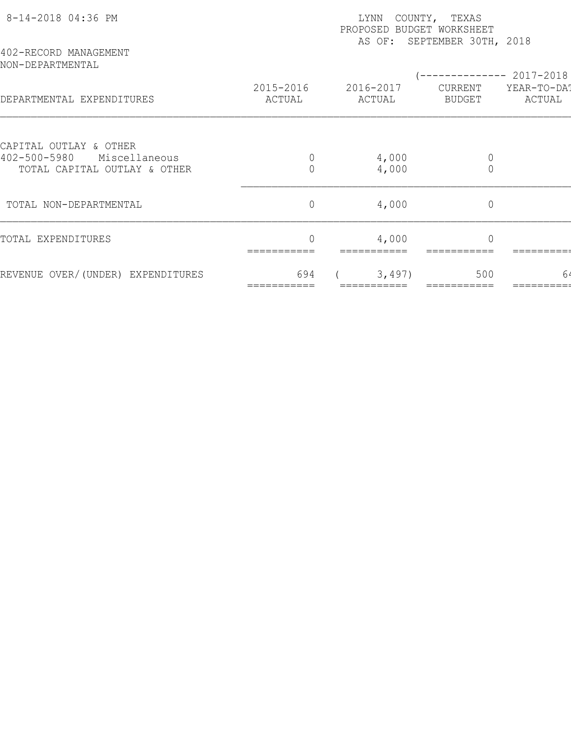| 8-14-2018 04:36 PM<br>402-RECORD MANAGEMENT                                             | COUNTY, TEXAS<br>LYNN<br>PROPOSED BUDGET WORKSHEET<br>AS OF: SEPTEMBER 30TH, 2018 |                     |                               |                       |  |  |  |
|-----------------------------------------------------------------------------------------|-----------------------------------------------------------------------------------|---------------------|-------------------------------|-----------------------|--|--|--|
| NON-DEPARTMENTAL                                                                        |                                                                                   |                     |                               | ----------- 2017-2018 |  |  |  |
| DEPARTMENTAL EXPENDITURES                                                               | 2015-2016<br>ACTUAL                                                               | 2016-2017<br>ACTUAL | CURRENT<br>BUDGET             | YEAR-TO-DAT<br>ACTUAL |  |  |  |
|                                                                                         |                                                                                   |                     |                               |                       |  |  |  |
| CAPITAL OUTLAY & OTHER<br>402-500-5980<br>Miscellaneous<br>TOTAL CAPITAL OUTLAY & OTHER | $\overline{0}$                                                                    | 4,000<br>4,000      | $\mathbb O$<br>$\overline{0}$ |                       |  |  |  |
| TOTAL NON-DEPARTMENTAL                                                                  | $\circ$                                                                           | 4,000               | $\mathbb O$                   |                       |  |  |  |
| TOTAL EXPENDITURES                                                                      |                                                                                   | 4,000               | $\Omega$                      |                       |  |  |  |
| REVENUE OVER/(UNDER) EXPENDITURES                                                       | 694                                                                               | 3,497)              | 500                           | 64                    |  |  |  |
|                                                                                         |                                                                                   |                     |                               |                       |  |  |  |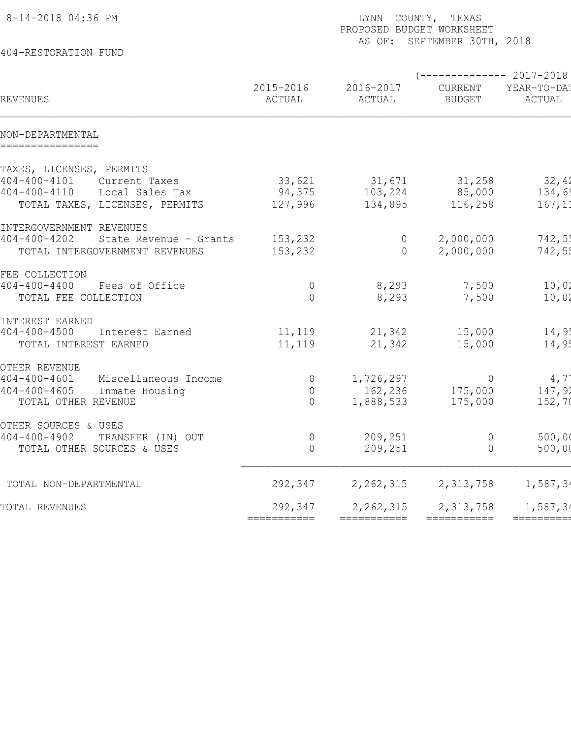| 8-14-2018 04:36 PM                           |                     | COUNTY, TEXAS<br>LYNN<br>PROPOSED BUDGET WORKSHEET<br>AS OF: SEPTEMBER 30TH, 2018 |                          |                       |  |  |  |  |
|----------------------------------------------|---------------------|-----------------------------------------------------------------------------------|--------------------------|-----------------------|--|--|--|--|
| 404-RESTORATION FUND                         |                     |                                                                                   |                          |                       |  |  |  |  |
|                                              |                     |                                                                                   |                          | ----------- 2017-2018 |  |  |  |  |
| REVENUES                                     | 2015-2016<br>ACTUAL | 2016-2017<br>ACTUAL                                                               | CURRENT<br><b>BUDGET</b> | YEAR-TO-DA!<br>ACTUAL |  |  |  |  |
| NON-DEPARTMENTAL<br>================         |                     |                                                                                   |                          |                       |  |  |  |  |
| TAXES, LICENSES, PERMITS                     |                     |                                                                                   |                          |                       |  |  |  |  |
| $404 - 400 - 4101$<br>Current Taxes          | 33,621              | 31,671                                                                            | 31,258                   | 32,42                 |  |  |  |  |
| $404 - 400 - 4110$<br>Local Sales Tax        | 94,375              | 103,224                                                                           | 85,000                   | 134,69                |  |  |  |  |
| TOTAL TAXES, LICENSES, PERMITS               | 127,996             | 134,895                                                                           | 116,258                  | 167,11                |  |  |  |  |
| INTERGOVERNMENT REVENUES                     |                     |                                                                                   |                          |                       |  |  |  |  |
| $404 - 400 - 4202$<br>State Revenue - Grants | 153,232             | $\overline{0}$                                                                    | 2,000,000                | 742,55                |  |  |  |  |
| TOTAL INTERGOVERNMENT REVENUES               | 153,232             | $\Omega$                                                                          | 2,000,000                | 742,55                |  |  |  |  |
| FEE COLLECTION                               |                     |                                                                                   |                          |                       |  |  |  |  |
| $404 - 400 - 4400$<br>Fees of Office         | $\overline{0}$      | 8,293                                                                             | 7,500                    | 10,02                 |  |  |  |  |
| TOTAL FEE COLLECTION                         | $\bigcap$           | 8,293                                                                             | 7,500                    | 10,02                 |  |  |  |  |
| INTEREST EARNED                              |                     |                                                                                   |                          |                       |  |  |  |  |
| $404 - 400 - 4500$<br>Interest Earned        | 11,119              | 21,342                                                                            | 15,000                   | 14,95                 |  |  |  |  |
| TOTAL INTEREST EARNED                        | 11,119              | 21,342                                                                            | 15,000                   | 14,95                 |  |  |  |  |
| OTHER REVENUE                                |                     |                                                                                   |                          |                       |  |  |  |  |
| $404 - 400 - 4601$<br>Miscellaneous Income   | $\overline{0}$      | 1,726,297                                                                         | $\overline{0}$           | 4,7                   |  |  |  |  |
| $404 - 400 - 4605$<br>Inmate Housing         | $\overline{0}$      | 162,236                                                                           | 175,000                  | 147,92                |  |  |  |  |
| TOTAL OTHER REVENUE                          | $\overline{0}$      | 1,888,533                                                                         | 175,000                  | 152,70                |  |  |  |  |
| OTHER SOURCES & USES                         |                     |                                                                                   |                          |                       |  |  |  |  |
| $404 - 400 - 4902$<br>TRANSFER (IN) OUT      | 0                   | 209,251                                                                           | 0                        | 500,00                |  |  |  |  |
| TOTAL OTHER SOURCES & USES                   | 0                   | 209,251                                                                           | 0                        | 500,00                |  |  |  |  |
| TOTAL NON-DEPARTMENTAL                       | 292,347             | 2, 262, 315                                                                       | 2,313,758                | 1,587,34              |  |  |  |  |
| TOTAL REVENUES                               | 292,347             | 2, 262, 315                                                                       | 2,313,758                | 1,587,34              |  |  |  |  |
|                                              | ===========         | ===========                                                                       | ===========              | =========             |  |  |  |  |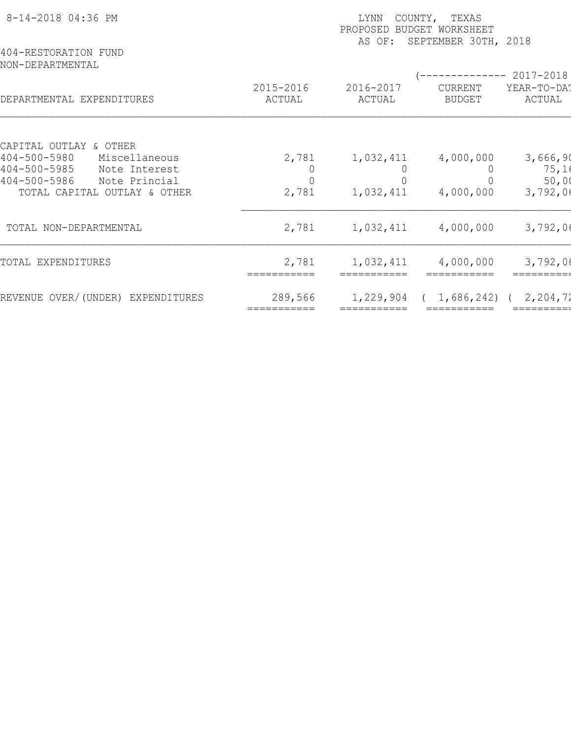| 8-14-2018 04:36 PM<br>404-RESTORATION FUND                                                                                                  | COUNTY, TEXAS<br>LYNN<br>PROPOSED<br>BUDGET WORKSHEET<br>SEPTEMBER 30TH, 2018<br>AS OF: |                     |                                         |                                    |  |  |  |
|---------------------------------------------------------------------------------------------------------------------------------------------|-----------------------------------------------------------------------------------------|---------------------|-----------------------------------------|------------------------------------|--|--|--|
| NON-DEPARTMENTAL<br>DEPARTMENTAL EXPENDITURES                                                                                               | 2015-2016<br>ACTUAL                                                                     | 2016-2017<br>ACTUAL | -----------<br>CURRENT<br><b>BUDGET</b> | 2017-2018<br>YEAR-TO-DAT<br>ACTUAL |  |  |  |
| CAPITAL OUTLAY & OTHER<br>$404 - 500 - 5980$<br>Miscellaneous<br>$404 - 500 - 5985$<br>Note Interest<br>$404 - 500 - 5986$<br>Note Princial | 2,781                                                                                   | 1,032,411           | 4,000,000                               | 3,666,90<br>75,16<br>50,00         |  |  |  |
| TOTAL CAPITAL OUTLAY & OTHER                                                                                                                | 2,781                                                                                   | 1,032,411           | 4,000,000                               | 3,792,06                           |  |  |  |
| TOTAL NON-DEPARTMENTAL                                                                                                                      | 2,781                                                                                   | 1,032,411           | 4,000,000                               | 3,792,06                           |  |  |  |
| TOTAL EXPENDITURES                                                                                                                          | 2,781                                                                                   | 1,032,411           | 4,000,000                               | 3,792,06                           |  |  |  |
| REVENUE OVER/(UNDER) EXPENDITURES                                                                                                           | 289,566                                                                                 | 1,229,904           | 1,686,242)                              | 2,204,72                           |  |  |  |
|                                                                                                                                             |                                                                                         |                     |                                         |                                    |  |  |  |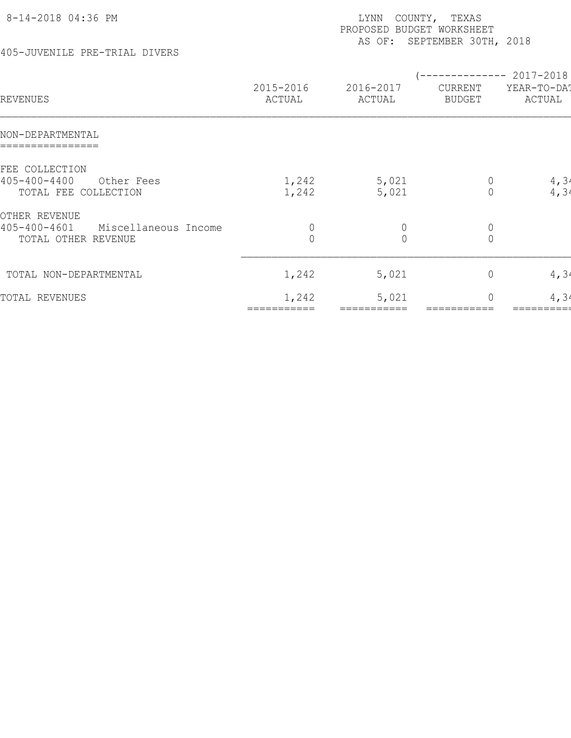| 8-14-2018 04:36 PM                                          | COUNTY, TEXAS<br>LYNN<br>PROPOSED BUDGET WORKSHEET<br>AS OF: SEPTEMBER 30TH, 2018 |                     |                                      |                                                |  |
|-------------------------------------------------------------|-----------------------------------------------------------------------------------|---------------------|--------------------------------------|------------------------------------------------|--|
| 405-JUVENILE PRE-TRIAL DIVERS                               |                                                                                   |                     |                                      |                                                |  |
| REVENUES                                                    | 2015-2016<br>ACTUAL                                                               | 2016-2017<br>ACTUAL | CURRENT<br><b>BUDGET</b>             | ----------- 2017-2018<br>YEAR-TO-DAT<br>ACTUAL |  |
| NON-DEPARTMENTAL                                            |                                                                                   |                     |                                      |                                                |  |
| FEE COLLECTION                                              |                                                                                   |                     |                                      |                                                |  |
| $405 - 400 - 4400$<br>Other Fees<br>TOTAL FEE COLLECTION    | 1,242<br>1,242                                                                    | 5,021<br>5,021      | $\circ$<br>$\mathbf 0$               | 4,34<br>4, 34                                  |  |
| OTHER REVENUE<br>$405 - 400 - 4601$<br>Miscellaneous Income | $\theta$                                                                          | $\theta$            |                                      |                                                |  |
| TOTAL OTHER REVENUE                                         | $\overline{0}$                                                                    | $\overline{0}$      | $\begin{matrix} 0 \\ 0 \end{matrix}$ |                                                |  |
| TOTAL NON-DEPARTMENTAL                                      | 1,242                                                                             | 5,021               | $\circ$                              | 4, 34                                          |  |
| TOTAL REVENUES                                              | 1,242                                                                             | 5,021               | $\circ$                              | 4, 34                                          |  |

=========== =========== =========== =========== =========== ============ ============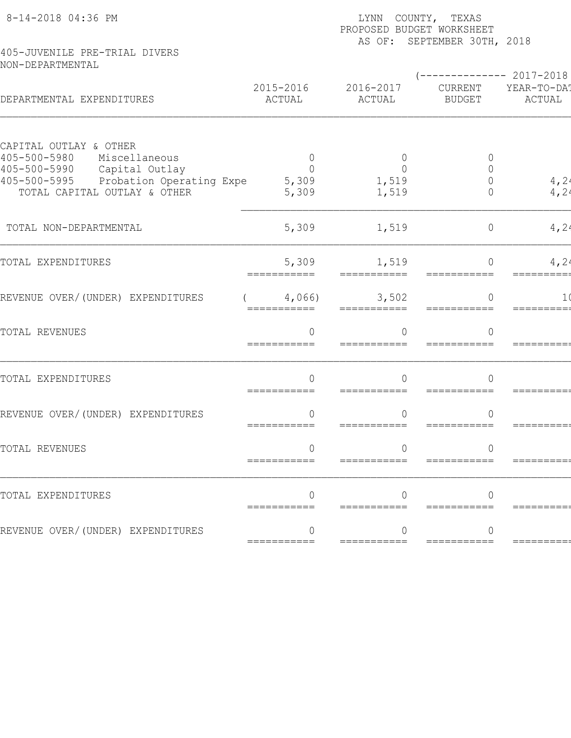| 8-14-2018 04:36 PM                                                                         |                                 | LYNN COUNTY, TEXAS<br>PROPOSED BUDGET WORKSHEET<br>AS OF: SEPTEMBER 30TH, 2018 |                                                   |                       |  |  |
|--------------------------------------------------------------------------------------------|---------------------------------|--------------------------------------------------------------------------------|---------------------------------------------------|-----------------------|--|--|
| 405-JUVENILE PRE-TRIAL DIVERS<br>NON-DEPARTMENTAL                                          |                                 |                                                                                |                                                   |                       |  |  |
| DEPARTMENTAL EXPENDITURES                                                                  | 2015-2016<br>ACTUAL             | 2016-2017<br>ACTUAL                                                            | $--------- 2017-2018$<br>CURRENT<br><b>BUDGET</b> | YEAR-TO-DA!<br>ACTUAL |  |  |
| CAPITAL OUTLAY & OTHER<br>$405 - 500 - 5980$<br>Miscellaneous<br>405-500-5990              | 0<br>$\Omega$                   | $\overline{0}$<br>$\bigcap$                                                    | $\circ$<br>$\Omega$                               |                       |  |  |
| Capital Outlay<br>405-500-5995<br>Probation Operating Expe<br>TOTAL CAPITAL OUTLAY & OTHER | 5,309<br>5,309                  | 1,519<br>1,519                                                                 | $\Omega$<br>$\Omega$                              | $\frac{4}{4}$ , 24    |  |  |
| TOTAL NON-DEPARTMENTAL                                                                     | 5,309                           | 1,519                                                                          | $\circ$                                           | 4,24                  |  |  |
| TOTAL EXPENDITURES                                                                         | 5,309<br>===========            | 1,519                                                                          | $\Omega$<br>===========                           | 4, 24                 |  |  |
| REVENUE OVER/(UNDER) EXPENDITURES                                                          | 4,066<br>===========            | 3,502                                                                          | $\Omega$<br>===========                           | 1 (<br>=========      |  |  |
| TOTAL REVENUES                                                                             | $\overline{0}$<br>===========   | $\bigcap$                                                                      | $\overline{0}$                                    |                       |  |  |
| TOTAL EXPENDITURES                                                                         | $\Omega$                        | $\cap$<br>===========                                                          | $\Omega$<br>===========                           | =========             |  |  |
| REVENUE OVER/(UNDER) EXPENDITURES                                                          | ===========                     | $=$ ===========                                                                | ∩<br>===========                                  |                       |  |  |
| TOTAL REVENUES                                                                             | $\left( \right)$<br>=========== |                                                                                |                                                   |                       |  |  |
| TOTAL EXPENDITURES                                                                         | ===========                     |                                                                                |                                                   |                       |  |  |
| REVENUE OVER/(UNDER) EXPENDITURES                                                          | ===========                     | ===========                                                                    | $=$ ===========                                   | ========              |  |  |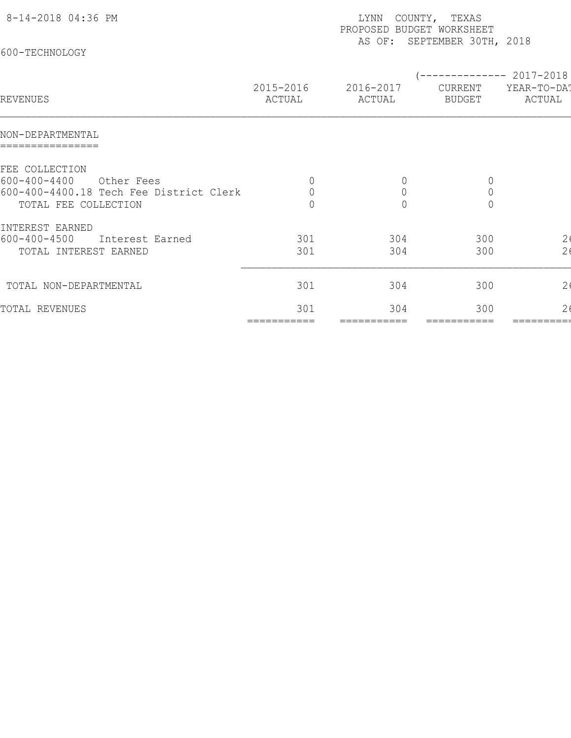| 8-14-2018 04:36 PM                      |                     | LYNN<br>PROPOSED BUDGET WORKSHEET | COUNTY, TEXAS                                   |                                         |
|-----------------------------------------|---------------------|-----------------------------------|-------------------------------------------------|-----------------------------------------|
| 600-TECHNOLOGY                          |                     |                                   | AS OF: SEPTEMBER 30TH, 2018                     |                                         |
| REVENUES                                | 2015-2016<br>ACTUAL | 2016-2017<br>ACTUAL               | (-------------- 2017-2018)<br>CURRENT<br>BUDGET | YEAR-TO-DAT<br>ACTUAL                   |
| NON-DEPARTMENTAL                        |                     |                                   |                                                 |                                         |
| FEE COLLECTION                          |                     |                                   |                                                 |                                         |
| $600 - 400 - 4400$<br>Other Fees        |                     | $\theta$                          | $\theta$                                        |                                         |
| 600-400-4400.18 Tech Fee District Clerk | $\overline{0}$      | $\mathbf 0$                       | $\mathbb O$                                     |                                         |
| TOTAL FEE COLLECTION                    | $\overline{0}$      | $\overline{0}$                    | $\overline{0}$                                  |                                         |
| INTEREST EARNED                         |                     |                                   |                                                 |                                         |
| $600 - 400 - 4500$<br>Interest Earned   | 301                 | 304                               | 300                                             | $\begin{array}{c} 26 \\ 26 \end{array}$ |
| TOTAL INTEREST EARNED                   | 301                 | 304                               | 300                                             |                                         |
| TOTAL NON-DEPARTMENTAL                  | 301                 | 304                               | 300                                             | 2 <sub>0</sub>                          |
| TOTAL REVENUES                          | 301                 | 304                               | 300                                             | 2 <sub>6</sub>                          |

=========== =========== =========== =========== =========== ============ ============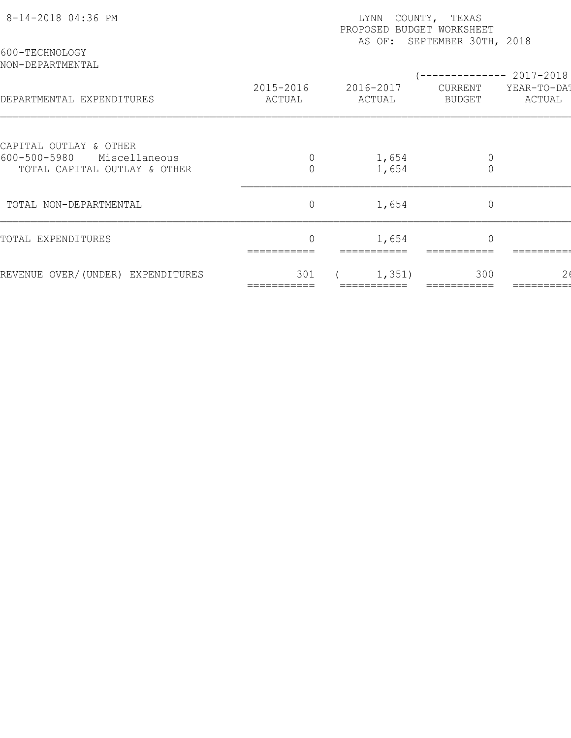| 8-14-2018 04:36 PM<br>600-TECHNOLOGY                                                    | COUNTY, TEXAS<br>LYNN<br>PROPOSED BUDGET WORKSHEET<br>AS OF: SEPTEMBER 30TH, 2018 |                     |                               |                       |  |  |  |
|-----------------------------------------------------------------------------------------|-----------------------------------------------------------------------------------|---------------------|-------------------------------|-----------------------|--|--|--|
| NON-DEPARTMENTAL                                                                        |                                                                                   |                     |                               | ----------- 2017-2018 |  |  |  |
| DEPARTMENTAL EXPENDITURES                                                               | 2015-2016<br>ACTUAL                                                               | 2016-2017<br>ACTUAL | CURRENT<br>BUDGET             | YEAR-TO-DAT<br>ACTUAL |  |  |  |
|                                                                                         |                                                                                   |                     |                               |                       |  |  |  |
| CAPITAL OUTLAY & OTHER<br>600-500-5980<br>Miscellaneous<br>TOTAL CAPITAL OUTLAY & OTHER | $\overline{0}$                                                                    | 1,654<br>1,654      | $\mathbb O$<br>$\overline{0}$ |                       |  |  |  |
| TOTAL NON-DEPARTMENTAL                                                                  | $\circ$                                                                           | 1,654               | $\mathbb O$                   |                       |  |  |  |
| TOTAL EXPENDITURES                                                                      | $\Omega$                                                                          | 1,654               | $\Omega$                      |                       |  |  |  |
| REVENUE OVER/(UNDER) EXPENDITURES                                                       | 301                                                                               | 1,351)              | 300                           |                       |  |  |  |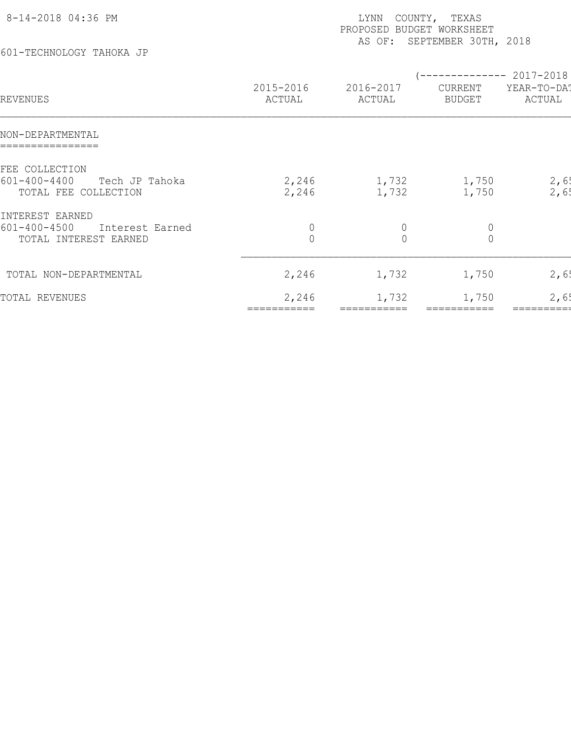| 8-14-2018 04:36 PM                                             |                                | COUNTY, TEXAS<br>LYNN<br>PROPOSED<br>BUDGET WORKSHEET |                                                        |                       |  |  |  |
|----------------------------------------------------------------|--------------------------------|-------------------------------------------------------|--------------------------------------------------------|-----------------------|--|--|--|
| 601-TECHNOLOGY TAHOKA JP                                       | SEPTEMBER 30TH, 2018<br>AS OF: |                                                       |                                                        |                       |  |  |  |
| REVENUES                                                       | 2015-2016<br>ACTUAL            | 2016-2017<br>ACTUAL                                   | (-------------- 2017-2018)<br>CURRENT<br><b>BUDGET</b> | YEAR-TO-DAT<br>ACTUAL |  |  |  |
| NON-DEPARTMENTAL<br>================                           |                                |                                                       |                                                        |                       |  |  |  |
| FEE COLLECTION                                                 |                                |                                                       |                                                        |                       |  |  |  |
| $601 - 400 - 4400$<br>Tech JP Tahoka<br>TOTAL FEE COLLECTION   | 2,246<br>2,246                 | 1,732<br>1,732                                        | 1,750<br>1,750                                         | 2,6!<br>2,65          |  |  |  |
| INTEREST EARNED                                                |                                |                                                       |                                                        |                       |  |  |  |
| $601 - 400 - 4500$<br>Interest Earned<br>TOTAL INTEREST EARNED | $\circ$<br>$\mathbf 0$         | $\mathbf 0$<br>$\overline{0}$                         | $\mathbb O$<br>$\mathbf 0$                             |                       |  |  |  |
| TOTAL NON-DEPARTMENTAL                                         | 2,246                          | 1,732                                                 | 1,750                                                  | 2,65                  |  |  |  |
| TOTAL REVENUES                                                 | 2,246                          | 1,732                                                 | 1,750                                                  | 2,65                  |  |  |  |

=========== =========== =========== =========== =========== ============ ============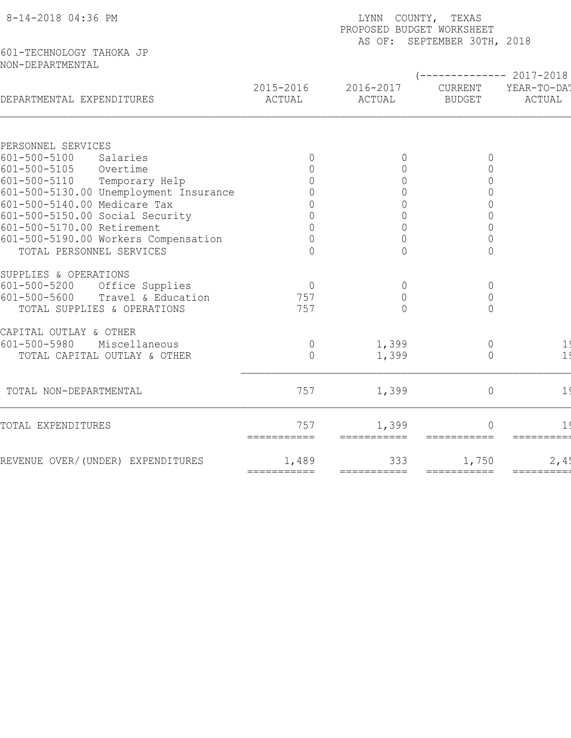| 601-TECHNOLOGY TAHOKA JP<br>NON-DEPARTMENTAL<br>$------2017-2018$<br>2015-2016<br>2016-2017<br>CURRENT<br>YEAR-TO-DA!<br>DEPARTMENTAL EXPENDITURES<br>ACTUAL<br>ACTUAL<br><b>BUDGET</b><br>ACTUAL<br>PERSONNEL SERVICES<br>$601 - 500 - 5100$<br>Salaries<br>$\overline{0}$<br>$\circ$<br>0<br>$601 - 500 - 5105$<br>$\mathsf{O}\xspace$<br>Overtime<br>$\Omega$<br>0<br>$601 - 500 - 5110$<br>$\mathbb O$<br>Temporary Help<br>$\overline{0}$<br>601-500-5130.00 Unemployment Insurance<br>$\overline{0}$<br>$\Omega$<br>601-500-5140.00 Medicare Tax<br>$\overline{0}$<br>$\Omega$<br>$\Omega$<br>601-500-5150.00 Social Security<br>$\cap$<br>$\Omega$<br>601-500-5170.00 Retirement<br>$\Omega$<br>∩<br>$\Omega$<br>$\overline{0}$<br>601-500-5190.00 Workers Compensation<br>0<br>U<br>TOTAL PERSONNEL SERVICES<br>$\bigcap$<br>$\Omega$<br>$\overline{0}$<br>SUPPLIES & OPERATIONS<br>$601 - 500 - 5200$<br>Office Supplies<br>$\overline{0}$<br>$\circ$<br>$\circ$<br>$601 - 500 - 5600$<br>Travel & Education<br>757<br>$\mathbf 0$<br>$\mathbb O$<br>757<br>TOTAL SUPPLIES & OPERATIONS<br>$\bigcap$<br>$\overline{0}$<br>CAPITAL OUTLAY & OTHER<br>$601 - 500 - 5980$<br>Miscellaneous<br>1,399<br>$\mathbb O$<br>$\overline{0}$<br>1<br>1 <sup>′</sup><br>TOTAL CAPITAL OUTLAY & OTHER<br>$\overline{0}$<br>1,399<br>$\overline{0}$<br>757<br>1,399<br>TOTAL NON-DEPARTMENTAL<br>$\overline{0}$<br>1 <sup>′</sup><br>757<br>1,399<br>TOTAL EXPENDITURES<br>$\Omega$<br>===========<br>=========== | 8-14-2018 04:36 PM                | LYNN COUNTY, TEXAS<br>PROPOSED BUDGET WORKSHEET<br>AS OF: SEPTEMBER 30TH, 2018 |     |       |      |  |  |  |
|--------------------------------------------------------------------------------------------------------------------------------------------------------------------------------------------------------------------------------------------------------------------------------------------------------------------------------------------------------------------------------------------------------------------------------------------------------------------------------------------------------------------------------------------------------------------------------------------------------------------------------------------------------------------------------------------------------------------------------------------------------------------------------------------------------------------------------------------------------------------------------------------------------------------------------------------------------------------------------------------------------------------------------------------------------------------------------------------------------------------------------------------------------------------------------------------------------------------------------------------------------------------------------------------------------------------------------------------------------------------------------------------------------------------------------------------------------------------------------------------------------------|-----------------------------------|--------------------------------------------------------------------------------|-----|-------|------|--|--|--|
|                                                                                                                                                                                                                                                                                                                                                                                                                                                                                                                                                                                                                                                                                                                                                                                                                                                                                                                                                                                                                                                                                                                                                                                                                                                                                                                                                                                                                                                                                                              |                                   |                                                                                |     |       |      |  |  |  |
|                                                                                                                                                                                                                                                                                                                                                                                                                                                                                                                                                                                                                                                                                                                                                                                                                                                                                                                                                                                                                                                                                                                                                                                                                                                                                                                                                                                                                                                                                                              |                                   |                                                                                |     |       |      |  |  |  |
|                                                                                                                                                                                                                                                                                                                                                                                                                                                                                                                                                                                                                                                                                                                                                                                                                                                                                                                                                                                                                                                                                                                                                                                                                                                                                                                                                                                                                                                                                                              |                                   |                                                                                |     |       |      |  |  |  |
|                                                                                                                                                                                                                                                                                                                                                                                                                                                                                                                                                                                                                                                                                                                                                                                                                                                                                                                                                                                                                                                                                                                                                                                                                                                                                                                                                                                                                                                                                                              |                                   |                                                                                |     |       |      |  |  |  |
|                                                                                                                                                                                                                                                                                                                                                                                                                                                                                                                                                                                                                                                                                                                                                                                                                                                                                                                                                                                                                                                                                                                                                                                                                                                                                                                                                                                                                                                                                                              |                                   |                                                                                |     |       |      |  |  |  |
|                                                                                                                                                                                                                                                                                                                                                                                                                                                                                                                                                                                                                                                                                                                                                                                                                                                                                                                                                                                                                                                                                                                                                                                                                                                                                                                                                                                                                                                                                                              |                                   |                                                                                |     |       |      |  |  |  |
|                                                                                                                                                                                                                                                                                                                                                                                                                                                                                                                                                                                                                                                                                                                                                                                                                                                                                                                                                                                                                                                                                                                                                                                                                                                                                                                                                                                                                                                                                                              |                                   |                                                                                |     |       |      |  |  |  |
|                                                                                                                                                                                                                                                                                                                                                                                                                                                                                                                                                                                                                                                                                                                                                                                                                                                                                                                                                                                                                                                                                                                                                                                                                                                                                                                                                                                                                                                                                                              |                                   |                                                                                |     |       |      |  |  |  |
|                                                                                                                                                                                                                                                                                                                                                                                                                                                                                                                                                                                                                                                                                                                                                                                                                                                                                                                                                                                                                                                                                                                                                                                                                                                                                                                                                                                                                                                                                                              |                                   |                                                                                |     |       |      |  |  |  |
|                                                                                                                                                                                                                                                                                                                                                                                                                                                                                                                                                                                                                                                                                                                                                                                                                                                                                                                                                                                                                                                                                                                                                                                                                                                                                                                                                                                                                                                                                                              |                                   |                                                                                |     |       |      |  |  |  |
|                                                                                                                                                                                                                                                                                                                                                                                                                                                                                                                                                                                                                                                                                                                                                                                                                                                                                                                                                                                                                                                                                                                                                                                                                                                                                                                                                                                                                                                                                                              |                                   |                                                                                |     |       |      |  |  |  |
|                                                                                                                                                                                                                                                                                                                                                                                                                                                                                                                                                                                                                                                                                                                                                                                                                                                                                                                                                                                                                                                                                                                                                                                                                                                                                                                                                                                                                                                                                                              |                                   |                                                                                |     |       |      |  |  |  |
|                                                                                                                                                                                                                                                                                                                                                                                                                                                                                                                                                                                                                                                                                                                                                                                                                                                                                                                                                                                                                                                                                                                                                                                                                                                                                                                                                                                                                                                                                                              |                                   |                                                                                |     |       |      |  |  |  |
|                                                                                                                                                                                                                                                                                                                                                                                                                                                                                                                                                                                                                                                                                                                                                                                                                                                                                                                                                                                                                                                                                                                                                                                                                                                                                                                                                                                                                                                                                                              |                                   |                                                                                |     |       |      |  |  |  |
|                                                                                                                                                                                                                                                                                                                                                                                                                                                                                                                                                                                                                                                                                                                                                                                                                                                                                                                                                                                                                                                                                                                                                                                                                                                                                                                                                                                                                                                                                                              |                                   |                                                                                |     |       |      |  |  |  |
|                                                                                                                                                                                                                                                                                                                                                                                                                                                                                                                                                                                                                                                                                                                                                                                                                                                                                                                                                                                                                                                                                                                                                                                                                                                                                                                                                                                                                                                                                                              |                                   |                                                                                |     |       |      |  |  |  |
|                                                                                                                                                                                                                                                                                                                                                                                                                                                                                                                                                                                                                                                                                                                                                                                                                                                                                                                                                                                                                                                                                                                                                                                                                                                                                                                                                                                                                                                                                                              |                                   |                                                                                |     |       |      |  |  |  |
|                                                                                                                                                                                                                                                                                                                                                                                                                                                                                                                                                                                                                                                                                                                                                                                                                                                                                                                                                                                                                                                                                                                                                                                                                                                                                                                                                                                                                                                                                                              |                                   |                                                                                |     |       |      |  |  |  |
|                                                                                                                                                                                                                                                                                                                                                                                                                                                                                                                                                                                                                                                                                                                                                                                                                                                                                                                                                                                                                                                                                                                                                                                                                                                                                                                                                                                                                                                                                                              |                                   |                                                                                |     |       |      |  |  |  |
|                                                                                                                                                                                                                                                                                                                                                                                                                                                                                                                                                                                                                                                                                                                                                                                                                                                                                                                                                                                                                                                                                                                                                                                                                                                                                                                                                                                                                                                                                                              |                                   |                                                                                |     |       |      |  |  |  |
|                                                                                                                                                                                                                                                                                                                                                                                                                                                                                                                                                                                                                                                                                                                                                                                                                                                                                                                                                                                                                                                                                                                                                                                                                                                                                                                                                                                                                                                                                                              |                                   |                                                                                |     |       |      |  |  |  |
|                                                                                                                                                                                                                                                                                                                                                                                                                                                                                                                                                                                                                                                                                                                                                                                                                                                                                                                                                                                                                                                                                                                                                                                                                                                                                                                                                                                                                                                                                                              |                                   |                                                                                |     |       |      |  |  |  |
| $=$ $=$ $=$ $=$ $=$ $=$ $=$ $=$ $=$ $=$<br>$=$ ===========<br>===========                                                                                                                                                                                                                                                                                                                                                                                                                                                                                                                                                                                                                                                                                                                                                                                                                                                                                                                                                                                                                                                                                                                                                                                                                                                                                                                                                                                                                                    | REVENUE OVER/(UNDER) EXPENDITURES | 1,489                                                                          | 333 | 1,750 | 2,4! |  |  |  |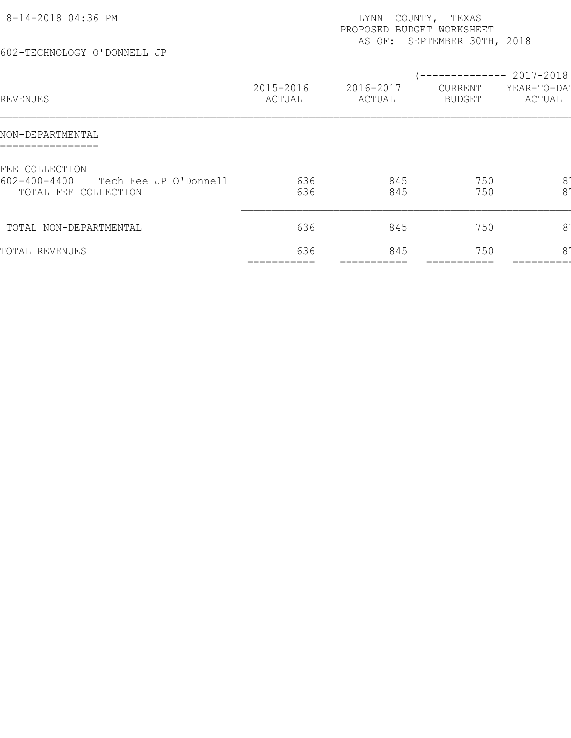| 8-14-2018 04:36 PM<br>602-TECHNOLOGY O'DONNELL JP                                     |                     | LYNN<br>PROPOSED BUDGET WORKSHEET<br>AS OF: | COUNTY, TEXAS<br>SEPTEMBER 30TH, 2018         |                                  |
|---------------------------------------------------------------------------------------|---------------------|---------------------------------------------|-----------------------------------------------|----------------------------------|
| REVENUES                                                                              | 2015-2016<br>ACTUAL | 2016-2017<br>ACTUAL                         | -------------- 2017-2018<br>CURRENT<br>BUDGET | YEAR-TO-DA!<br>ACTUAL            |
| NON-DEPARTMENTAL                                                                      |                     |                                             |                                               |                                  |
| FEE COLLECTION<br>$602 - 400 - 4400$<br>Tech Fee JP O'Donnell<br>TOTAL FEE COLLECTION | 636<br>636          | 845<br>845                                  | 750<br>750                                    | 8 <sup>°</sup><br>8 <sup>1</sup> |
| TOTAL NON-DEPARTMENTAL                                                                | 636                 | 845                                         | 750                                           | $8^{\circ}$                      |
| TOTAL REVENUES                                                                        | 636                 | 845                                         | 750                                           | 81                               |
|                                                                                       |                     |                                             |                                               |                                  |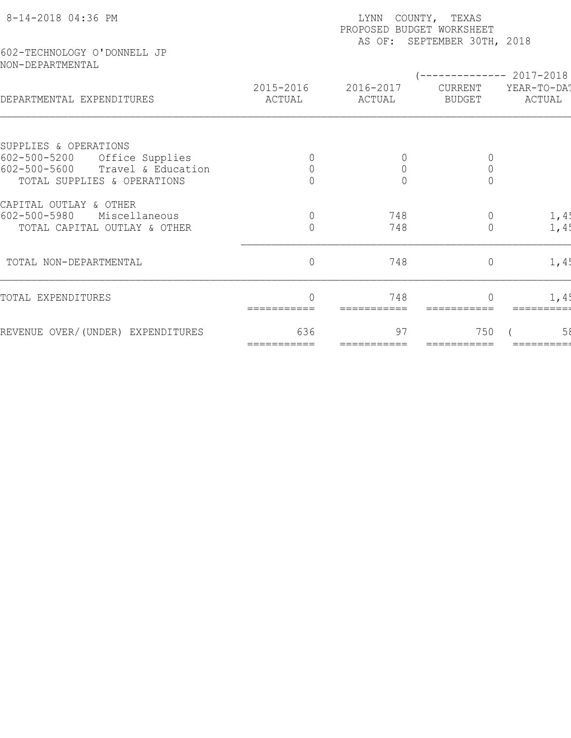| 8-14-2018 04:36 PM                              | COUNTY, TEXAS<br>LYNN<br>PROPOSED BUDGET WORKSHEET<br>AS OF: SEPTEMBER 30TH, 2018 |                     |                          |                       |  |  |  |
|-------------------------------------------------|-----------------------------------------------------------------------------------|---------------------|--------------------------|-----------------------|--|--|--|
| 602-TECHNOLOGY O'DONNELL JP<br>NON-DEPARTMENTAL |                                                                                   |                     |                          | ----------- 2017-2018 |  |  |  |
| DEPARTMENTAL EXPENDITURES                       | 2015-2016<br>ACTUAL                                                               | 2016-2017<br>ACTUAL | CURRENT<br><b>BUDGET</b> | YEAR-TO-DA!<br>ACTUAL |  |  |  |
| SUPPLIES & OPERATIONS                           |                                                                                   |                     |                          |                       |  |  |  |
| $602 - 500 - 5200$<br>Office Supplies           |                                                                                   | $\theta$            | $\overline{0}$           |                       |  |  |  |
| $602 - 500 - 5600$<br>Travel & Education        | $\overline{0}$                                                                    | $\mathbf 0$         | $\mathbb O$              |                       |  |  |  |
| TOTAL SUPPLIES & OPERATIONS                     |                                                                                   | $\Omega$            | $\overline{0}$           |                       |  |  |  |
| CAPITAL OUTLAY & OTHER                          |                                                                                   |                     |                          |                       |  |  |  |
| $602 - 500 - 5980$<br>Miscellaneous             | $\overline{0}$                                                                    | 748                 | $\overline{0}$           | 1,4!                  |  |  |  |
| TOTAL CAPITAL OUTLAY & OTHER                    | $\circ$                                                                           | 748                 | $\overline{0}$           | 1,4!                  |  |  |  |
| TOTAL NON-DEPARTMENTAL                          | $\circ$                                                                           | 748                 | $\overline{0}$           | 1,4!                  |  |  |  |
| TOTAL EXPENDITURES                              |                                                                                   | 748                 |                          | 1,4!                  |  |  |  |
| REVENUE OVER/(UNDER) EXPENDITURES               | 636<br>===========                                                                | 97<br>===========   | 750                      | 58                    |  |  |  |
|                                                 |                                                                                   |                     |                          |                       |  |  |  |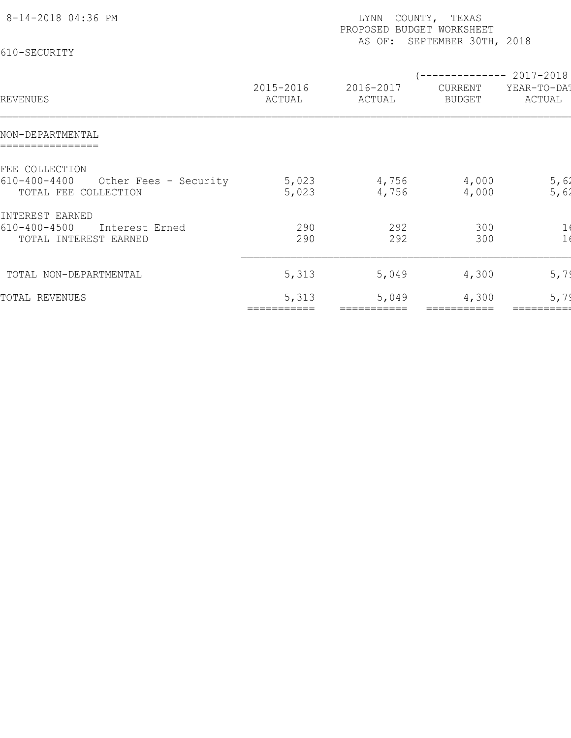| 8-14-2018 04:36 PM<br>610-SECURITY                                                    |                     | LYNN<br>COUNTY, TEXAS<br>PROPOSED BUDGET WORKSHEET<br>AS OF: SEPTEMBER 30TH, 2018 |                          |                                                 |  |  |  |  |
|---------------------------------------------------------------------------------------|---------------------|-----------------------------------------------------------------------------------|--------------------------|-------------------------------------------------|--|--|--|--|
| REVENUES                                                                              | 2015-2016<br>ACTUAL | 2016-2017<br>ACTUAL                                                               | CURRENT<br><b>BUDGET</b> | ------------ 2017-2018<br>YEAR-TO-DAT<br>ACTUAL |  |  |  |  |
| NON-DEPARTMENTAL                                                                      |                     |                                                                                   |                          |                                                 |  |  |  |  |
| FEE COLLECTION<br>$610 - 400 - 4400$<br>Other Fees - Security<br>TOTAL FEE COLLECTION | 5,023<br>5,023      | 4,756<br>4,756                                                                    | 4,000<br>4,000           | 5,62<br>5,62                                    |  |  |  |  |
| INTEREST EARNED<br>$610 - 400 - 4500$<br>Interest Erned<br>TOTAL INTEREST EARNED      | 290<br>290          | 292<br>292                                                                        | 300<br>300               | $\mathbf{1}$                                    |  |  |  |  |
| TOTAL NON-DEPARTMENTAL                                                                | 5,313               | 5,049                                                                             | 4,300                    | 5,79                                            |  |  |  |  |
| TOTAL REVENUES                                                                        | 5,313               | 5,049                                                                             | 4,300                    | 5,79                                            |  |  |  |  |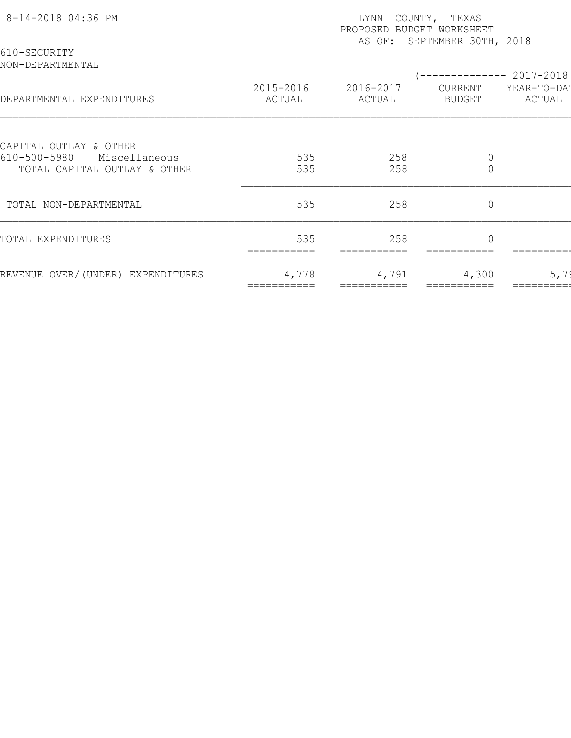| 8-14-2018 04:36 PM                                            | COUNTY, TEXAS<br>LYNN<br>PROPOSED BUDGET WORKSHEET<br>AS OF: SEPTEMBER 30TH, 2018 |                     |                               |                        |  |  |  |
|---------------------------------------------------------------|-----------------------------------------------------------------------------------|---------------------|-------------------------------|------------------------|--|--|--|
| 610-SECURITY<br>NON-DEPARTMENTAL                              |                                                                                   |                     |                               | ------------ 2017-2018 |  |  |  |
| DEPARTMENTAL EXPENDITURES                                     | 2015-2016<br>ACTUAL                                                               | 2016-2017<br>ACTUAL | CURRENT<br>BUDGET             | YEAR-TO-DA!<br>ACTUAL  |  |  |  |
| CAPITAL OUTLAY & OTHER                                        |                                                                                   |                     |                               |                        |  |  |  |
| 610-500-5980<br>Miscellaneous<br>TOTAL CAPITAL OUTLAY & OTHER | 535<br>535                                                                        | 258<br>258          | $\mathbb O$<br>$\overline{0}$ |                        |  |  |  |
| TOTAL NON-DEPARTMENTAL                                        | 535                                                                               | 258                 | $\mathbf 0$                   |                        |  |  |  |
| TOTAL EXPENDITURES                                            | 535                                                                               | 258                 | $\Omega$                      |                        |  |  |  |
| REVENUE OVER/(UNDER) EXPENDITURES                             | 4,778                                                                             | 4,791               | 4,300                         | 5,79                   |  |  |  |
|                                                               |                                                                                   |                     |                               |                        |  |  |  |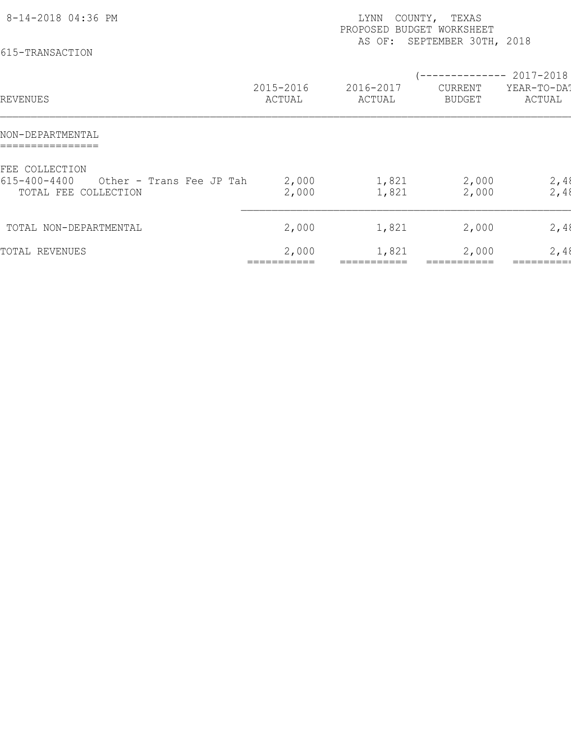| 8-14-2018 04:36 PM<br>615-TRANSACTION                                                    |                     | LYNN<br>PROPOSED<br>AS OF: | COUNTY, TEXAS<br><b>BUDGET WORKSHEET</b><br>SEPTEMBER 30TH, 2018 |                       |
|------------------------------------------------------------------------------------------|---------------------|----------------------------|------------------------------------------------------------------|-----------------------|
| REVENUES                                                                                 | 2015-2016<br>ACTUAL | 2016-2017<br>ACTUAL        | (-------------- 2017-2018)<br>CURRENT<br><b>BUDGET</b>           | YEAR-TO-DAT<br>ACTUAL |
| NON-DEPARTMENTAL                                                                         |                     |                            |                                                                  |                       |
| FEE COLLECTION<br>$615 - 400 - 4400$<br>Other - Trans Fee JP Tah<br>TOTAL FEE COLLECTION | 2,000<br>2,000      | 1,821<br>1,821             | 2,000<br>2,000                                                   | 2,48<br>2,48          |
| TOTAL NON-DEPARTMENTAL                                                                   | 2,000               | 1,821                      | 2,000                                                            | 2,48                  |
| TOTAL REVENUES                                                                           | 2,000               | 1,821                      | 2,000                                                            | 2,48                  |
|                                                                                          |                     |                            |                                                                  |                       |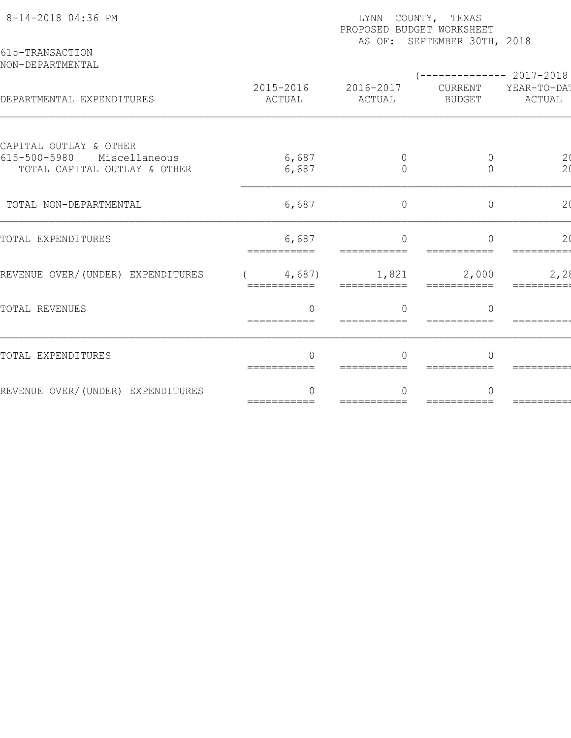| 8-14-2018 04:36 PM                                            | LYNN COUNTY, TEXAS<br>PROPOSED BUDGET WORKSHEET<br>AS OF: SEPTEMBER 30TH, 2018 |                          |                          |                       |  |  |  |  |
|---------------------------------------------------------------|--------------------------------------------------------------------------------|--------------------------|--------------------------|-----------------------|--|--|--|--|
| 615-TRANSACTION<br>NON-DEPARTMENTAL                           |                                                                                |                          |                          | $------2017-2018$     |  |  |  |  |
| DEPARTMENTAL EXPENDITURES                                     | 2015-2016<br>ACTUAL                                                            | 2016-2017<br>ACTUAL      | CURRENT<br><b>BUDGET</b> | YEAR-TO-DAT<br>ACTUAL |  |  |  |  |
| CAPITAL OUTLAY & OTHER<br>$615 - 500 - 5980$<br>Miscellaneous |                                                                                |                          |                          |                       |  |  |  |  |
| TOTAL CAPITAL OUTLAY & OTHER                                  | 6,687<br>6,687                                                                 | $\mathbf 0$<br>$\bigcap$ | 0<br>$\Omega$            | $\frac{2}{2}$         |  |  |  |  |
| TOTAL NON-DEPARTMENTAL                                        | 6,687                                                                          | $\overline{0}$           | $\circ$                  | 2 <sub>0</sub>        |  |  |  |  |
| TOTAL EXPENDITURES                                            | 6,687                                                                          | $\bigcap$                | $\bigcap$                | 2 <sub>0</sub>        |  |  |  |  |
| REVENUE OVER/(UNDER) EXPENDITURES                             | 4,687)<br>===========                                                          | 1,821<br>===========     | 2,000<br>===========     | 2,28                  |  |  |  |  |
| TOTAL REVENUES                                                | $\bigcap$<br>===========                                                       |                          | $\bigcap$                |                       |  |  |  |  |
| TOTAL EXPENDITURES                                            | $\Omega$<br>===========                                                        | $\bigcap$                | $\Omega$                 |                       |  |  |  |  |
| REVENUE OVER/(UNDER) EXPENDITURES                             | ∩<br>===========                                                               | $=$ ===========          | ===========              | =======               |  |  |  |  |
|                                                               |                                                                                |                          |                          |                       |  |  |  |  |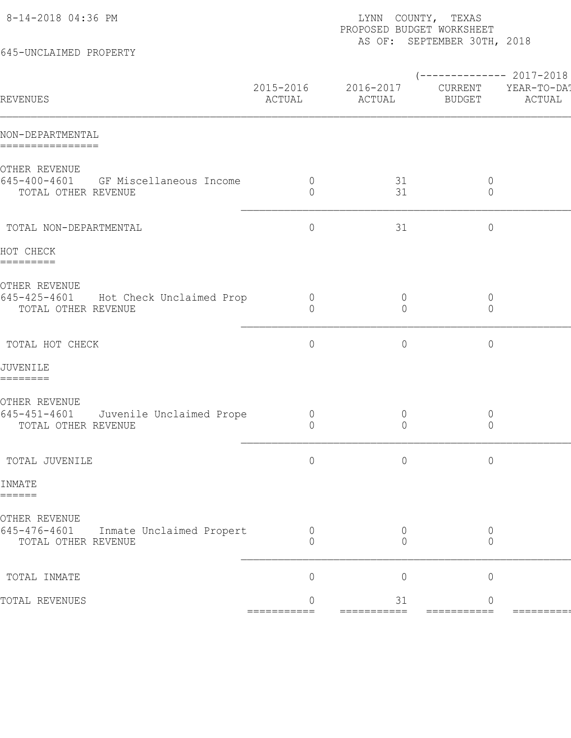| 645-UNCLAIMED PROPERTY                                                                 |                                  | PROPOSED BUDGET WORKSHEET        | AS OF: SEPTEMBER 30TH, 2018   |                                                |
|----------------------------------------------------------------------------------------|----------------------------------|----------------------------------|-------------------------------|------------------------------------------------|
| REVENUES                                                                               | 2015-2016<br>ACTUAL              | 2016-2017<br>ACTUAL              | CURRENT<br><b>BUDGET</b>      | $--------- 2017-2018$<br>YEAR-TO-DA!<br>ACTUAL |
| NON-DEPARTMENTAL<br>================                                                   |                                  |                                  |                               |                                                |
| OTHER REVENUE<br>645-400-4601 GF Miscellaneous Income<br>TOTAL OTHER REVENUE           | $\overline{0}$<br>$\circ$        | 31<br>31                         | $\overline{0}$<br>$\circ$     |                                                |
| TOTAL NON-DEPARTMENTAL                                                                 | $\circ$                          | 31                               | $\circ$                       |                                                |
| HOT CHECK<br>=========                                                                 |                                  |                                  |                               |                                                |
| OTHER REVENUE<br>645-425-4601<br>Hot Check Unclaimed Prop<br>TOTAL OTHER REVENUE       | $\overline{0}$<br>$\overline{0}$ | $\overline{0}$<br>0              | $\circ$<br>$\circ$            |                                                |
| TOTAL HOT CHECK                                                                        | $\circ$                          | $\circ$                          | $\mathbb O$                   |                                                |
| JUVENILE<br>========                                                                   |                                  |                                  |                               |                                                |
| OTHER REVENUE<br>$645 - 451 - 4601$<br>Juvenile Unclaimed Prope<br>TOTAL OTHER REVENUE | $\overline{0}$<br>$\circ$        | $\overline{0}$<br>$\overline{0}$ | $\circ$<br>$\circ$            |                                                |
| TOTAL JUVENILE                                                                         | $\circ$                          | $\circ$                          | $\circ$                       |                                                |
| INMATE<br>======                                                                       |                                  |                                  |                               |                                                |
| OTHER REVENUE<br>645-476-4601<br>Inmate Unclaimed Propert<br>TOTAL OTHER REVENUE       | 0<br>0                           | $\overline{0}$<br>$\Omega$       | 0<br>0                        |                                                |
| TOTAL INMATE                                                                           | $\overline{0}$                   | $\mathbf 0$                      | $\mathbb O$                   |                                                |
| TOTAL REVENUES                                                                         | $\overline{0}$<br>$=$ ========== | 31<br>===========                | $\overline{0}$<br>=========== | =======                                        |
|                                                                                        |                                  |                                  |                               |                                                |

8-14-2018 04:36 PM LYNN COUNTY, TEXAS PAGE: 1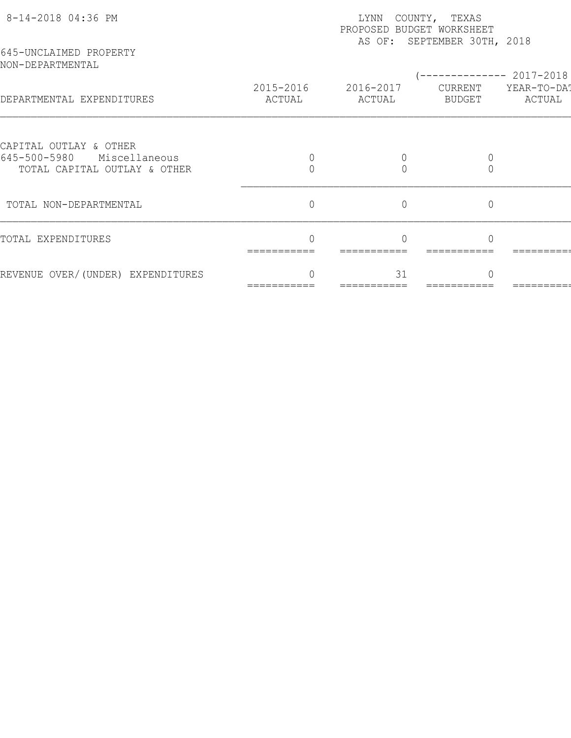| 8-14-2018 04:36 PM<br>645-UNCLAIMED PROPERTY                  | COUNTY, TEXAS<br>LYNN<br>PROPOSED BUDGET WORKSHEET<br>AS OF: SEPTEMBER 30TH, 2018 |                |                |                                      |  |  |  |
|---------------------------------------------------------------|-----------------------------------------------------------------------------------|----------------|----------------|--------------------------------------|--|--|--|
| NON-DEPARTMENTAL                                              | 2015-2016                                                                         | 2016-2017      | CURRENT        | ----------- 2017-2018<br>YEAR-TO-DAT |  |  |  |
| DEPARTMENTAL EXPENDITURES                                     | ACTUAL                                                                            | ACTUAL         | BUDGET         | ACTUAL                               |  |  |  |
| CAPITAL OUTLAY & OTHER                                        |                                                                                   |                |                |                                      |  |  |  |
| 645-500-5980<br>Miscellaneous<br>TOTAL CAPITAL OUTLAY & OTHER |                                                                                   |                |                |                                      |  |  |  |
| TOTAL NON-DEPARTMENTAL                                        | $\overline{0}$                                                                    | $\overline{0}$ | $\overline{0}$ |                                      |  |  |  |
| TOTAL EXPENDITURES                                            |                                                                                   |                |                |                                      |  |  |  |
| REVENUE OVER/(UNDER) EXPENDITURES                             |                                                                                   | 31             |                |                                      |  |  |  |
|                                                               |                                                                                   |                |                |                                      |  |  |  |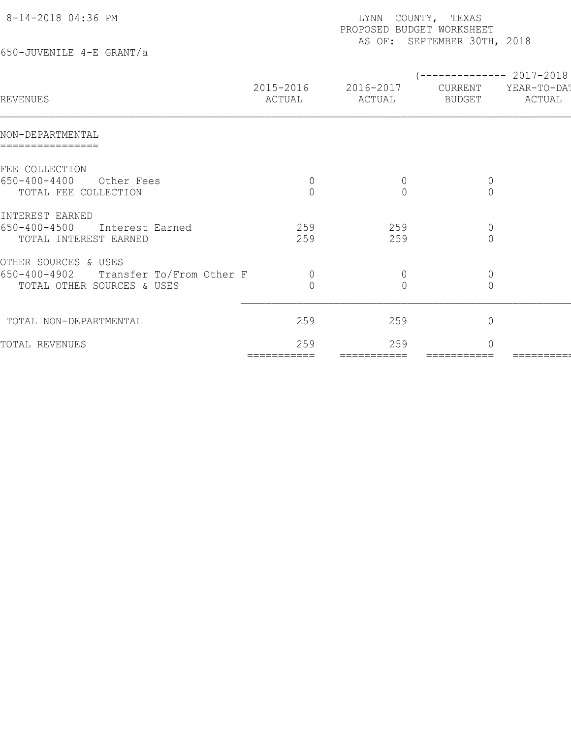| 8-14-2018 04:36 PM                                                         |                     | COUNTY,<br>LYNN<br>PROPOSED BUDGET WORKSHEET | TEXAS<br>AS OF: SEPTEMBER 30TH, 2018    |                                    |
|----------------------------------------------------------------------------|---------------------|----------------------------------------------|-----------------------------------------|------------------------------------|
| 650-JUVENILE 4-E GRANT/a                                                   |                     |                                              |                                         |                                    |
| <b>REVENUES</b>                                                            | 2015-2016<br>ACTUAL | 2016-2017<br>ACTUAL                          | -----------<br>CURRENT<br><b>BUDGET</b> | 2017-2018<br>YEAR-TO-DA!<br>ACTUAL |
| NON-DEPARTMENTAL                                                           |                     |                                              |                                         |                                    |
| FEE COLLECTION<br>$650 - 400 - 4400$<br>Other Fees<br>TOTAL FEE COLLECTION | $\mathbf 0$         | $\theta$<br>$\bigcap$                        | $\theta$<br>$\overline{0}$              |                                    |
| INTEREST EARNED<br>$650 - 400 - 4500$ Thtorogt Farnod                      | 250                 | 250                                          | $\cap$                                  |                                    |

| 0099-900-4400<br>Artige Lees<br>TOTAL FEE COLLECTION     |            |            |  |
|----------------------------------------------------------|------------|------------|--|
| INTEREST EARNED                                          |            |            |  |
| 650-400-4500<br>Interest Earned<br>TOTAL INTEREST EARNED | 259<br>259 | 259<br>259 |  |
| OTHER SOURCES & USES                                     |            |            |  |
| Transfer To/From Other F<br>650-400-4902                 |            |            |  |
| TOTAL OTHER SOURCES & USES                               |            |            |  |
| TOTAL NON-DEPARTMENTAL                                   | 259        | 259        |  |
| TOTAL REVENUES                                           | 259        | 259        |  |

=========== =========== =========== =========== =========== ============ ============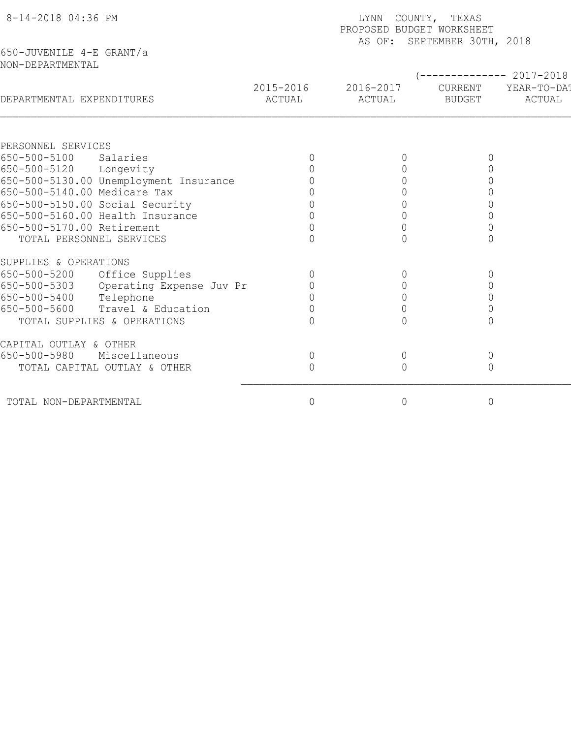| 8-14-2018 04:36 PM                       | COUNTY, TEXAS<br>LYNN<br>PROPOSED BUDGET WORKSHEET<br>AS OF: SEPTEMBER 30TH, 2018 |                     |                          |                       |  |  |  |
|------------------------------------------|-----------------------------------------------------------------------------------|---------------------|--------------------------|-----------------------|--|--|--|
| 650-JUVENILE 4-E GRANT/a                 |                                                                                   |                     |                          |                       |  |  |  |
| NON-DEPARTMENTAL                         |                                                                                   |                     |                          |                       |  |  |  |
|                                          |                                                                                   |                     |                          | ----------- 2017-2018 |  |  |  |
| DEPARTMENTAL EXPENDITURES                | 2015-2016<br>ACTUAL                                                               | 2016-2017<br>ACTUAL | CURRENT<br><b>BUDGET</b> | YEAR-TO-DA!<br>ACTUAL |  |  |  |
|                                          |                                                                                   |                     |                          |                       |  |  |  |
| PERSONNEL SERVICES                       |                                                                                   |                     |                          |                       |  |  |  |
| 650-500-5100<br>Salaries                 |                                                                                   |                     |                          |                       |  |  |  |
| 650-500-5120<br>Longevity                |                                                                                   |                     |                          |                       |  |  |  |
| 650-500-5130.00 Unemployment Insurance   |                                                                                   | $\bigcap$           |                          |                       |  |  |  |
| 650-500-5140.00 Medicare Tax             |                                                                                   |                     |                          |                       |  |  |  |
| 650-500-5150.00 Social Security          |                                                                                   |                     |                          |                       |  |  |  |
| 650-500-5160.00 Health Insurance         |                                                                                   |                     |                          |                       |  |  |  |
| 650-500-5170.00 Retirement               |                                                                                   | $\mathbf 0$         |                          |                       |  |  |  |
| TOTAL PERSONNEL SERVICES                 |                                                                                   |                     |                          |                       |  |  |  |
| SUPPLIES & OPERATIONS                    |                                                                                   |                     |                          |                       |  |  |  |
| 650-500-5200<br>Office Supplies          |                                                                                   | $\Omega$            |                          |                       |  |  |  |
| 650-500-5303<br>Operating Expense Juv Pr |                                                                                   | $\mathbf 0$         |                          |                       |  |  |  |
| 650-500-5400<br>Telephone                |                                                                                   | $\overline{0}$      |                          |                       |  |  |  |
| Travel & Education<br>650-500-5600       |                                                                                   | $\Omega$            |                          |                       |  |  |  |
| TOTAL SUPPLIES & OPERATIONS              |                                                                                   |                     |                          |                       |  |  |  |
| CAPITAL OUTLAY & OTHER                   |                                                                                   |                     |                          |                       |  |  |  |
| 650-500-5980<br>Miscellaneous            | $\mathbb O$                                                                       | $\circ$             | $\mathsf{O}\xspace$      |                       |  |  |  |
| TOTAL CAPITAL OUTLAY & OTHER             | $\Omega$                                                                          | $\Omega$            | $\overline{0}$           |                       |  |  |  |
| TOTAL NON-DEPARTMENTAL                   | 0                                                                                 | $\circ$             | $\mathbb O$              |                       |  |  |  |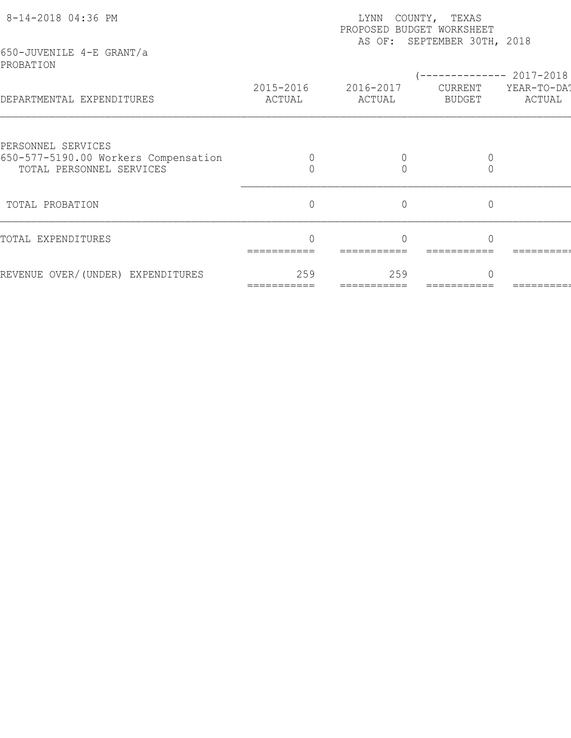| 8-14-2018 04:36 PM<br>650-JUVENILE 4-E GRANT/a             | LYNN<br>COUNTY, TEXAS<br>PROPOSED BUDGET WORKSHEET<br>AS OF: SEPTEMBER 30TH, 2018 |                     |                   |                       |  |  |  |
|------------------------------------------------------------|-----------------------------------------------------------------------------------|---------------------|-------------------|-----------------------|--|--|--|
| PROBATION                                                  |                                                                                   |                     |                   | $------ 2017-2018$    |  |  |  |
| DEPARTMENTAL EXPENDITURES                                  | 2015-2016<br>ACTUAL                                                               | 2016-2017<br>ACTUAL | CURRENT<br>BUDGET | YEAR-TO-DAT<br>ACTUAL |  |  |  |
|                                                            |                                                                                   |                     |                   |                       |  |  |  |
| PERSONNEL SERVICES<br>650-577-5190.00 Workers Compensation |                                                                                   |                     |                   |                       |  |  |  |
| TOTAL PERSONNEL SERVICES                                   |                                                                                   |                     | $\Omega$          |                       |  |  |  |
| TOTAL PROBATION                                            | $\overline{0}$                                                                    | $\overline{0}$      | $\overline{0}$    |                       |  |  |  |
| TOTAL EXPENDITURES                                         |                                                                                   |                     |                   |                       |  |  |  |
| REVENUE OVER/(UNDER) EXPENDITURES                          | 259                                                                               | 259                 |                   |                       |  |  |  |
|                                                            |                                                                                   |                     |                   |                       |  |  |  |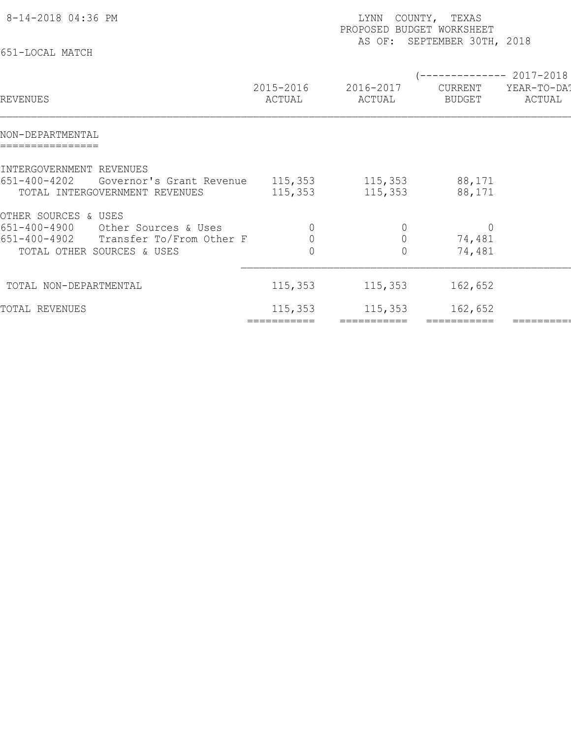| 8-14-2018 04:36 PM<br>651-LOCAL MATCH                                                                                                  | LYNN<br>COUNTY, TEXAS<br>PROPOSED BUDGET WORKSHEET<br>SEPTEMBER 30TH, 2018<br>AS OF: |                                      |                                    |                                    |  |  |  |
|----------------------------------------------------------------------------------------------------------------------------------------|--------------------------------------------------------------------------------------|--------------------------------------|------------------------------------|------------------------------------|--|--|--|
| REVENUES                                                                                                                               | 2015-2016<br>ACTUAL                                                                  | 2016-2017<br>ACTUAL                  | CURRENT<br><b>BUDGET</b>           | 2017-2018<br>YEAR-TO-DAT<br>ACTUAL |  |  |  |
| NON-DEPARTMENTAL                                                                                                                       |                                                                                      |                                      |                                    |                                    |  |  |  |
| INTERGOVERNMENT REVENUES<br>$651 - 400 - 4202$<br>Governor's Grant Revenue<br>TOTAL INTERGOVERNMENT REVENUES                           | 115,353<br>115,353                                                                   | 115,353<br>115,353                   | 88,171<br>88,171                   |                                    |  |  |  |
| OTHER SOURCES & USES<br>651-400-4900<br>Other Sources & Uses<br>651-400-4902<br>Transfer To/From Other F<br>TOTAL OTHER SOURCES & USES | 0<br>$\overline{0}$<br>$\overline{0}$                                                | $\theta$<br>$\mathbf 0$<br>$\bigcap$ | $\overline{0}$<br>74,481<br>74,481 |                                    |  |  |  |
| TOTAL NON-DEPARTMENTAL                                                                                                                 | 115,353                                                                              | 115, 353                             | 162,652                            |                                    |  |  |  |
| TOTAL REVENUES                                                                                                                         | 115,353<br>===========                                                               | 115,353<br>===========               | 162,652<br>===========             |                                    |  |  |  |
|                                                                                                                                        |                                                                                      |                                      |                                    |                                    |  |  |  |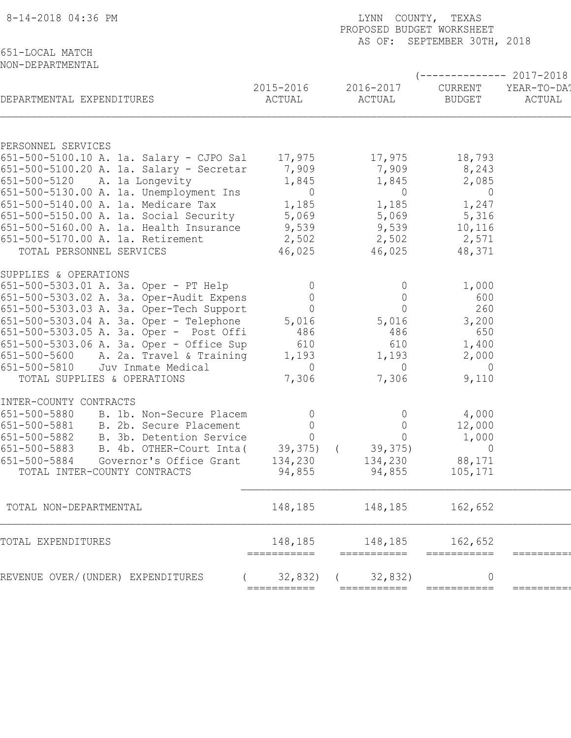| 8-14-2018 04:36 PM                                                      | LYNN COUNTY, TEXAS<br>PROPOSED BUDGET WORKSHEET<br>AS OF: SEPTEMBER 30TH, 2018 |                        |                               |                       |  |  |
|-------------------------------------------------------------------------|--------------------------------------------------------------------------------|------------------------|-------------------------------|-----------------------|--|--|
| 651-LOCAL MATCH<br>NON-DEPARTMENTAL                                     |                                                                                |                        |                               | $--------2017-2018$   |  |  |
| DEPARTMENTAL EXPENDITURES                                               | 2015-2016<br>ACTUAL                                                            | 2016-2017<br>ACTUAL    | CURRENT<br>BUDGET             | YEAR-TO-DA!<br>ACTUAL |  |  |
| PERSONNEL SERVICES                                                      |                                                                                |                        |                               |                       |  |  |
| 651-500-5100.10 A. 1a. Salary - CJPO Sal 17,975                         |                                                                                | 17,975                 | 18,793                        |                       |  |  |
| 651-500-5100.20 A. 1a. Salary - Secretar 7,909                          |                                                                                | 7,909                  | 8,243                         |                       |  |  |
| 651-500-5120 A. 1a Longevity                                            | 1,845                                                                          | 1,845                  | 2,085                         |                       |  |  |
| 651-500-5130.00 A. 1a. Unemployment Ins                                 | $\overline{0}$                                                                 | $\overline{0}$         | $\overline{0}$                |                       |  |  |
| 651-500-5140.00 A. 1a. Medicare Tax                                     | 1,185                                                                          | 1,185                  | 1,247                         |                       |  |  |
| 651-500-5150.00 A. 1a. Social Security 5,069                            |                                                                                | 5,069                  | 5,316                         |                       |  |  |
| 651-500-5160.00 A. 1a. Health Insurance 9,539                           |                                                                                | 9,539                  | 10,116                        |                       |  |  |
| 651-500-5170.00 A. 1a. Retirement                                       | 2,502                                                                          | 2,502                  | 2,571                         |                       |  |  |
| TOTAL PERSONNEL SERVICES                                                | 46,025                                                                         | 46,025                 | 48,371                        |                       |  |  |
| SUPPLIES & OPERATIONS                                                   |                                                                                |                        |                               |                       |  |  |
| 651-500-5303.01 A. 3a. Oper - PT Help                                   | $\overline{0}$                                                                 | $\overline{0}$         | 1,000                         |                       |  |  |
| 651-500-5303.02 A. 3a. Oper-Audit Expens                                | $\overline{0}$                                                                 | $\overline{0}$         | 600                           |                       |  |  |
| 651-500-5303.03 A. 3a. Oper-Tech Support                                | $\overline{0}$                                                                 | $\Omega$               | 260                           |                       |  |  |
| 651-500-5303.04 A. 3a. Oper - Telephone                                 | 5,016                                                                          | 5,016                  | 3,200                         |                       |  |  |
| 651-500-5303.05 A. 3a. Oper - Post Offi                                 | 486                                                                            | 486                    | 650                           |                       |  |  |
| 651-500-5303.06 A. 3a. Oper - Office Sup                                | 610                                                                            | 610                    | 1,400                         |                       |  |  |
| 651-500-5600 A. 2a. Travel & Training                                   | 1,193                                                                          | 1,193<br>$\bigcirc$    | 2,000                         |                       |  |  |
| 651-500-5810<br>Juv Inmate Medical<br>TOTAL SUPPLIES & OPERATIONS       | $\overline{0}$<br>7,306                                                        | 7,306                  | $\overline{0}$<br>9,110       |                       |  |  |
|                                                                         |                                                                                |                        |                               |                       |  |  |
| INTER-COUNTY CONTRACTS                                                  |                                                                                |                        |                               |                       |  |  |
| 651-500-5880 B. 1b. Non-Secure Placem                                   | $\overline{0}$                                                                 | $\overline{0}$         | 4,000                         |                       |  |  |
| 651-500-5881 B. 2b. Secure Placement                                    | $\overline{0}$                                                                 | $\bigcap$              | 12,000                        |                       |  |  |
| 651-500-5882<br>B. 3b. Detention Service                                | $\Omega$                                                                       | $\circ$                | 1,000                         |                       |  |  |
| 651-500-5883<br>B. 4b. OTHER-Court Inta(                                | 39,375)                                                                        | 39, 375)<br>$\sqrt{2}$ | 0                             |                       |  |  |
| 651-500-5884<br>Governor's Office Grant<br>TOTAL INTER-COUNTY CONTRACTS | 134,230<br>94,855                                                              | 134,230<br>94,855      | 88,171<br>105,171             |                       |  |  |
|                                                                         |                                                                                |                        |                               |                       |  |  |
| TOTAL NON-DEPARTMENTAL                                                  | 148,185                                                                        | 148,185                | 162,652                       |                       |  |  |
| TOTAL EXPENDITURES                                                      | 148,185                                                                        | 148,185                | 162,652                       |                       |  |  |
| REVENUE OVER/(UNDER) EXPENDITURES                                       | ===========<br>32,832)                                                         | ===========<br>32,832) | ===========<br>$\overline{0}$ |                       |  |  |
|                                                                         | ===========                                                                    | ===========            | ===========                   |                       |  |  |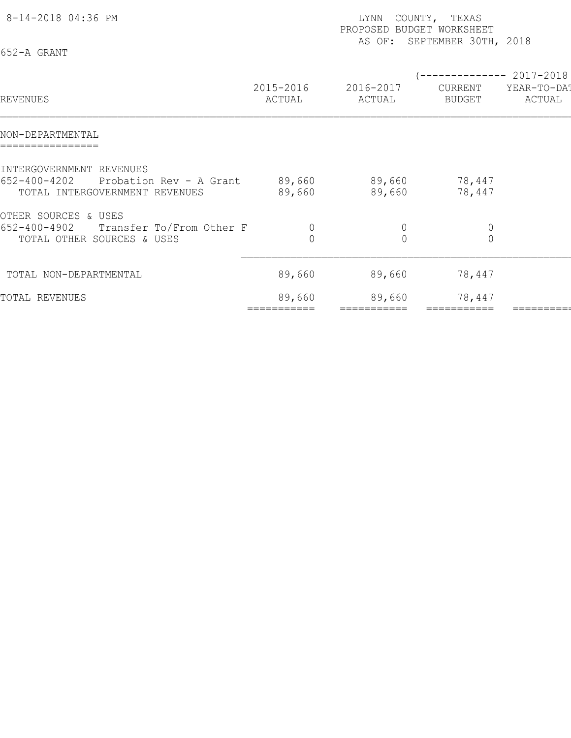| 8-14-2018 04:36 PM<br>652-A GRANT                                                                     |                     | LYNN<br>PROPOSED BUDGET WORKSHEET<br>AS OF: | COUNTY, TEXAS<br>SEPTEMBER 30TH, 2018                |                       |
|-------------------------------------------------------------------------------------------------------|---------------------|---------------------------------------------|------------------------------------------------------|-----------------------|
| REVENUES                                                                                              | 2015-2016<br>ACTUAL | 2016-2017<br>ACTUAL                         | -------------- 2017-2018<br>CURRENT<br><b>BUDGET</b> | YEAR-TO-DA!<br>ACTUAL |
| NON-DEPARTMENTAL                                                                                      |                     |                                             |                                                      |                       |
| INTERGOVERNMENT REVENUES<br>652-400-4202<br>Probation Rev - A Grant<br>TOTAL INTERGOVERNMENT REVENUES | 89,660<br>89,660    | 89,660<br>89,660                            | 78,447<br>78,447                                     |                       |
| OTHER SOURCES & USES<br>$652 - 400 - 4902$<br>Transfer To/From Other F<br>TOTAL OTHER SOURCES & USES  | $\overline{0}$      | $\theta$<br>$\overline{0}$                  | $\theta$<br>$\Omega$                                 |                       |
| TOTAL NON-DEPARTMENTAL                                                                                | 89,660              | 89,660                                      | 78,447                                               |                       |
| TOTAL REVENUES                                                                                        | 89,660              | 89,660                                      | 78,447                                               |                       |
|                                                                                                       |                     |                                             |                                                      |                       |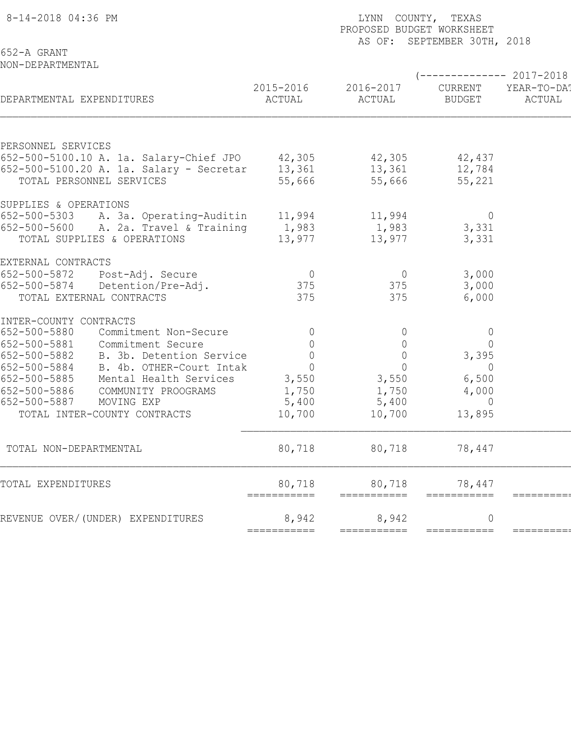|                                                                                                                           | PROPOSED BUDGET WORKSHEET<br>AS OF: SEPTEMBER 30TH, 2018 |                                              |                                     |                                              |  |  |
|---------------------------------------------------------------------------------------------------------------------------|----------------------------------------------------------|----------------------------------------------|-------------------------------------|----------------------------------------------|--|--|
| 652-A GRANT<br>NON-DEPARTMENTAL                                                                                           |                                                          |                                              |                                     |                                              |  |  |
| DEPARTMENTAL EXPENDITURES                                                                                                 | 2015-2016<br>ACTUAL                                      | 2016-2017<br>ACTUAL                          | CURRENT<br><b>BUDGET</b>            | $--------2017-2018$<br>YEAR-TO-DA!<br>ACTUAL |  |  |
| PERSONNEL SERVICES<br>652-500-5100.10 A. 1a. Salary-Chief JPO 42,305                                                      |                                                          | 42,305                                       | 42,437                              |                                              |  |  |
| 652-500-5100.20 A. 1a. Salary - Secretar<br>TOTAL PERSONNEL SERVICES                                                      | 13,361<br>55,666                                         | 13,361<br>55,666                             | 12,784<br>55,221                    |                                              |  |  |
| SUPPLIES & OPERATIONS                                                                                                     |                                                          |                                              |                                     |                                              |  |  |
| 652-500-5303 A. 3a. Operating-Auditin<br>652-500-5600 A. 2a. Travel & Training<br>TOTAL SUPPLIES & OPERATIONS             | 11,994<br>1,983<br>13,977                                | 11,994<br>1,983<br>13,977                    | $\overline{0}$<br>3,331<br>3,331    |                                              |  |  |
| EXTERNAL CONTRACTS                                                                                                        |                                                          |                                              |                                     |                                              |  |  |
| 652-500-5872<br>Post-Adj. Secure<br>652-500-5874<br>Detention/Pre-Adj.<br>TOTAL EXTERNAL CONTRACTS                        | $\overline{0}$<br>375<br>375                             | $\overline{0}$<br>375<br>375                 | 3,000<br>3,000<br>6,000             |                                              |  |  |
| INTER-COUNTY CONTRACTS                                                                                                    |                                                          |                                              |                                     |                                              |  |  |
| 652-500-5880<br>Commitment Non-Secure<br>652-500-5881<br>Commitment Secure<br>652-500-5882<br>B. 3b. Detention Service    | $\mathbf 0$<br>$\mathbf 0$<br>0                          | $\overline{0}$<br>$\mathbb O$<br>$\mathbb O$ | $\overline{0}$<br>$\Omega$<br>3,395 |                                              |  |  |
| 652-500-5884<br>B. 4b. OTHER-Court Intak<br>652-500-5885<br>Mental Health Services<br>652-500-5886<br>COMMUNITY PROOGRAMS | $\overline{0}$<br>3,550<br>1,750                         | $\Omega$<br>3,550<br>1,750                   | $\Omega$<br>6,500<br>4,000          |                                              |  |  |
| 652-500-5887<br>MOVING EXP<br>TOTAL INTER-COUNTY CONTRACTS                                                                | 5,400<br>10,700                                          | 5,400<br>10,700                              | $\Omega$<br>13,895                  |                                              |  |  |
| TOTAL NON-DEPARTMENTAL                                                                                                    | 80,718                                                   | 80,718                                       | 78,447                              |                                              |  |  |
| TOTAL EXPENDITURES                                                                                                        | 80,718<br>===========                                    | 80,718<br>===========                        | 78,447<br>===========               |                                              |  |  |
| REVENUE OVER/(UNDER) EXPENDITURES                                                                                         | 8,942<br>===========                                     | 8,942<br>===========                         | $\overline{0}$<br>===========       | ========                                     |  |  |
|                                                                                                                           |                                                          |                                              |                                     |                                              |  |  |

8-14-2018 04:36 PM LYNN COUNTY, TEXAS PAGE: 2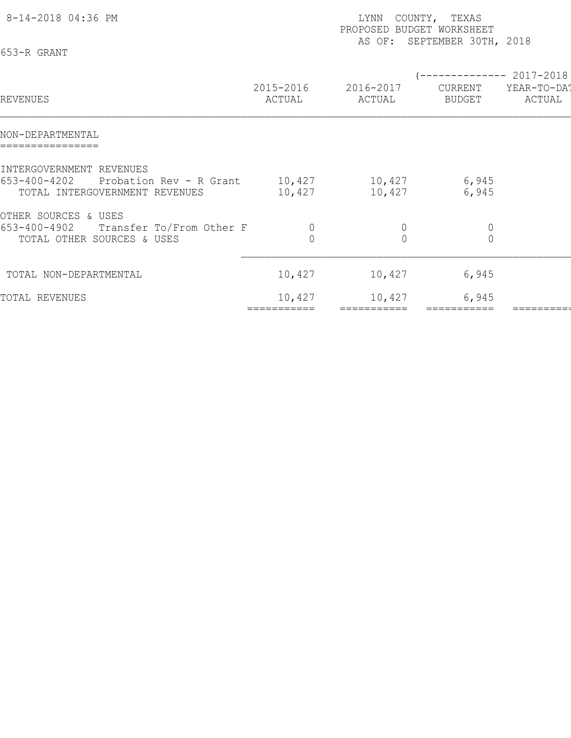| 8-14-2018 04:36 PM<br>653-R GRANT                                                                     | LYNN<br>COUNTY, TEXAS<br>PROPOSED BUDGET WORKSHEET<br>SEPTEMBER 30TH, 2018<br>AS OF: |                     |                                                        |                       |  |
|-------------------------------------------------------------------------------------------------------|--------------------------------------------------------------------------------------|---------------------|--------------------------------------------------------|-----------------------|--|
| REVENUES                                                                                              | 2015-2016<br>ACTUAL                                                                  | 2016-2017<br>ACTUAL | (-------------- 2017-2018)<br>CURRENT<br><b>BUDGET</b> | YEAR-TO-DA!<br>ACTUAL |  |
| NON-DEPARTMENTAL                                                                                      |                                                                                      |                     |                                                        |                       |  |
| INTERGOVERNMENT REVENUES<br>653-400-4202<br>Probation Rev - R Grant<br>TOTAL INTERGOVERNMENT REVENUES | 10,427<br>10,427                                                                     | 10,427<br>10,427    | 6,945<br>6,945                                         |                       |  |
| OTHER SOURCES & USES<br>653-400-4902<br>Transfer To/From Other F<br>TOTAL OTHER SOURCES & USES        | $\overline{0}$                                                                       | $\theta$            | $\mathbb O$<br>$\Omega$                                |                       |  |
| TOTAL NON-DEPARTMENTAL                                                                                | 10,427                                                                               | 10,427              | 6,945                                                  |                       |  |
| TOTAL REVENUES                                                                                        | 10,427                                                                               | 10,427              | 6,945                                                  |                       |  |
|                                                                                                       |                                                                                      |                     |                                                        |                       |  |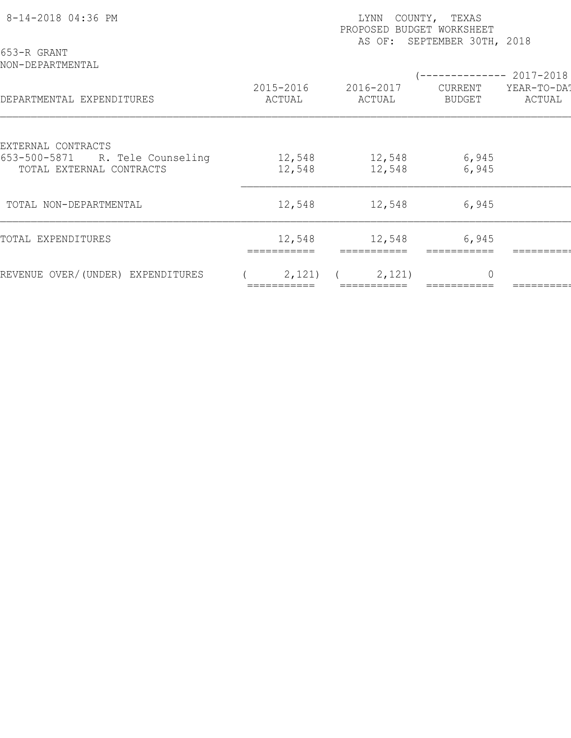| 8-14-2018 04:36 PM                                             |                     | COUNTY, TEXAS<br>LYNN<br>PROPOSED BUDGET WORKSHEET<br>SEPTEMBER 30TH, 2018<br>AS OF: |                           |                       |  |  |  |  |
|----------------------------------------------------------------|---------------------|--------------------------------------------------------------------------------------|---------------------------|-----------------------|--|--|--|--|
| 653-R GRANT<br>NON-DEPARTMENTAL                                |                     |                                                                                      | --------------- 2017-2018 |                       |  |  |  |  |
| DEPARTMENTAL EXPENDITURES                                      | 2015-2016<br>ACTUAL | 2016-2017<br>ACTUAL                                                                  | CURRENT<br><b>BUDGET</b>  | YEAR-TO-DA!<br>ACTUAL |  |  |  |  |
| EXTERNAL CONTRACTS                                             |                     |                                                                                      |                           |                       |  |  |  |  |
| R. Tele Counseling<br>653-500-5871<br>TOTAL EXTERNAL CONTRACTS | 12,548<br>12,548    | 12,548<br>12,548                                                                     | 6,945<br>6,945            |                       |  |  |  |  |
| TOTAL NON-DEPARTMENTAL                                         | 12,548              | 12,548                                                                               | 6,945                     |                       |  |  |  |  |
| TOTAL EXPENDITURES                                             | 12,548              | 12,548                                                                               | 6,945                     |                       |  |  |  |  |
| REVENUE OVER/(UNDER) EXPENDITURES                              | 2,121)              | 2,121)                                                                               | $\Omega$                  |                       |  |  |  |  |
|                                                                |                     |                                                                                      |                           |                       |  |  |  |  |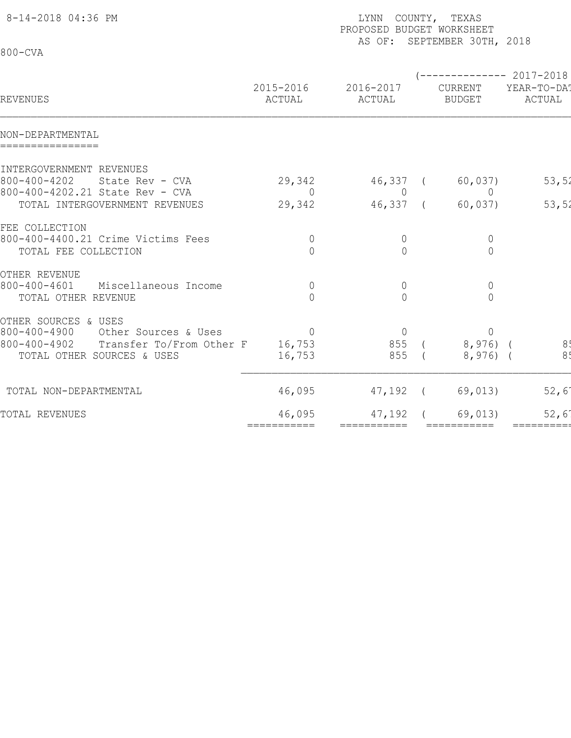| 8-14-2018 04:36 PM                                                |                            | LYNN COUNTY, TEXAS<br>PROPOSED BUDGET WORKSHEET<br>AS OF: SEPTEMBER 30TH, 2018 |  |                                  |                                                |  |  |  |
|-------------------------------------------------------------------|----------------------------|--------------------------------------------------------------------------------|--|----------------------------------|------------------------------------------------|--|--|--|
| $800 - CVA$                                                       |                            |                                                                                |  |                                  |                                                |  |  |  |
| REVENUES                                                          | 2015-2016<br>ACTUAL        | 2016-2017<br>ACTUAL                                                            |  | CURRENT<br><b>BUDGET</b>         | ----------- 2017-2018<br>YEAR-TO-DA!<br>ACTUAL |  |  |  |
| NON-DEPARTMENTAL<br>================                              |                            |                                                                                |  |                                  |                                                |  |  |  |
| INTERGOVERNMENT REVENUES                                          |                            |                                                                                |  |                                  |                                                |  |  |  |
| $800 - 400 - 4202$<br>State Rev - CVA                             | 29,342                     | 46,337 (                                                                       |  | 60,037)                          | 53, 52                                         |  |  |  |
| 800-400-4202.21 State Rev - CVA                                   | $\Omega$                   | $\overline{0}$                                                                 |  | $\overline{0}$                   |                                                |  |  |  |
| TOTAL INTERGOVERNMENT REVENUES                                    | 29,342                     | 46,337 (                                                                       |  | 60,037)                          | 53,52                                          |  |  |  |
| FEE COLLECTION                                                    |                            |                                                                                |  |                                  |                                                |  |  |  |
| 800-400-4400.21 Crime Victims Fees                                | $\overline{0}$             | $\overline{0}$                                                                 |  | $\overline{0}$                   |                                                |  |  |  |
| TOTAL FEE COLLECTION                                              | $\Omega$                   | $\bigcap$                                                                      |  | $\overline{0}$                   |                                                |  |  |  |
|                                                                   |                            |                                                                                |  |                                  |                                                |  |  |  |
| OTHER REVENUE                                                     |                            |                                                                                |  |                                  |                                                |  |  |  |
| $800 - 400 - 4601$<br>Miscellaneous Income<br>TOTAL OTHER REVENUE | $\overline{0}$<br>$\Omega$ | $\overline{0}$<br>$\bigcap$                                                    |  | $\overline{0}$<br>$\overline{0}$ |                                                |  |  |  |
|                                                                   |                            |                                                                                |  |                                  |                                                |  |  |  |
| OTHER SOURCES & USES                                              |                            |                                                                                |  |                                  |                                                |  |  |  |
| $800 - 400 - 4900$<br>Other Sources & Uses                        | $\overline{0}$             | $\overline{0}$                                                                 |  | $\overline{0}$                   |                                                |  |  |  |
| 800-400-4902<br>Transfer To/From Other F                          | 16,753                     | 855 (                                                                          |  | $8,976$ (                        | 85                                             |  |  |  |
| TOTAL OTHER SOURCES & USES                                        | 16,753                     | 855                                                                            |  | $8,976$ (                        | 8 <sub>1</sub>                                 |  |  |  |
| TOTAL NON-DEPARTMENTAL                                            | 46,095                     | 47,192 (                                                                       |  | 69,013)                          | 52,6'                                          |  |  |  |
|                                                                   | 46,095                     | 47,192                                                                         |  | 69,013)                          | 52,6                                           |  |  |  |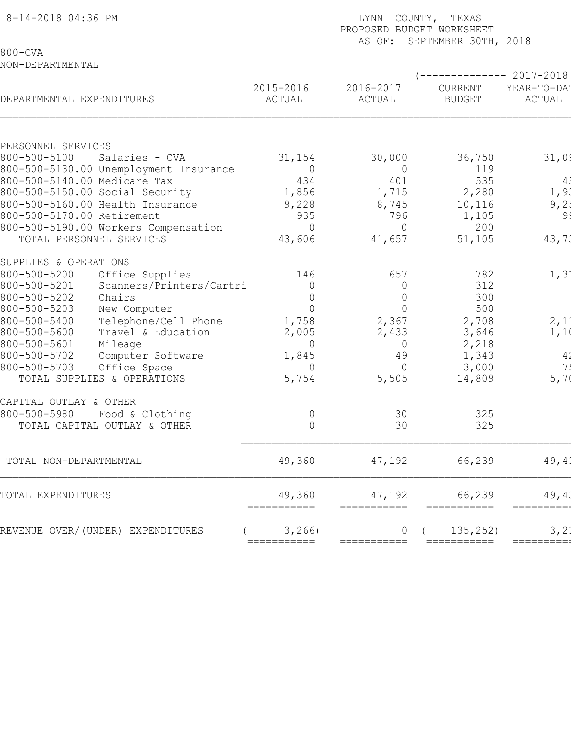| 8-14-2018 04:36 PM           |                                                                 |                       | LYNN COUNTY, TEXAS<br>PROPOSED BUDGET WORKSHEET<br>AS OF: SEPTEMBER 30TH, 2018 |                          |                       |  |  |  |
|------------------------------|-----------------------------------------------------------------|-----------------------|--------------------------------------------------------------------------------|--------------------------|-----------------------|--|--|--|
| $800 - CVA$                  |                                                                 |                       |                                                                                |                          |                       |  |  |  |
| NON-DEPARTMENTAL             |                                                                 |                       |                                                                                |                          | ----------- 2017-2018 |  |  |  |
| DEPARTMENTAL EXPENDITURES    |                                                                 | 2015-2016<br>ACTUAL   | 2016-2017<br>ACTUAL                                                            | CURRENT<br><b>BUDGET</b> | YEAR-TO-DA!<br>ACTUAL |  |  |  |
|                              |                                                                 |                       |                                                                                |                          |                       |  |  |  |
| PERSONNEL SERVICES           |                                                                 |                       |                                                                                |                          |                       |  |  |  |
| 800-500-5100                 | Salaries - CVA                                                  | 31,154                | 30,000                                                                         | 36,750                   | 31,09                 |  |  |  |
|                              | 800-500-5130.00 Unemployment Insurance                          | 0                     | $\overline{0}$                                                                 | 119                      |                       |  |  |  |
|                              | 800-500-5140.00 Medicare Tax<br>800-500-5150.00 Social Security | 434<br>1,856          | 401<br>1,715                                                                   | 535<br>2,280             | 4!<br>1, 91           |  |  |  |
|                              | 800-500-5160.00 Health Insurance                                | 9,228                 | 8,745                                                                          | 10,116                   | 9,2!                  |  |  |  |
| 800-500-5170.00 Retirement   |                                                                 | 935                   | 796                                                                            | 1,105                    | 99                    |  |  |  |
|                              | 800-500-5190.00 Workers Compensation                            | $\Omega$              | $\Omega$                                                                       | 200                      |                       |  |  |  |
|                              | TOTAL PERSONNEL SERVICES                                        | 43,606                | 41,657                                                                         | 51,105                   | 43,71                 |  |  |  |
| SUPPLIES & OPERATIONS        |                                                                 |                       |                                                                                |                          |                       |  |  |  |
| 800-500-5200                 | Office Supplies                                                 | 146                   | 657                                                                            | 782                      | 1, 31                 |  |  |  |
| 800-500-5201                 | Scanners/Printers/Cartri                                        | $\mathbf 0$           | $\overline{0}$                                                                 | 312                      |                       |  |  |  |
| 800-500-5202                 | Chairs                                                          | $\overline{0}$        | $\overline{0}$                                                                 | 300                      |                       |  |  |  |
| 800-500-5203                 | New Computer                                                    | $\overline{0}$        | $\bigcap$                                                                      | 500                      |                       |  |  |  |
| 800-500-5400                 | Telephone/Cell Phone                                            | 1,758                 | 2,367                                                                          | 2,708                    | 2,11                  |  |  |  |
| 800-500-5600                 | Travel & Education                                              | 2,005                 | 2,433                                                                          | 3,646                    | 1,1                   |  |  |  |
| 800-500-5601<br>800-500-5702 | Mileage<br>Computer Software                                    | $\Omega$<br>1,845     | $\overline{0}$<br>49                                                           | 2,218<br>1,343           | 4 <sub>2</sub>        |  |  |  |
| 800-500-5703                 | Office Space                                                    | $\Omega$              | $\Omega$                                                                       | 3,000                    | 7!                    |  |  |  |
|                              | TOTAL SUPPLIES & OPERATIONS                                     | 5,754                 | 5,505                                                                          | 14,809                   | 5,7(                  |  |  |  |
| CAPITAL OUTLAY & OTHER       |                                                                 |                       |                                                                                |                          |                       |  |  |  |
| 800-500-5980                 | Food & Clothing                                                 | 0                     | 30                                                                             | 325                      |                       |  |  |  |
|                              | TOTAL CAPITAL OUTLAY & OTHER                                    | $\overline{0}$        | 30                                                                             | 325                      |                       |  |  |  |
| TOTAL NON-DEPARTMENTAL       |                                                                 | 49,360                | 47,192                                                                         | 66,239                   | 49,43                 |  |  |  |
| TOTAL EXPENDITURES           |                                                                 | 49,360<br>=========== | 47,192<br>===========                                                          | 66,239<br>===========    | 49, 43<br>=========   |  |  |  |
|                              | REVENUE OVER/(UNDER) EXPENDITURES                               | 3,266)                |                                                                                | 135,252)                 | 3, 2.                 |  |  |  |
|                              |                                                                 | ===========           | ===========                                                                    | ===========              | =========             |  |  |  |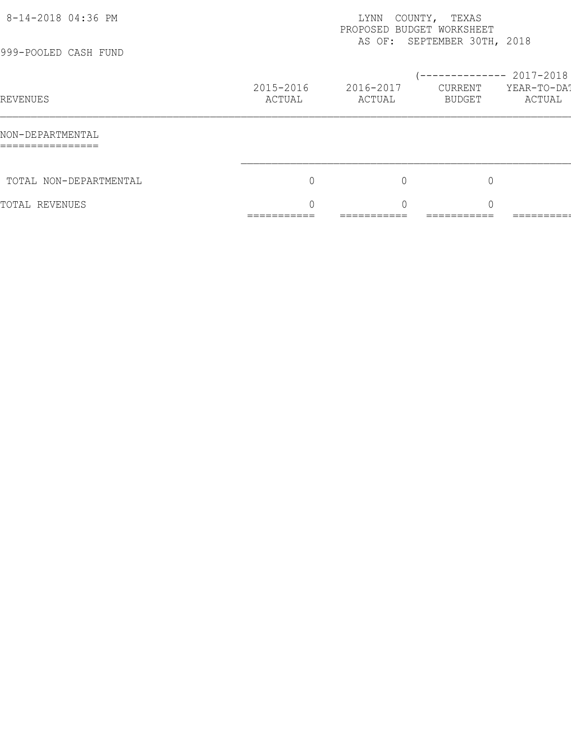| 8-14-2018 04:36 PM<br>999-POOLED CASH FUND | COUNTY,<br>TEXAS<br>LYNN<br>PROPOSED BUDGET WORKSHEET<br>AS OF: SEPTEMBER 30TH, 2018 |                                      |                                            |                         |
|--------------------------------------------|--------------------------------------------------------------------------------------|--------------------------------------|--------------------------------------------|-------------------------|
| <b>REVENUES</b>                            | 2015-2016<br>ACTUAL                                                                  | 2016-2017<br>ACTUAL                  | $--------- 2017-2018$<br>CURRENT<br>BUDGET | YEAR-TO-DAT<br>ACTUAL   |
| NON-DEPARTMENTAL<br>================       |                                                                                      |                                      |                                            |                         |
| TOTAL NON-DEPARTMENTAL                     | 0                                                                                    | $\mathbf 0$                          | $\overline{0}$                             |                         |
| TOTAL REVENUES                             | $\cap$<br>___________<br>___________                                                 | $\cap$<br>___________<br>___________ | $\bigcap$<br>___________<br>___________    | _________<br>---------- |